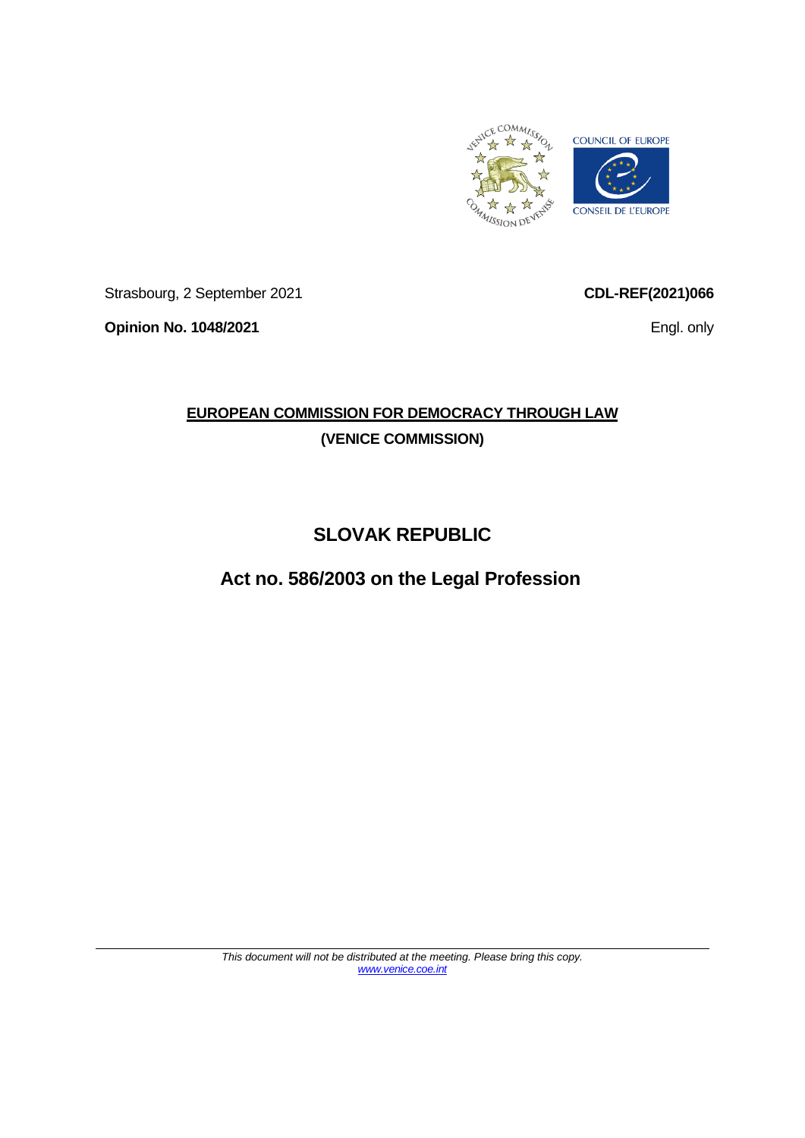

Strasbourg, 2 September 2021

**Opinion No. 1048/2021**

**CDL-REF(2021)066**

Engl. only

# **EUROPEAN COMMISSION FOR DEMOCRACY THROUGH LAW (VENICE COMMISSION)**

# **SLOVAK REPUBLIC**

**Act no. 586/2003 on the Legal Profession**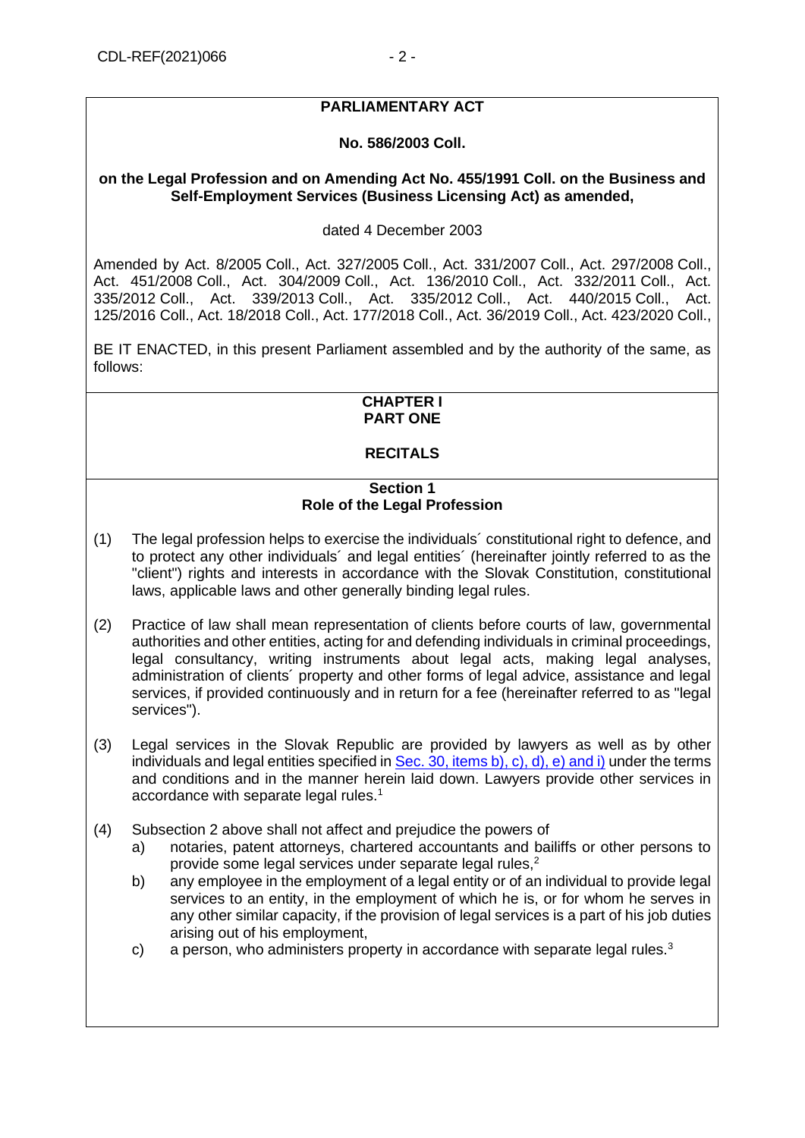## **PARLIAMENTARY ACT**

## **No. 586/2003 Coll.**

## **on the Legal Profession and on Amending Act No. 455/1991 Coll. on the Business and Self-Employment Services (Business Licensing Act) as amended,**

## dated 4 December 2003

Amended by Act. [8/2005](https://www.slov-lex.sk/pravne-predpisy/SK/ZZ/2005/8/20050701.html) Coll., Act. [327/2005](https://www.slov-lex.sk/pravne-predpisy/SK/ZZ/2005/327/20060101.html) Coll., Act. [331/2007](https://www.slov-lex.sk/pravne-predpisy/SK/ZZ/2007/331/20070801.html) Coll., Act. [297/2008](https://www.slov-lex.sk/pravne-predpisy/SK/ZZ/2008/297/20080901.html) Coll., Act. [451/2008](https://www.slov-lex.sk/pravne-predpisy/SK/ZZ/2008/451/20081201.html) Coll., Act. [304/2009](https://www.slov-lex.sk/pravne-predpisy/SK/ZZ/2009/304/20090901.html) Coll., Act. [136/2010](https://www.slov-lex.sk/pravne-predpisy/SK/ZZ/2010/136/20100601.html) Coll., Act. [332/2011](https://www.slov-lex.sk/pravne-predpisy/SK/ZZ/2011/332/20120101.html) Coll., Act. [335/2012](https://www.slov-lex.sk/pravne-predpisy/SK/ZZ/2012/335/20130101.html) Coll., Act. [339/2013](https://www.slov-lex.sk/pravne-predpisy/SK/ZZ/2013/339/20131101.html) Coll., Act. [335/2012](https://www.slov-lex.sk/pravne-predpisy/SK/ZZ/2012/335/20150101.html) Coll., Act. [440/2015](https://www.slov-lex.sk/pravne-predpisy/SK/ZZ/2015/440/20160101.html) Coll., Act. [125/2016](https://www.slov-lex.sk/pravne-predpisy/SK/ZZ/2016/125/20160701.html) Coll., Act. [18/2018](https://www.slov-lex.sk/pravne-predpisy/SK/ZZ/2018/18/20180525.html) Coll., Act. [177/2018](https://www.slov-lex.sk/pravne-predpisy/SK/ZZ/2018/177/20190101.html) Coll., Act. 36/2019 Coll., Act. 423/2020 Coll.,

BE IT ENACTED, in this present Parliament assembled and by the authority of the same, as follows:

## **CHAPTER I PART ONE**

## **RECITALS**

#### **Section 1 Role of the Legal Profession**

- (1) The legal profession helps to exercise the individuals´ constitutional right to defence, and to protect any other individuals´ and legal entities´ (hereinafter jointly referred to as the "client") rights and interests in accordance with the Slovak Constitution, constitutional laws, applicable laws and other generally binding legal rules.
- (2) Practice of law shall mean representation of clients before courts of law, governmental authorities and other entities, acting for and defending individuals in criminal proceedings, legal consultancy, writing instruments about legal acts, making legal analyses, administration of clients´ property and other forms of legal advice, assistance and legal services, if provided continuously and in return for a fee (hereinafter referred to as "legal services").
- (3) Legal services in the Slovak Republic are provided by lawyers as well as by other individuals and legal entities specified in [Sec. 30, items b\), c\), d\), e\) and i\)](#page-18-0) under the terms and conditions and in the manner herein laid down. Lawyers provide other services in accordance with separate legal rules.<sup>1</sup>
- (4) Subsection 2 above shall not affect and prejudice the powers of
	- a) notaries, patent attorneys, chartered accountants and bailiffs or other persons to provide some legal services under separate legal rules,<sup>2</sup>
	- b) any employee in the employment of a legal entity or of an individual to provide legal services to an entity, in the employment of which he is, or for whom he serves in any other similar capacity, if the provision of legal services is a part of his job duties arising out of his employment,
	- c) a person, who administers property in accordance with separate legal rules. $3$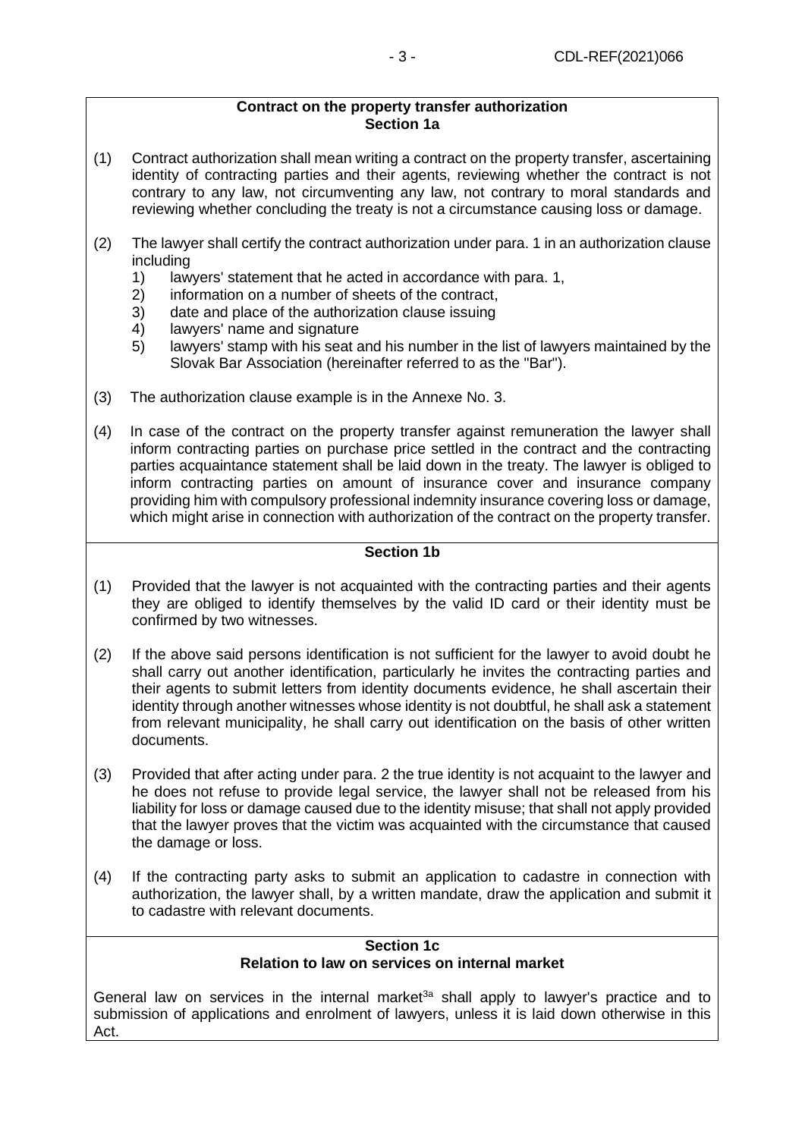#### **Contract on the property transfer authorization Section 1a**

- (1) Contract authorization shall mean writing a contract on the property transfer, ascertaining identity of contracting parties and their agents, reviewing whether the contract is not contrary to any law, not circumventing any law, not contrary to moral standards and reviewing whether concluding the treaty is not a circumstance causing loss or damage.
- (2) The lawyer shall certify the contract authorization under para. 1 in an authorization clause including
	- 1) lawyers' statement that he acted in accordance with para. 1,<br>2) information on a number of sheets of the contract.
	- information on a number of sheets of the contract,
	- 3) date and place of the authorization clause issuing
	- 4) lawyers' name and signature
	- 5) lawyers' stamp with his seat and his number in the list of lawyers maintained by the Slovak Bar Association (hereinafter referred to as the "Bar").
- (3) The authorization clause example is in the Annexe No. 3.
- (4) In case of the contract on the property transfer against remuneration the lawyer shall inform contracting parties on purchase price settled in the contract and the contracting parties acquaintance statement shall be laid down in the treaty. The lawyer is obliged to inform contracting parties on amount of insurance cover and insurance company providing him with compulsory professional indemnity insurance covering loss or damage, which might arise in connection with authorization of the contract on the property transfer.

## **Section 1b**

- (1) Provided that the lawyer is not acquainted with the contracting parties and their agents they are obliged to identify themselves by the valid ID card or their identity must be confirmed by two witnesses.
- (2) If the above said persons identification is not sufficient for the lawyer to avoid doubt he shall carry out another identification, particularly he invites the contracting parties and their agents to submit letters from identity documents evidence, he shall ascertain their identity through another witnesses whose identity is not doubtful, he shall ask a statement from relevant municipality, he shall carry out identification on the basis of other written documents.
- (3) Provided that after acting under para. 2 the true identity is not acquaint to the lawyer and he does not refuse to provide legal service, the lawyer shall not be released from his liability for loss or damage caused due to the identity misuse; that shall not apply provided that the lawyer proves that the victim was acquainted with the circumstance that caused the damage or loss.
- (4) If the contracting party asks to submit an application to cadastre in connection with authorization, the lawyer shall, by a written mandate, draw the application and submit it to cadastre with relevant documents.

#### **Section 1c Relation to law on services on internal market**

General law on services in the internal market<sup>3a</sup> shall apply to lawyer's practice and to submission of applications and enrolment of lawyers, unless it is laid down otherwise in this Act.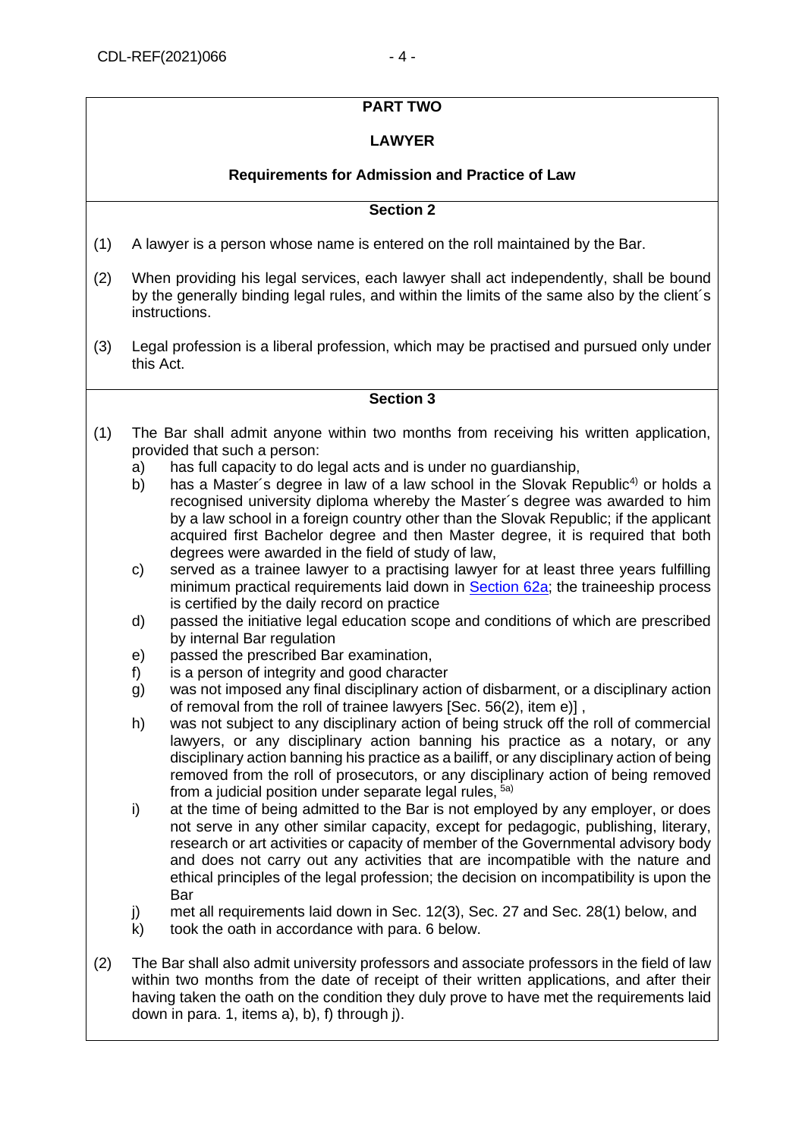## **PART TWO**

## **LAWYER**

## **Requirements for Admission and Practice of Law**

## **Section 2**

- (1) A lawyer is a person whose name is entered on the roll maintained by the Bar.
- (2) When providing his legal services, each lawyer shall act independently, shall be bound by the generally binding legal rules, and within the limits of the same also by the client´s instructions.
- (3) Legal profession is a liberal profession, which may be practised and pursued only under this Act.

- <span id="page-3-0"></span>(1) The Bar shall admit anyone within two months from receiving his written application, provided that such a person:
	- a) has full capacity to do legal acts and is under no guardianship,
	- b) has a Master's degree in law of a law school in the Slovak Republic<sup>4)</sup> or holds a recognised university diploma whereby the Master´s degree was awarded to him by a law school in a foreign country other than the Slovak Republic; if the applicant acquired first Bachelor degree and then Master degree, it is required that both degrees were awarded in the field of study of law,
	- c) served as a trainee lawyer to a practising lawyer for at least three years fulfilling minimum practical requirements laid down in [Section 62a;](#page-29-0) the traineeship process is certified by the daily record on practice
	- d) passed the initiative legal education scope and conditions of which are prescribed by internal Bar regulation
	- e) passed the prescribed Bar examination,
	- f) is a person of integrity and good character
	- g) was not imposed any final disciplinary action of disbarment, or a disciplinary action of removal from the roll of trainee lawyers [Sec. 56(2), item e)] ,
	- h) was not subject to any disciplinary action of being struck off the roll of commercial lawyers, or any disciplinary action banning his practice as a notary, or any disciplinary action banning his practice as a bailiff, or any disciplinary action of being removed from the roll of prosecutors, or any disciplinary action of being removed from a judicial position under separate legal rules,  $5a)$
	- i) at the time of being admitted to the Bar is not employed by any employer, or does not serve in any other similar capacity, except for pedagogic, publishing, literary, research or art activities or capacity of member of the Governmental advisory body and does not carry out any activities that are incompatible with the nature and ethical principles of the legal profession; the decision on incompatibility is upon the Bar
	- j) met all requirements laid down in Sec. 12(3), Sec. 27 and Sec. 28(1) below, and
	- k) took the oath in accordance with para. 6 below.
- (2) The Bar shall also admit university professors and associate professors in the field of law within two months from the date of receipt of their written applications, and after their having taken the oath on the condition they duly prove to have met the requirements laid down in para. 1, items a), b), f) through j).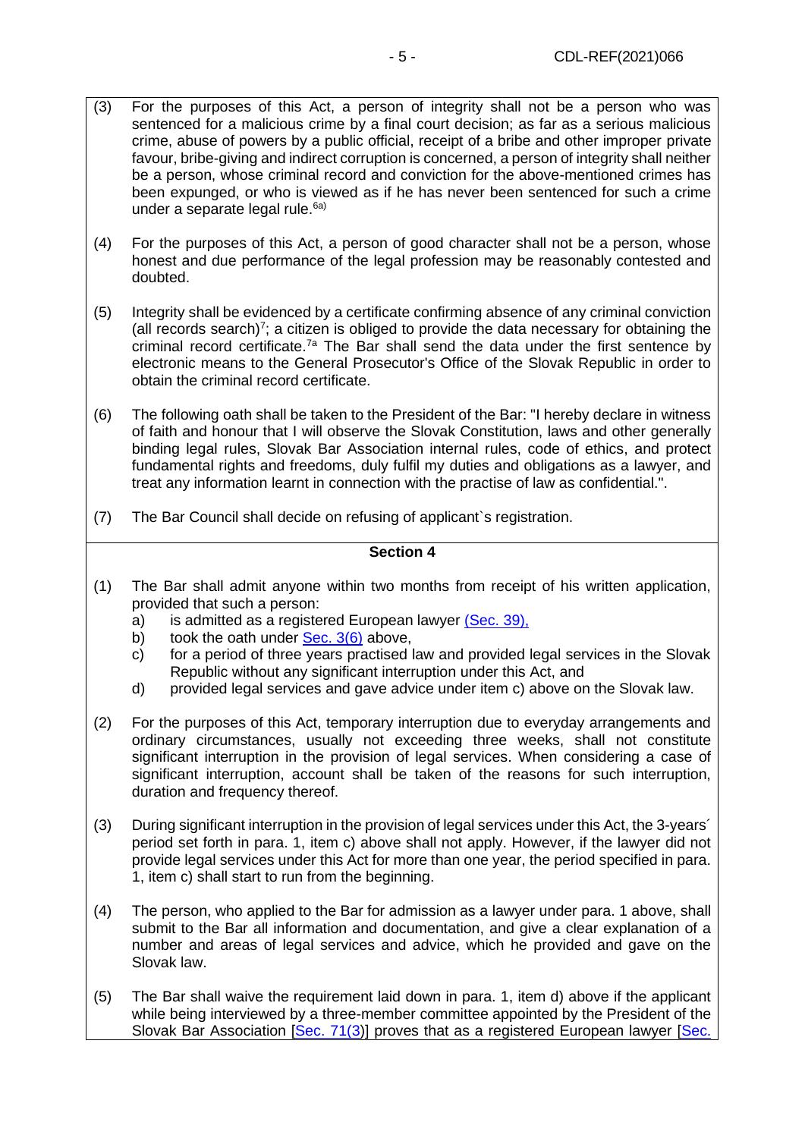- (3) For the purposes of this Act, a person of integrity shall not be a person who was sentenced for a malicious crime by a final court decision; as far as a serious malicious crime, abuse of powers by a public official, receipt of a bribe and other improper private favour, bribe-giving and indirect corruption is concerned, a person of integrity shall neither be a person, whose criminal record and conviction for the above-mentioned crimes has been expunged, or who is viewed as if he has never been sentenced for such a crime under a separate legal rule. $6a)$
- (4) For the purposes of this Act, a person of good character shall not be a person, whose honest and due performance of the legal profession may be reasonably contested and doubted.
- (5) Integrity shall be evidenced by a certificate confirming absence of any criminal conviction (all records search)<sup>7</sup>; a citizen is obliged to provide the data necessary for obtaining the criminal record certificate.<sup>7a</sup> The Bar shall send the data under the first sentence by electronic means to the General Prosecutor's Office of the Slovak Republic in order to obtain the criminal record certificate.
- (6) The following oath shall be taken to the President of the Bar: "I hereby declare in witness of faith and honour that I will observe the Slovak Constitution, laws and other generally binding legal rules, Slovak Bar Association internal rules, code of ethics, and protect fundamental rights and freedoms, duly fulfil my duties and obligations as a lawyer, and treat any information learnt in connection with the practise of law as confidential.".
- <span id="page-4-0"></span>(7) The Bar Council shall decide on refusing of applicant`s registration.

- (1) The Bar shall admit anyone within two months from receipt of his written application, provided that such a person:
	- a) is admitted as a registered European lawyer [\(Sec. 39\),](#page-21-0)
	- b) took the oath under  $\frac{\text{Sec. 3(6)}}{\text{S}}$  above,
	- c) for a period of three years practised law and provided legal services in the Slovak Republic without any significant interruption under this Act, and
	- d) provided legal services and gave advice under item c) above on the Slovak law.
- (2) For the purposes of this Act, temporary interruption due to everyday arrangements and ordinary circumstances, usually not exceeding three weeks, shall not constitute significant interruption in the provision of legal services. When considering a case of significant interruption, account shall be taken of the reasons for such interruption, duration and frequency thereof.
- (3) During significant interruption in the provision of legal services under this Act, the 3-years´ period set forth in para. 1, item c) above shall not apply. However, if the lawyer did not provide legal services under this Act for more than one year, the period specified in para. 1, item c) shall start to run from the beginning.
- (4) The person, who applied to the Bar for admission as a lawyer under para. 1 above, shall submit to the Bar all information and documentation, and give a clear explanation of a number and areas of legal services and advice, which he provided and gave on the Slovak law.
- (5) The Bar shall waive the requirement laid down in para. 1, item d) above if the applicant while being interviewed by a three-member committee appointed by the President of the Slovak Bar Association [\[Sec. 71\(3\)](#page-32-0)] proves that as a registered European lawyer [Sec.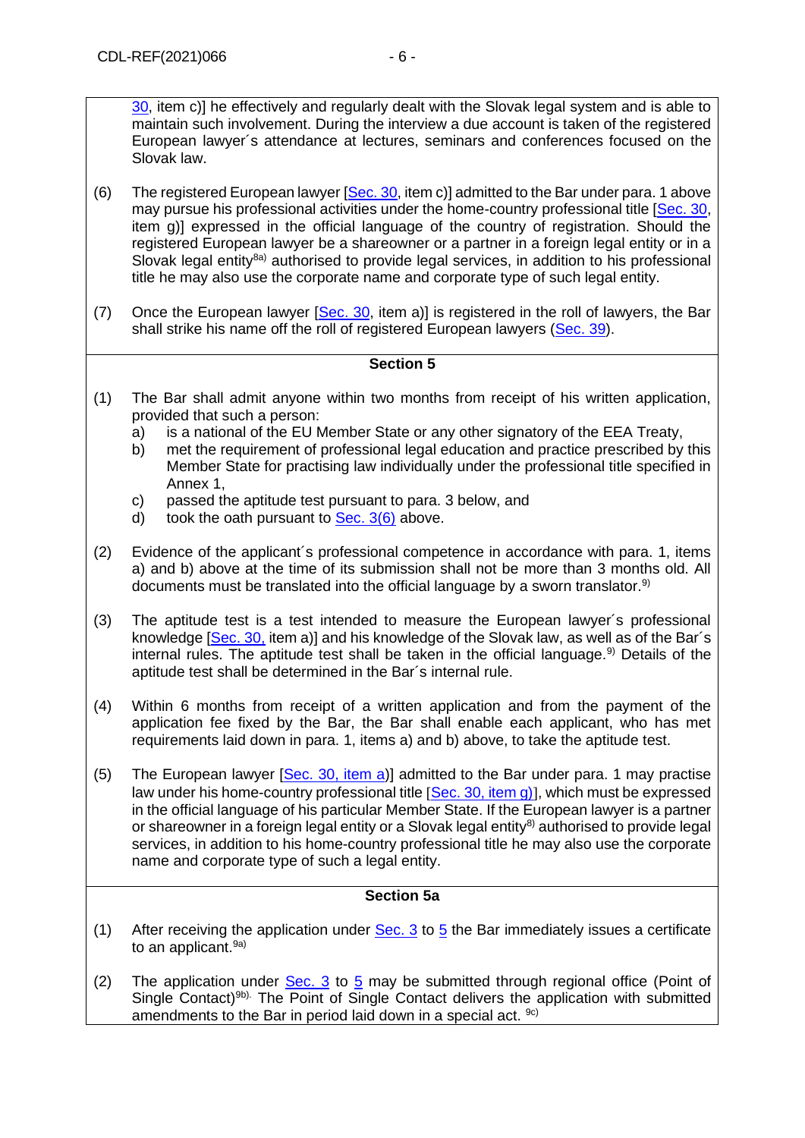[30,](#page-18-0) item c)] he effectively and regularly dealt with the Slovak legal system and is able to maintain such involvement. During the interview a due account is taken of the registered European lawyer´s attendance at lectures, seminars and conferences focused on the Slovak law.

- (6) The registered European lawyer  $[Sec. 30, item c)]$  $[Sec. 30, item c)]$  admitted to the Bar under para. 1 above may pursue his professional activities under the home-country professional title [\[Sec. 30,](#page-18-0) item g)] expressed in the official language of the country of registration. Should the registered European lawyer be a shareowner or a partner in a foreign legal entity or in a Slovak legal entity<sup>8a)</sup> authorised to provide legal services, in addition to his professional title he may also use the corporate name and corporate type of such legal entity.
- (7) Once the European lawyer [\[Sec. 30,](#page-18-0) item a)] is registered in the roll of lawyers, the Bar shall strike his name off the roll of registered European lawyers [\(Sec. 39\)](#page-21-0).

## **Section 5**

- <span id="page-5-0"></span>(1) The Bar shall admit anyone within two months from receipt of his written application, provided that such a person:
	- a) is a national of the EU Member State or any other signatory of the EEA Treaty,
	- b) met the requirement of professional legal education and practice prescribed by this Member State for practising law individually under the professional title specified in Annex 1,
	- c) passed the aptitude test pursuant to para. 3 below, and
	- d) took the oath pursuant to  $Sec. 3(6)$  above.
- (2) Evidence of the applicant´s professional competence in accordance with para. 1, items a) and b) above at the time of its submission shall not be more than 3 months old. All documents must be translated into the official language by a sworn translator.<sup>9)</sup>
- (3) The aptitude test is a test intended to measure the European lawyer´s professional knowledge [\[Sec. 30,](#page-18-0) item a)] and his knowledge of the Slovak law, as well as of the Bar´s internal rules. The aptitude test shall be taken in the official language.<sup>9)</sup> Details of the aptitude test shall be determined in the Bar´s internal rule.
- (4) Within 6 months from receipt of a written application and from the payment of the application fee fixed by the Bar, the Bar shall enable each applicant, who has met requirements laid down in para. 1, items a) and b) above, to take the aptitude test.
- (5) The European lawyer [\[Sec. 30, item a\)](#page-18-0)] admitted to the Bar under para. 1 may practise law under his home-country professional title  $\text{Sec. }30$ , item g), which must be expressed in the official language of his particular Member State. If the European lawyer is a partner or shareowner in a foreign legal entity or a Slovak legal entity<sup>8)</sup> authorised to provide legal services, in addition to his home-country professional title he may also use the corporate name and corporate type of such a legal entity.

## **Section 5a**

- (1) After receiving the application under Sec.  $3$  to  $5$  the Bar immediately issues a certificate to an applicant.<sup>9a)</sup>
- (2) The application under [Sec. 3](#page-3-0) to [5](#page-5-0) may be submitted through regional office (Point of Single Contact)<sup>9b)</sup>. The Point of Single Contact delivers the application with submitted amendments to the Bar in period laid down in a special act.  $9c$ )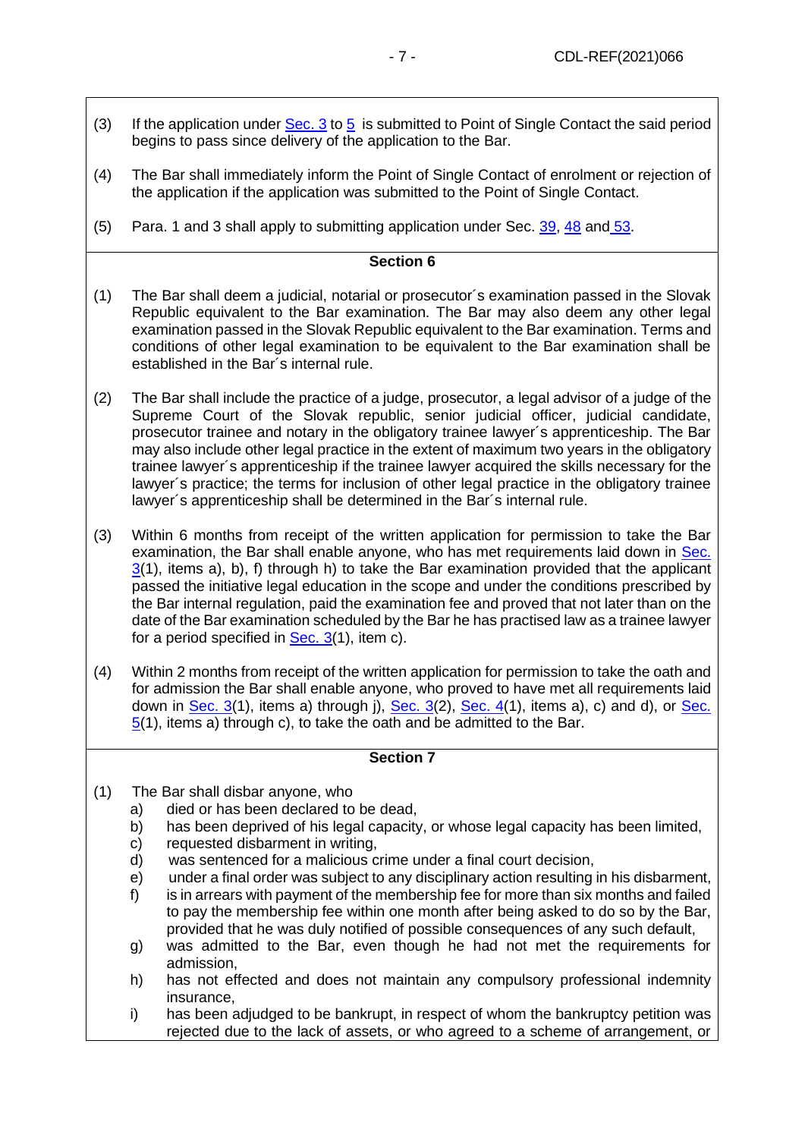- (3) If the application under  $Sec. 3$  to [5](#page-5-0) is submitted to Point of Single Contact the said period begins to pass since delivery of the application to the Bar.
- (4) The Bar shall immediately inform the Point of Single Contact of enrolment or rejection of the application if the application was submitted to the Point of Single Contact.
- (5) Para. 1 and 3 shall apply to submitting application under Sec. [39,](#page-21-0) [48](#page-23-0) and [53.](#page-25-0)

- (1) The Bar shall deem a judicial, notarial or prosecutor´s examination passed in the Slovak Republic equivalent to the Bar examination. The Bar may also deem any other legal examination passed in the Slovak Republic equivalent to the Bar examination. Terms and conditions of other legal examination to be equivalent to the Bar examination shall be established in the Bar´s internal rule.
- (2) The Bar shall include the practice of a judge, prosecutor, a legal advisor of a judge of the Supreme Court of the Slovak republic, senior judicial officer, judicial candidate, prosecutor trainee and notary in the obligatory trainee lawyer´s apprenticeship. The Bar may also include other legal practice in the extent of maximum two years in the obligatory trainee lawyer´s apprenticeship if the trainee lawyer acquired the skills necessary for the lawyer´s practice; the terms for inclusion of other legal practice in the obligatory trainee lawyer´s apprenticeship shall be determined in the Bar´s internal rule.
- (3) Within 6 months from receipt of the written application for permission to take the Bar examination, the Bar shall enable anyone, who has met requirements laid down in Sec.  $3(1)$  $3(1)$ , items a), b), f) through h) to take the Bar examination provided that the applicant passed the initiative legal education in the scope and under the conditions prescribed by the Bar internal regulation, paid the examination fee and proved that not later than on the date of the Bar examination scheduled by the Bar he has practised law as a trainee lawyer for a period specified in [Sec. 3\(](#page-3-0)1), item c).
- (4) Within 2 months from receipt of the written application for permission to take the oath and for admission the Bar shall enable anyone, who proved to have met all requirements laid down in [Sec.](#page-5-0)  $3(1)$ , items a) through j), Sec.  $3(2)$ , Sec.  $4(1)$ , items a), c) and d), or Sec. [5\(](#page-5-0)1), items a) through c), to take the oath and be admitted to the Bar.

- (1) The Bar shall disbar anyone, who
	- a) died or has been declared to be dead,
	- b) has been deprived of his legal capacity, or whose legal capacity has been limited,
	- c) requested disbarment in writing,
	- d) was sentenced for a malicious crime under a final court decision,
	- e) under a final order was subject to any disciplinary action resulting in his disbarment,
	- f) is in arrears with payment of the membership fee for more than six months and failed to pay the membership fee within one month after being asked to do so by the Bar, provided that he was duly notified of possible consequences of any such default,
	- g) was admitted to the Bar, even though he had not met the requirements for admission,
	- h) has not effected and does not maintain any compulsory professional indemnity insurance,
	- i) has been adjudged to be bankrupt, in respect of whom the bankruptcy petition was rejected due to the lack of assets, or who agreed to a scheme of arrangement, or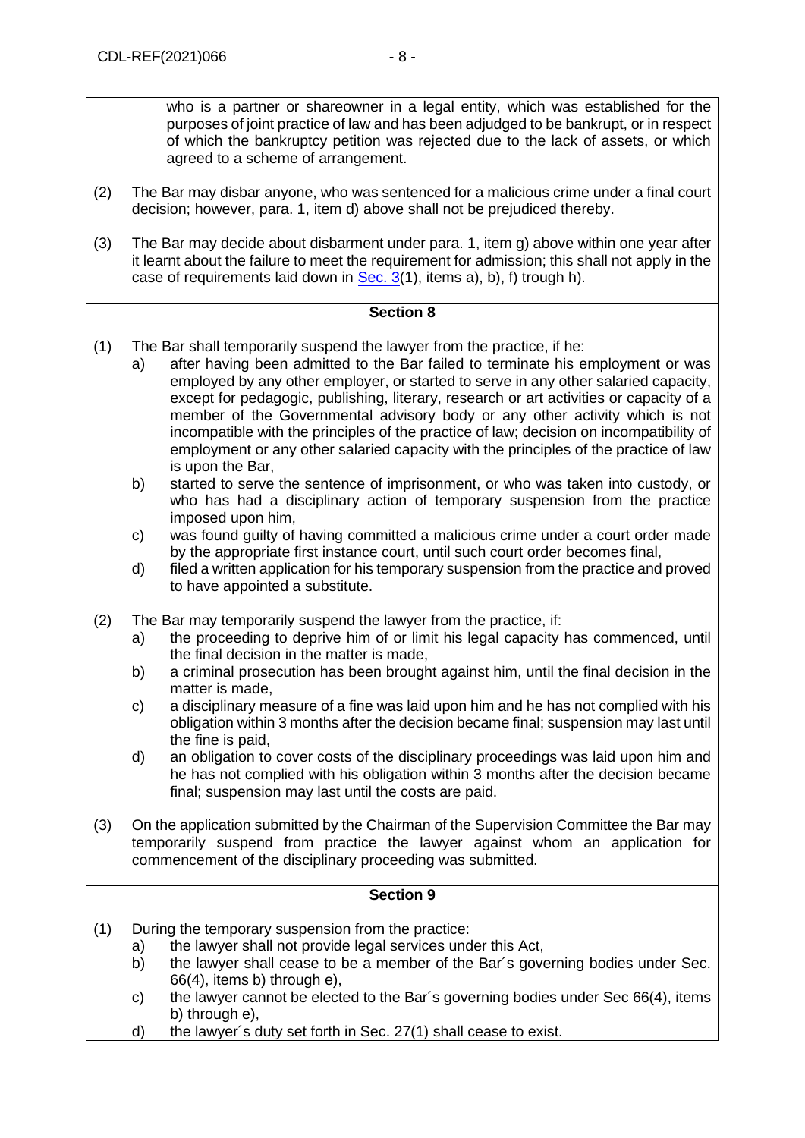who is a partner or shareowner in a legal entity, which was established for the purposes of joint practice of law and has been adjudged to be bankrupt, or in respect of which the bankruptcy petition was rejected due to the lack of assets, or which agreed to a scheme of arrangement.

- (2) The Bar may disbar anyone, who was sentenced for a malicious crime under a final court decision; however, para. 1, item d) above shall not be prejudiced thereby.
- (3) The Bar may decide about disbarment under para. 1, item g) above within one year after it learnt about the failure to meet the requirement for admission; this shall not apply in the case of requirements laid down in Sec.  $3(1)$ , items a), b), f) trough h).

## **Section 8**

- (1) The Bar shall temporarily suspend the lawyer from the practice, if he:
	- a) after having been admitted to the Bar failed to terminate his employment or was employed by any other employer, or started to serve in any other salaried capacity, except for pedagogic, publishing, literary, research or art activities or capacity of a member of the Governmental advisory body or any other activity which is not incompatible with the principles of the practice of law; decision on incompatibility of employment or any other salaried capacity with the principles of the practice of law is upon the Bar,
	- b) started to serve the sentence of imprisonment, or who was taken into custody, or who has had a disciplinary action of temporary suspension from the practice imposed upon him,
	- c) was found guilty of having committed a malicious crime under a court order made by the appropriate first instance court, until such court order becomes final,
	- d) filed a written application for his temporary suspension from the practice and proved to have appointed a substitute.
- (2) The Bar may temporarily suspend the lawyer from the practice, if:
	- a) the proceeding to deprive him of or limit his legal capacity has commenced, until the final decision in the matter is made,
	- b) a criminal prosecution has been brought against him, until the final decision in the matter is made,
	- c) a disciplinary measure of a fine was laid upon him and he has not complied with his obligation within 3 months after the decision became final; suspension may last until the fine is paid,
	- d) an obligation to cover costs of the disciplinary proceedings was laid upon him and he has not complied with his obligation within 3 months after the decision became final; suspension may last until the costs are paid.
- (3) On the application submitted by the Chairman of the Supervision Committee the Bar may temporarily suspend from practice the lawyer against whom an application for commencement of the disciplinary proceeding was submitted.

- (1) During the temporary suspension from the practice:
	- a) the lawyer shall not provide legal services under this Act,
	- b) the lawyer shall cease to be a member of the Bar's governing bodies under Sec. 66(4), items b) through e),
	- c) the lawyer cannot be elected to the Bar´s governing bodies under Sec 66(4), items b) through e).
	- d) the lawyer´s duty set forth in Sec. 27(1) shall cease to exist.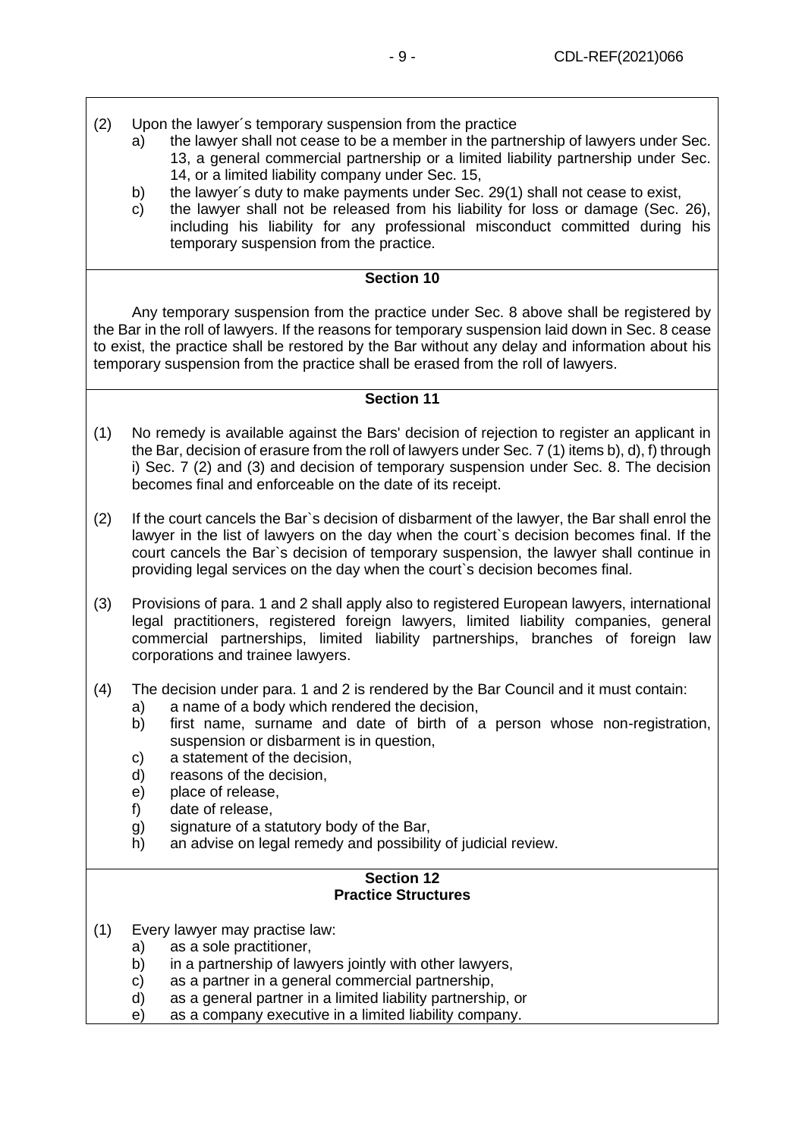- (2) Upon the lawyer´s temporary suspension from the practice
	- a) the lawyer shall not cease to be a member in the partnership of lawyers under Sec. 13, a general commercial partnership or a limited liability partnership under Sec. 14, or a limited liability company under Sec. 15,
	- b) the lawyer´s duty to make payments under Sec. 29(1) shall not cease to exist,
	- c) the lawyer shall not be released from his liability for loss or damage (Sec. 26), including his liability for any professional misconduct committed during his temporary suspension from the practice.

Any temporary suspension from the practice under Sec. 8 above shall be registered by the Bar in the roll of lawyers. If the reasons for temporary suspension laid down in Sec. 8 cease to exist, the practice shall be restored by the Bar without any delay and information about his temporary suspension from the practice shall be erased from the roll of lawyers.

## **Section 11**

- (1) No remedy is available against the Bars' decision of rejection to register an applicant in the Bar, decision of erasure from the roll of lawyers under Sec. 7 (1) items b), d), f) through i) Sec. 7 (2) and (3) and decision of temporary suspension under Sec. 8. The decision becomes final and enforceable on the date of its receipt.
- (2) If the court cancels the Bar`s decision of disbarment of the lawyer, the Bar shall enrol the lawyer in the list of lawyers on the day when the court`s decision becomes final. If the court cancels the Bar`s decision of temporary suspension, the lawyer shall continue in providing legal services on the day when the court`s decision becomes final.
- (3) Provisions of para. 1 and 2 shall apply also to registered European lawyers, international legal practitioners, registered foreign lawyers, limited liability companies, general commercial partnerships, limited liability partnerships, branches of foreign law corporations and trainee lawyers.
- (4) The decision under para. 1 and 2 is rendered by the Bar Council and it must contain:
	- a) a name of a body which rendered the decision,
	- b) first name, surname and date of birth of a person whose non-registration, suspension or disbarment is in question,
	- c) a statement of the decision,
	- d) reasons of the decision,
	- e) place of release,
	- f) date of release,
	- g) signature of a statutory body of the Bar,
	- h) an advise on legal remedy and possibility of judicial review.

### **Section 12 Practice Structures**

- (1) Every lawyer may practise law:
	- a) as a sole practitioner,
	- b) in a partnership of lawyers jointly with other lawyers,
	- c) as a partner in a general commercial partnership,
	- d) as a general partner in a limited liability partnership, or
	- e) as a company executive in a limited liability company.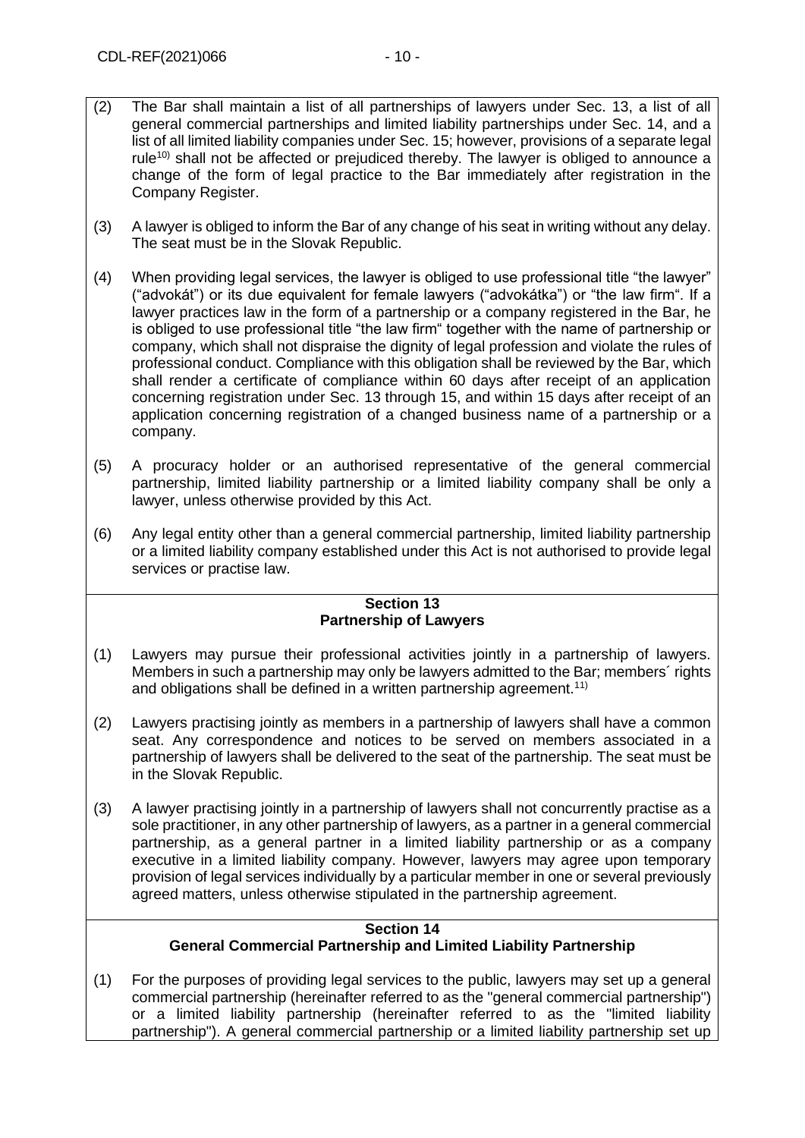- (2) The Bar shall maintain a list of all partnerships of lawyers under Sec. 13, a list of all general commercial partnerships and limited liability partnerships under Sec. 14, and a list of all limited liability companies under Sec. 15; however, provisions of a separate legal rule<sup>10)</sup> shall not be affected or prejudiced thereby. The lawyer is obliged to announce a change of the form of legal practice to the Bar immediately after registration in the Company Register.
- (3) A lawyer is obliged to inform the Bar of any change of his seat in writing without any delay. The seat must be in the Slovak Republic.
- (4) When providing legal services, the lawyer is obliged to use professional title "the lawyer" ("advokát") or its due equivalent for female lawyers ("advokátka") or "the law firm". If a lawyer practices law in the form of a partnership or a company registered in the Bar, he is obliged to use professional title "the law firm" together with the name of partnership or company, which shall not dispraise the dignity of legal profession and violate the rules of professional conduct. Compliance with this obligation shall be reviewed by the Bar, which shall render a certificate of compliance within 60 days after receipt of an application concerning registration under Sec. 13 through 15, and within 15 days after receipt of an application concerning registration of a changed business name of a partnership or a company.
- (5) A procuracy holder or an authorised representative of the general commercial partnership, limited liability partnership or a limited liability company shall be only a lawyer, unless otherwise provided by this Act.
- (6) Any legal entity other than a general commercial partnership, limited liability partnership or a limited liability company established under this Act is not authorised to provide legal services or practise law.

### **Section 13 Partnership of Lawyers**

- (1) Lawyers may pursue their professional activities jointly in a partnership of lawyers. Members in such a partnership may only be lawyers admitted to the Bar; members´ rights and obligations shall be defined in a written partnership agreement.<sup>11)</sup>
- (2) Lawyers practising jointly as members in a partnership of lawyers shall have a common seat. Any correspondence and notices to be served on members associated in a partnership of lawyers shall be delivered to the seat of the partnership. The seat must be in the Slovak Republic.
- (3) A lawyer practising jointly in a partnership of lawyers shall not concurrently practise as a sole practitioner, in any other partnership of lawyers, as a partner in a general commercial partnership, as a general partner in a limited liability partnership or as a company executive in a limited liability company. However, lawyers may agree upon temporary provision of legal services individually by a particular member in one or several previously agreed matters, unless otherwise stipulated in the partnership agreement.

#### **Section 14 General Commercial Partnership and Limited Liability Partnership**

(1) For the purposes of providing legal services to the public, lawyers may set up a general commercial partnership (hereinafter referred to as the "general commercial partnership") or a limited liability partnership (hereinafter referred to as the "limited liability partnership"). A general commercial partnership or a limited liability partnership set up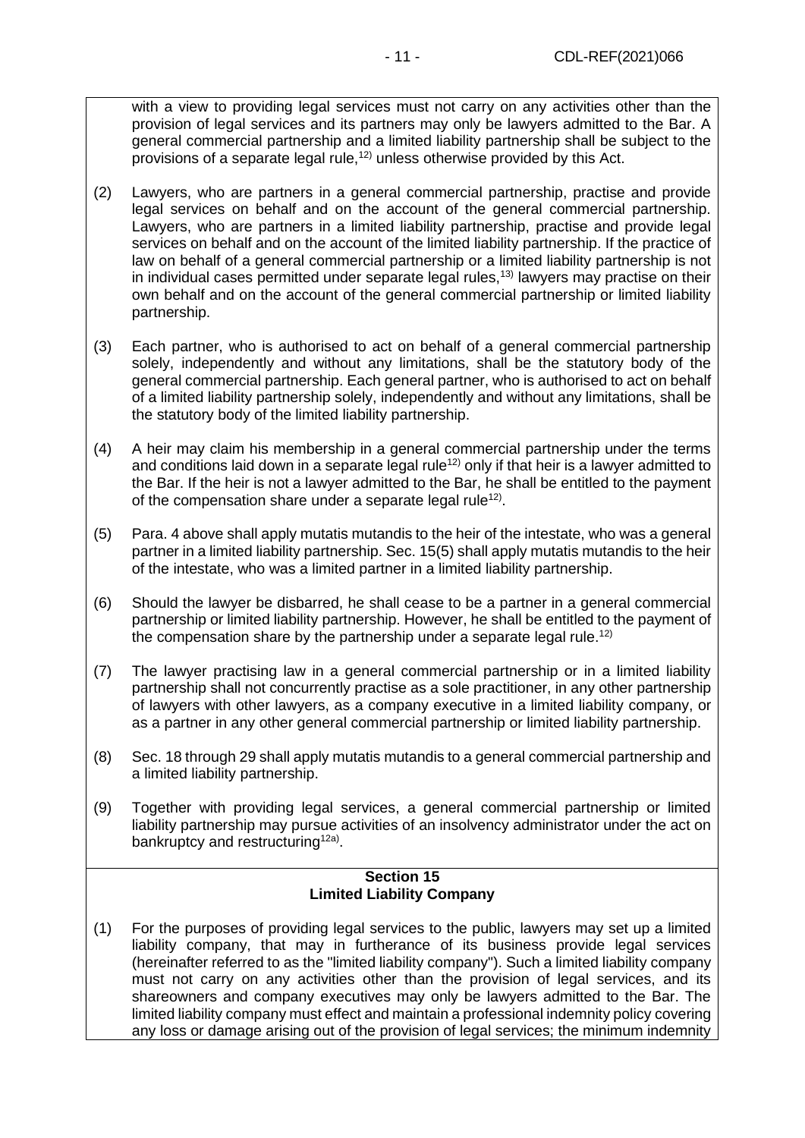with a view to providing legal services must not carry on any activities other than the provision of legal services and its partners may only be lawyers admitted to the Bar. A general commercial partnership and a limited liability partnership shall be subject to the provisions of a separate legal rule, $12$ ) unless otherwise provided by this Act.

- (2) Lawyers, who are partners in a general commercial partnership, practise and provide legal services on behalf and on the account of the general commercial partnership. Lawyers, who are partners in a limited liability partnership, practise and provide legal services on behalf and on the account of the limited liability partnership. If the practice of law on behalf of a general commercial partnership or a limited liability partnership is not in individual cases permitted under separate legal rules,<sup>13)</sup> lawyers may practise on their own behalf and on the account of the general commercial partnership or limited liability partnership.
- (3) Each partner, who is authorised to act on behalf of a general commercial partnership solely, independently and without any limitations, shall be the statutory body of the general commercial partnership. Each general partner, who is authorised to act on behalf of a limited liability partnership solely, independently and without any limitations, shall be the statutory body of the limited liability partnership.
- (4) A heir may claim his membership in a general commercial partnership under the terms and conditions laid down in a separate legal rule<sup>12)</sup> only if that heir is a lawyer admitted to the Bar. If the heir is not a lawyer admitted to the Bar, he shall be entitled to the payment of the compensation share under a separate legal rule<sup>12)</sup>.
- (5) Para. 4 above shall apply mutatis mutandis to the heir of the intestate, who was a general partner in a limited liability partnership. Sec. 15(5) shall apply mutatis mutandis to the heir of the intestate, who was a limited partner in a limited liability partnership.
- (6) Should the lawyer be disbarred, he shall cease to be a partner in a general commercial partnership or limited liability partnership. However, he shall be entitled to the payment of the compensation share by the partnership under a separate legal rule.<sup>12)</sup>
- (7) The lawyer practising law in a general commercial partnership or in a limited liability partnership shall not concurrently practise as a sole practitioner, in any other partnership of lawyers with other lawyers, as a company executive in a limited liability company, or as a partner in any other general commercial partnership or limited liability partnership.
- (8) Sec. 18 through 29 shall apply mutatis mutandis to a general commercial partnership and a limited liability partnership.
- (9) Together with providing legal services, a general commercial partnership or limited liability partnership may pursue activities of an insolvency administrator under the act on bankruptcy and restructuring<sup>12a)</sup>.

#### **Section 15 Limited Liability Company**

(1) For the purposes of providing legal services to the public, lawyers may set up a limited liability company, that may in furtherance of its business provide legal services (hereinafter referred to as the "limited liability company"). Such a limited liability company must not carry on any activities other than the provision of legal services, and its shareowners and company executives may only be lawyers admitted to the Bar. The limited liability company must effect and maintain a professional indemnity policy covering any loss or damage arising out of the provision of legal services; the minimum indemnity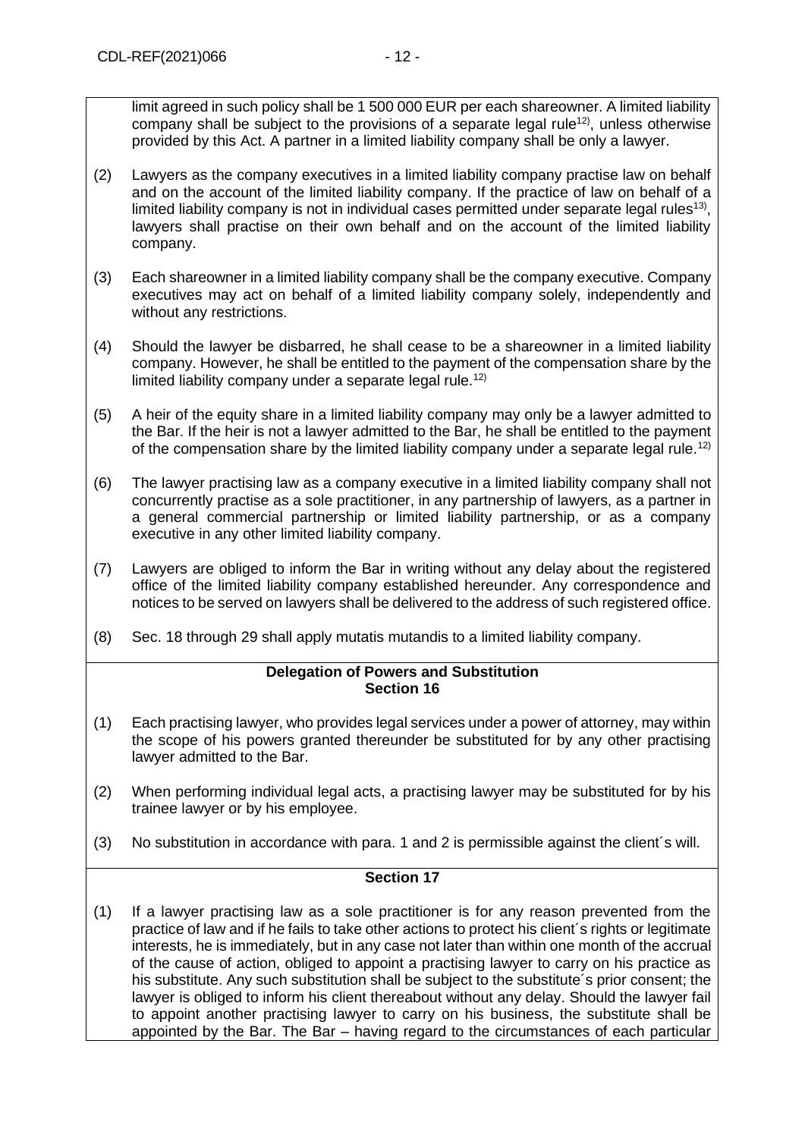limit agreed in such policy shall be 1 500 000 EUR per each shareowner. A limited liability company shall be subject to the provisions of a separate legal rule<sup>12</sup>, unless otherwise provided by this Act. A partner in a limited liability company shall be only a lawyer.

- (2) Lawyers as the company executives in a limited liability company practise law on behalf and on the account of the limited liability company. If the practice of law on behalf of a limited liability company is not in individual cases permitted under separate legal rules<sup>13)</sup>, lawyers shall practise on their own behalf and on the account of the limited liability company.
- (3) Each shareowner in a limited liability company shall be the company executive. Company executives may act on behalf of a limited liability company solely, independently and without any restrictions.
- (4) Should the lawyer be disbarred, he shall cease to be a shareowner in a limited liability company. However, he shall be entitled to the payment of the compensation share by the limited liability company under a separate legal rule.<sup>12)</sup>
- (5) A heir of the equity share in a limited liability company may only be a lawyer admitted to the Bar. If the heir is not a lawyer admitted to the Bar, he shall be entitled to the payment of the compensation share by the limited liability company under a separate legal rule.<sup>12)</sup>
- (6) The lawyer practising law as a company executive in a limited liability company shall not concurrently practise as a sole practitioner, in any partnership of lawyers, as a partner in a general commercial partnership or limited liability partnership, or as a company executive in any other limited liability company.
- (7) Lawyers are obliged to inform the Bar in writing without any delay about the registered office of the limited liability company established hereunder. Any correspondence and notices to be served on lawyers shall be delivered to the address of such registered office.
- (8) Sec. 18 through 29 shall apply mutatis mutandis to a limited liability company.

## **Delegation of Powers and Substitution Section 16**

- (1) Each practising lawyer, who provides legal services under a power of attorney, may within the scope of his powers granted thereunder be substituted for by any other practising lawyer admitted to the Bar.
- (2) When performing individual legal acts, a practising lawyer may be substituted for by his trainee lawyer or by his employee.
- (3) No substitution in accordance with para. 1 and 2 is permissible against the client´s will.

## **Section 17**

(1) If a lawyer practising law as a sole practitioner is for any reason prevented from the practice of law and if he fails to take other actions to protect his client´s rights or legitimate interests, he is immediately, but in any case not later than within one month of the accrual of the cause of action, obliged to appoint a practising lawyer to carry on his practice as his substitute. Any such substitution shall be subject to the substitute´s prior consent; the lawyer is obliged to inform his client thereabout without any delay. Should the lawyer fail to appoint another practising lawyer to carry on his business, the substitute shall be appointed by the Bar. The Bar – having regard to the circumstances of each particular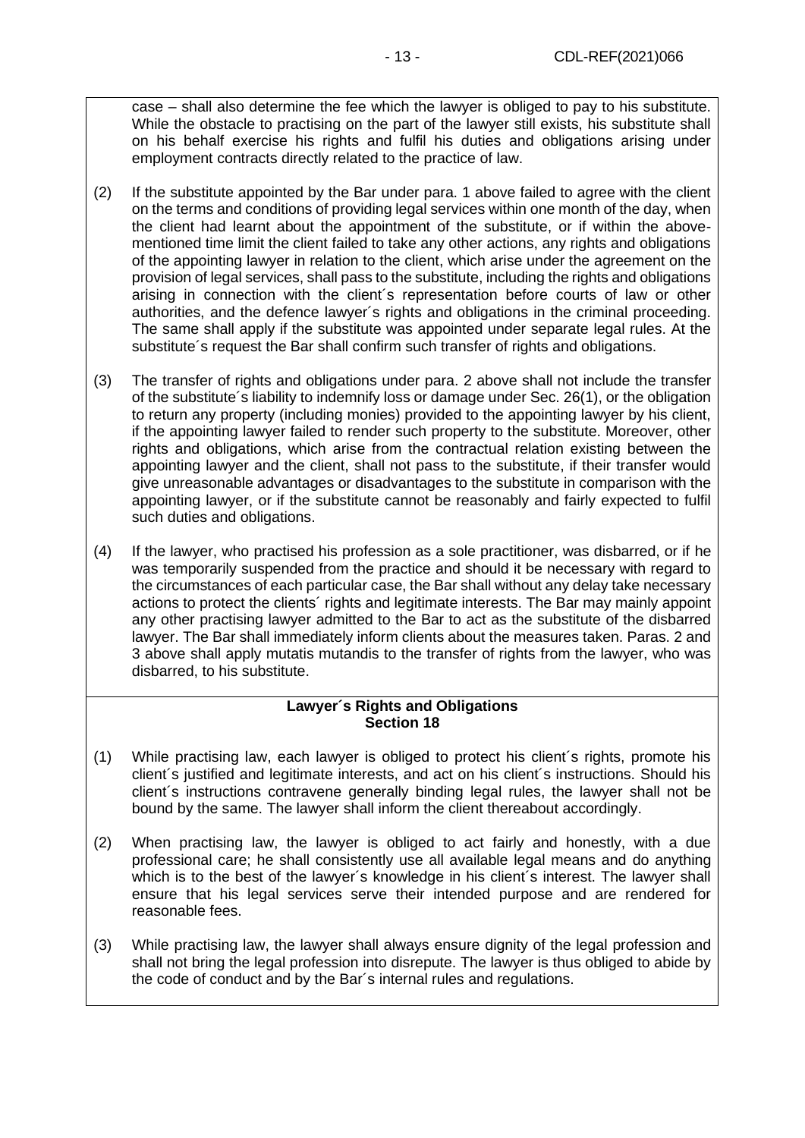case – shall also determine the fee which the lawyer is obliged to pay to his substitute. While the obstacle to practising on the part of the lawyer still exists, his substitute shall on his behalf exercise his rights and fulfil his duties and obligations arising under employment contracts directly related to the practice of law.

- (2) If the substitute appointed by the Bar under para. 1 above failed to agree with the client on the terms and conditions of providing legal services within one month of the day, when the client had learnt about the appointment of the substitute, or if within the abovementioned time limit the client failed to take any other actions, any rights and obligations of the appointing lawyer in relation to the client, which arise under the agreement on the provision of legal services, shall pass to the substitute, including the rights and obligations arising in connection with the client´s representation before courts of law or other authorities, and the defence lawyer´s rights and obligations in the criminal proceeding. The same shall apply if the substitute was appointed under separate legal rules. At the substitute´s request the Bar shall confirm such transfer of rights and obligations.
- (3) The transfer of rights and obligations under para. 2 above shall not include the transfer of the substitute´s liability to indemnify loss or damage under Sec. 26(1), or the obligation to return any property (including monies) provided to the appointing lawyer by his client, if the appointing lawyer failed to render such property to the substitute. Moreover, other rights and obligations, which arise from the contractual relation existing between the appointing lawyer and the client, shall not pass to the substitute, if their transfer would give unreasonable advantages or disadvantages to the substitute in comparison with the appointing lawyer, or if the substitute cannot be reasonably and fairly expected to fulfil such duties and obligations.
- (4) If the lawyer, who practised his profession as a sole practitioner, was disbarred, or if he was temporarily suspended from the practice and should it be necessary with regard to the circumstances of each particular case, the Bar shall without any delay take necessary actions to protect the clients´ rights and legitimate interests. The Bar may mainly appoint any other practising lawyer admitted to the Bar to act as the substitute of the disbarred lawyer. The Bar shall immediately inform clients about the measures taken. Paras. 2 and 3 above shall apply mutatis mutandis to the transfer of rights from the lawyer, who was disbarred, to his substitute.

## **Lawyer´s Rights and Obligations Section 18**

- (1) While practising law, each lawyer is obliged to protect his client´s rights, promote his client´s justified and legitimate interests, and act on his client´s instructions. Should his client´s instructions contravene generally binding legal rules, the lawyer shall not be bound by the same. The lawyer shall inform the client thereabout accordingly.
- (2) When practising law, the lawyer is obliged to act fairly and honestly, with a due professional care; he shall consistently use all available legal means and do anything which is to the best of the lawyer's knowledge in his client's interest. The lawyer shall ensure that his legal services serve their intended purpose and are rendered for reasonable fees.
- (3) While practising law, the lawyer shall always ensure dignity of the legal profession and shall not bring the legal profession into disrepute. The lawyer is thus obliged to abide by the code of conduct and by the Bar´s internal rules and regulations.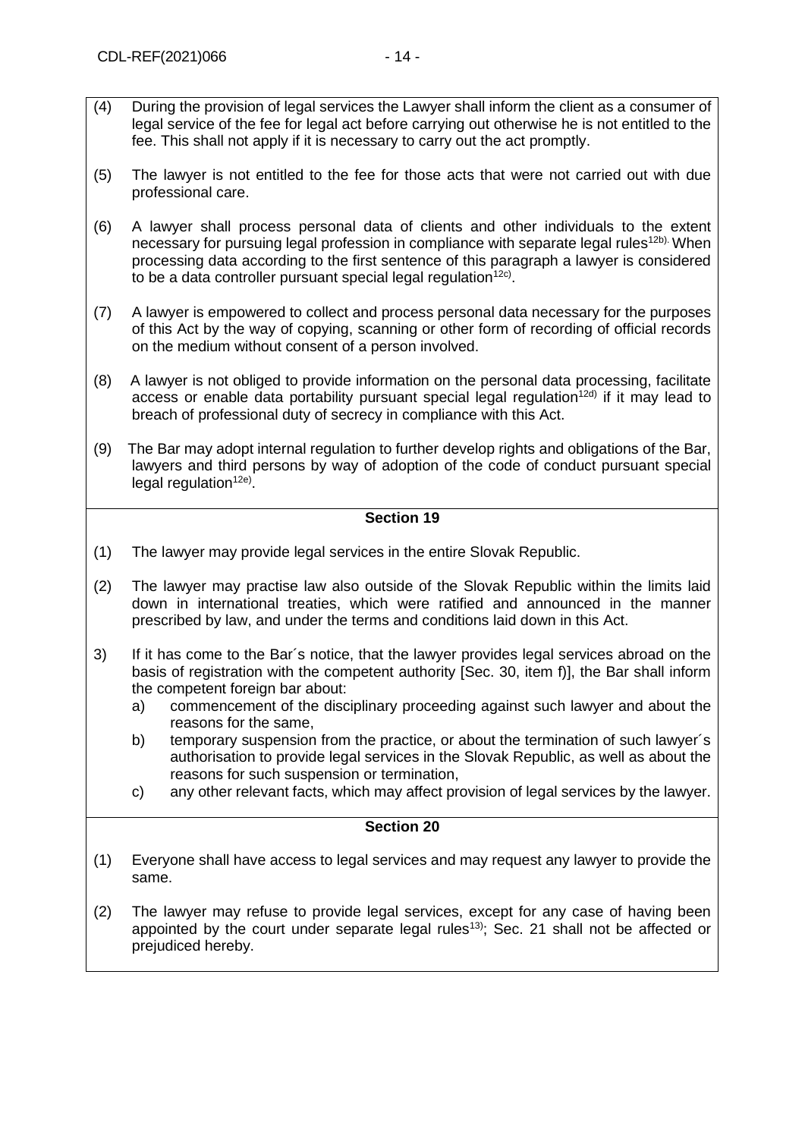- (5) The lawyer is not entitled to the fee for those acts that were not carried out with due professional care.
- (6) A lawyer shall process personal data of clients and other individuals to the extent necessary for pursuing legal profession in compliance with separate legal rules<sup>12b).</sup> When processing data according to the first sentence of this paragraph a lawyer is considered to be a data controller pursuant special legal regulation $12c$ ).
- (7) A lawyer is empowered to collect and process personal data necessary for the purposes of this Act by the way of copying, scanning or other form of recording of official records on the medium without consent of a person involved.
- (8) A lawyer is not obliged to provide information on the personal data processing, facilitate access or enable data portability pursuant special legal regulation<sup>12d)</sup> if it may lead to breach of professional duty of secrecy in compliance with this Act.
- (9) The Bar may adopt internal regulation to further develop rights and obligations of the Bar, lawyers and third persons by way of adoption of the code of conduct pursuant special legal regulation<sup>12e)</sup>.

- (1) The lawyer may provide legal services in the entire Slovak Republic.
- (2) The lawyer may practise law also outside of the Slovak Republic within the limits laid down in international treaties, which were ratified and announced in the manner prescribed by law, and under the terms and conditions laid down in this Act.
- 3) If it has come to the Bar´s notice, that the lawyer provides legal services abroad on the basis of registration with the competent authority [Sec. 30, item f)], the Bar shall inform the competent foreign bar about:
	- a) commencement of the disciplinary proceeding against such lawyer and about the reasons for the same,
	- b) temporary suspension from the practice, or about the termination of such lawyer´s authorisation to provide legal services in the Slovak Republic, as well as about the reasons for such suspension or termination,
	- c) any other relevant facts, which may affect provision of legal services by the lawyer.

- (1) Everyone shall have access to legal services and may request any lawyer to provide the same.
- (2) The lawyer may refuse to provide legal services, except for any case of having been appointed by the court under separate legal rules<sup>13)</sup>; Sec. 21 shall not be affected or prejudiced hereby.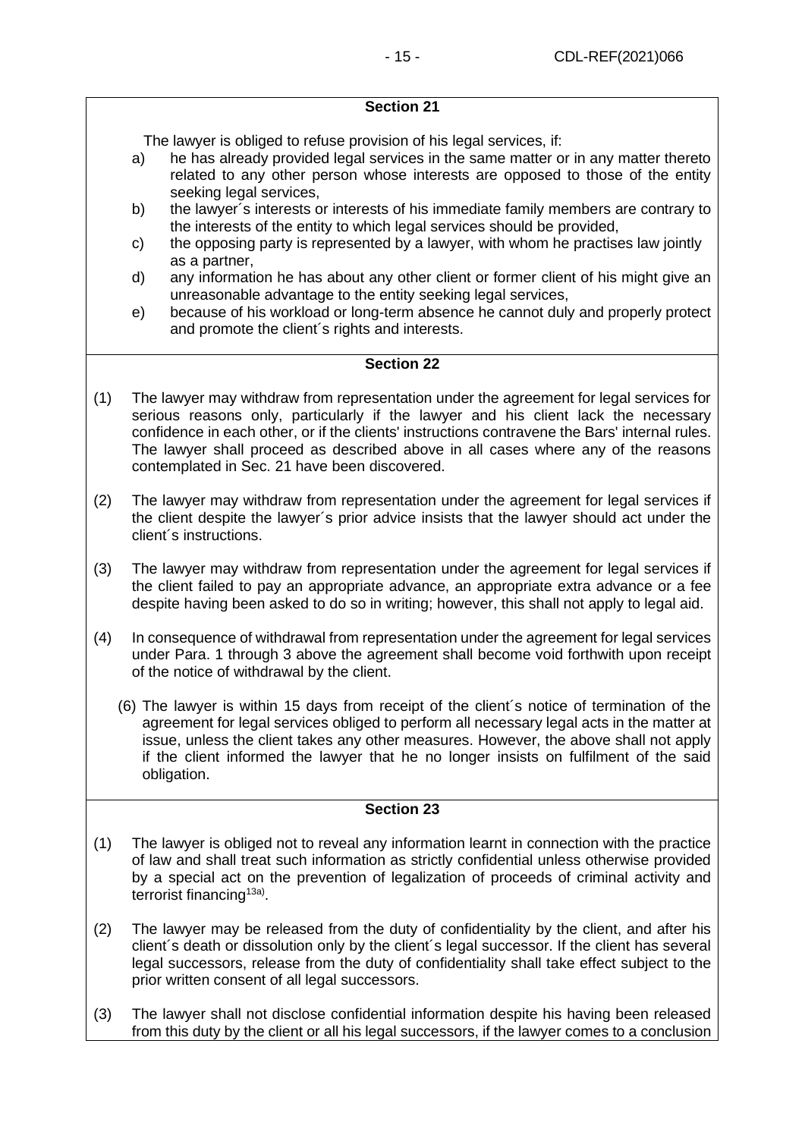The lawyer is obliged to refuse provision of his legal services, if:

- a) he has already provided legal services in the same matter or in any matter thereto related to any other person whose interests are opposed to those of the entity seeking legal services,
- b) the lawyer´s interests or interests of his immediate family members are contrary to the interests of the entity to which legal services should be provided,
- c) the opposing party is represented by a lawyer, with whom he practises law jointly as a partner,
- d) any information he has about any other client or former client of his might give an unreasonable advantage to the entity seeking legal services,
- e) because of his workload or long-term absence he cannot duly and properly protect and promote the client´s rights and interests.

## **Section 22**

- (1) The lawyer may withdraw from representation under the agreement for legal services for serious reasons only, particularly if the lawyer and his client lack the necessary confidence in each other, or if the clients' instructions contravene the Bars' internal rules. The lawyer shall proceed as described above in all cases where any of the reasons contemplated in Sec. 21 have been discovered.
- (2) The lawyer may withdraw from representation under the agreement for legal services if the client despite the lawyer´s prior advice insists that the lawyer should act under the client´s instructions.
- (3) The lawyer may withdraw from representation under the agreement for legal services if the client failed to pay an appropriate advance, an appropriate extra advance or a fee despite having been asked to do so in writing; however, this shall not apply to legal aid.
- (4) In consequence of withdrawal from representation under the agreement for legal services under Para. 1 through 3 above the agreement shall become void forthwith upon receipt of the notice of withdrawal by the client.
	- (6) The lawyer is within 15 days from receipt of the client´s notice of termination of the agreement for legal services obliged to perform all necessary legal acts in the matter at issue, unless the client takes any other measures. However, the above shall not apply if the client informed the lawyer that he no longer insists on fulfilment of the said obligation.

- (1) The lawyer is obliged not to reveal any information learnt in connection with the practice of law and shall treat such information as strictly confidential unless otherwise provided by a special act on the prevention of legalization of proceeds of criminal activity and terrorist financing<sup>13a)</sup>.
- (2) The lawyer may be released from the duty of confidentiality by the client, and after his client´s death or dissolution only by the client´s legal successor. If the client has several legal successors, release from the duty of confidentiality shall take effect subject to the prior written consent of all legal successors.
- (3) The lawyer shall not disclose confidential information despite his having been released from this duty by the client or all his legal successors, if the lawyer comes to a conclusion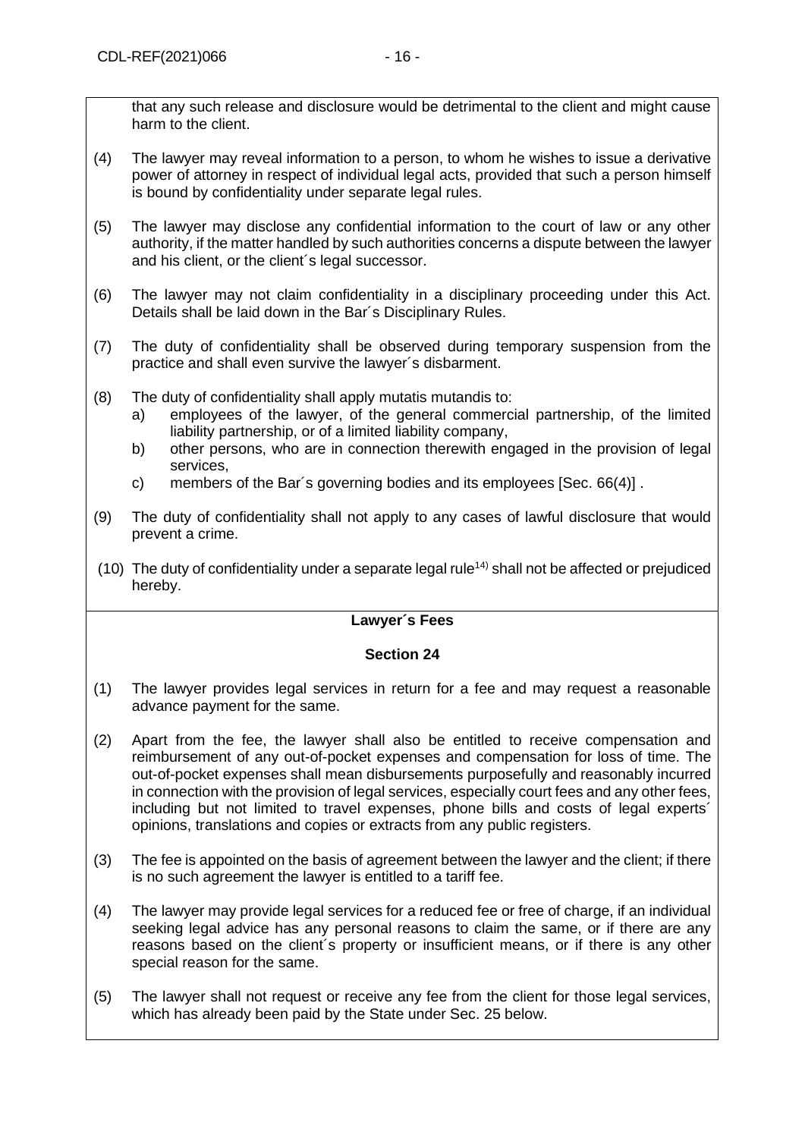that any such release and disclosure would be detrimental to the client and might cause harm to the client.

- (4) The lawyer may reveal information to a person, to whom he wishes to issue a derivative power of attorney in respect of individual legal acts, provided that such a person himself is bound by confidentiality under separate legal rules.
- (5) The lawyer may disclose any confidential information to the court of law or any other authority, if the matter handled by such authorities concerns a dispute between the lawyer and his client, or the client´s legal successor.
- (6) The lawyer may not claim confidentiality in a disciplinary proceeding under this Act. Details shall be laid down in the Bar´s Disciplinary Rules.
- (7) The duty of confidentiality shall be observed during temporary suspension from the practice and shall even survive the lawyer´s disbarment.
- (8) The duty of confidentiality shall apply mutatis mutandis to:
	- a) employees of the lawyer, of the general commercial partnership, of the limited liability partnership, or of a limited liability company,
	- b) other persons, who are in connection therewith engaged in the provision of legal services,
	- c) members of the Bar´s governing bodies and its employees [Sec. 66(4)] .
- (9) The duty of confidentiality shall not apply to any cases of lawful disclosure that would prevent a crime.
- (10) The duty of confidentiality under a separate legal rule<sup>14)</sup> shall not be affected or prejudiced hereby.

## **Lawyer´s Fees**

- (1) The lawyer provides legal services in return for a fee and may request a reasonable advance payment for the same.
- (2) Apart from the fee, the lawyer shall also be entitled to receive compensation and reimbursement of any out-of-pocket expenses and compensation for loss of time. The out-of-pocket expenses shall mean disbursements purposefully and reasonably incurred in connection with the provision of legal services, especially court fees and any other fees, including but not limited to travel expenses, phone bills and costs of legal experts´ opinions, translations and copies or extracts from any public registers.
- (3) The fee is appointed on the basis of agreement between the lawyer and the client; if there is no such agreement the lawyer is entitled to a tariff fee.
- (4) The lawyer may provide legal services for a reduced fee or free of charge, if an individual seeking legal advice has any personal reasons to claim the same, or if there are any reasons based on the client´s property or insufficient means, or if there is any other special reason for the same.
- (5) The lawyer shall not request or receive any fee from the client for those legal services, which has already been paid by the State under Sec. 25 below.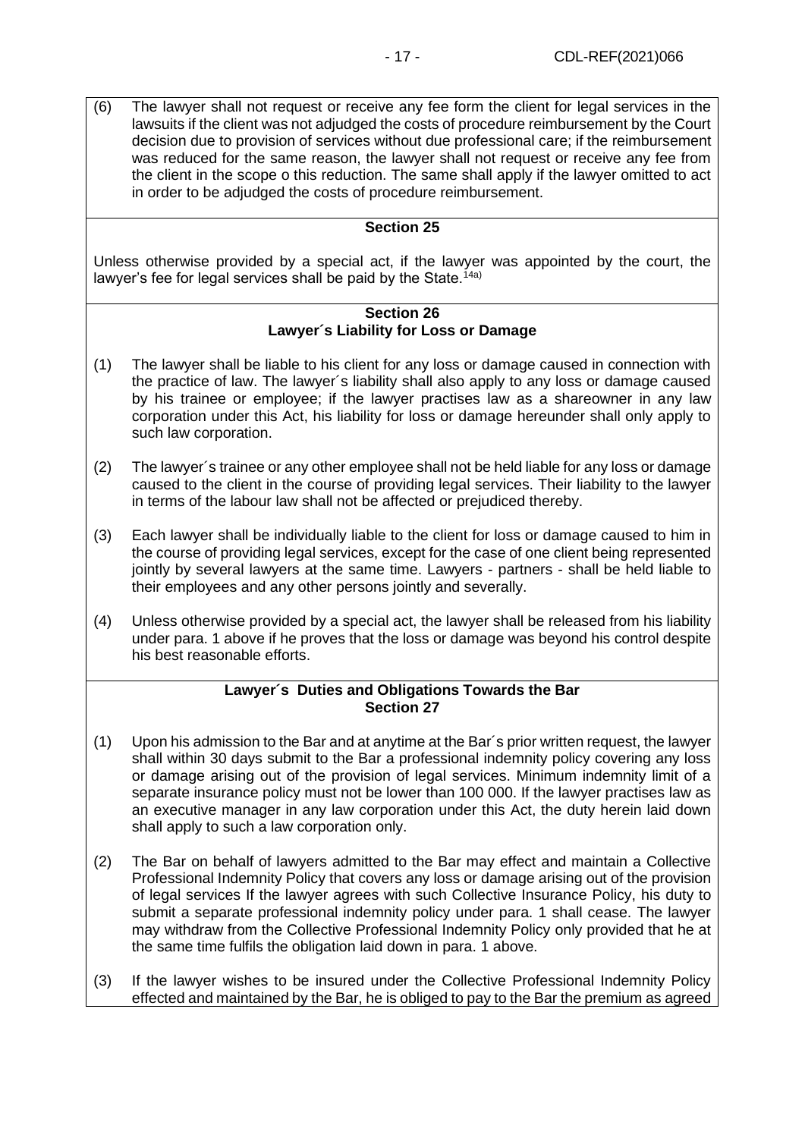(6) The lawyer shall not request or receive any fee form the client for legal services in the lawsuits if the client was not adjudged the costs of procedure reimbursement by the Court decision due to provision of services without due professional care; if the reimbursement was reduced for the same reason, the lawyer shall not request or receive any fee from the client in the scope o this reduction. The same shall apply if the lawyer omitted to act in order to be adjudged the costs of procedure reimbursement.

## **Section 25**

Unless otherwise provided by a special act, if the lawyer was appointed by the court, the lawyer's fee for legal services shall be paid by the State.<sup>14a)</sup>

#### **Section 26 Lawyer´s Liability for Loss or Damage**

- (1) The lawyer shall be liable to his client for any loss or damage caused in connection with the practice of law. The lawyer´s liability shall also apply to any loss or damage caused by his trainee or employee; if the lawyer practises law as a shareowner in any law corporation under this Act, his liability for loss or damage hereunder shall only apply to such law corporation.
- (2) The lawyer´s trainee or any other employee shall not be held liable for any loss or damage caused to the client in the course of providing legal services. Their liability to the lawyer in terms of the labour law shall not be affected or prejudiced thereby.
- (3) Each lawyer shall be individually liable to the client for loss or damage caused to him in the course of providing legal services, except for the case of one client being represented jointly by several lawyers at the same time. Lawyers - partners - shall be held liable to their employees and any other persons jointly and severally.
- (4) Unless otherwise provided by a special act, the lawyer shall be released from his liability under para. 1 above if he proves that the loss or damage was beyond his control despite his best reasonable efforts.

## **Lawyer´s Duties and Obligations Towards the Bar Section 27**

- (1) Upon his admission to the Bar and at anytime at the Bar´s prior written request, the lawyer shall within 30 days submit to the Bar a professional indemnity policy covering any loss or damage arising out of the provision of legal services. Minimum indemnity limit of a separate insurance policy must not be lower than 100 000. If the lawyer practises law as an executive manager in any law corporation under this Act, the duty herein laid down shall apply to such a law corporation only.
- (2) The Bar on behalf of lawyers admitted to the Bar may effect and maintain a Collective Professional Indemnity Policy that covers any loss or damage arising out of the provision of legal services If the lawyer agrees with such Collective Insurance Policy, his duty to submit a separate professional indemnity policy under para. 1 shall cease. The lawyer may withdraw from the Collective Professional Indemnity Policy only provided that he at the same time fulfils the obligation laid down in para. 1 above.
- (3) If the lawyer wishes to be insured under the Collective Professional Indemnity Policy effected and maintained by the Bar, he is obliged to pay to the Bar the premium as agreed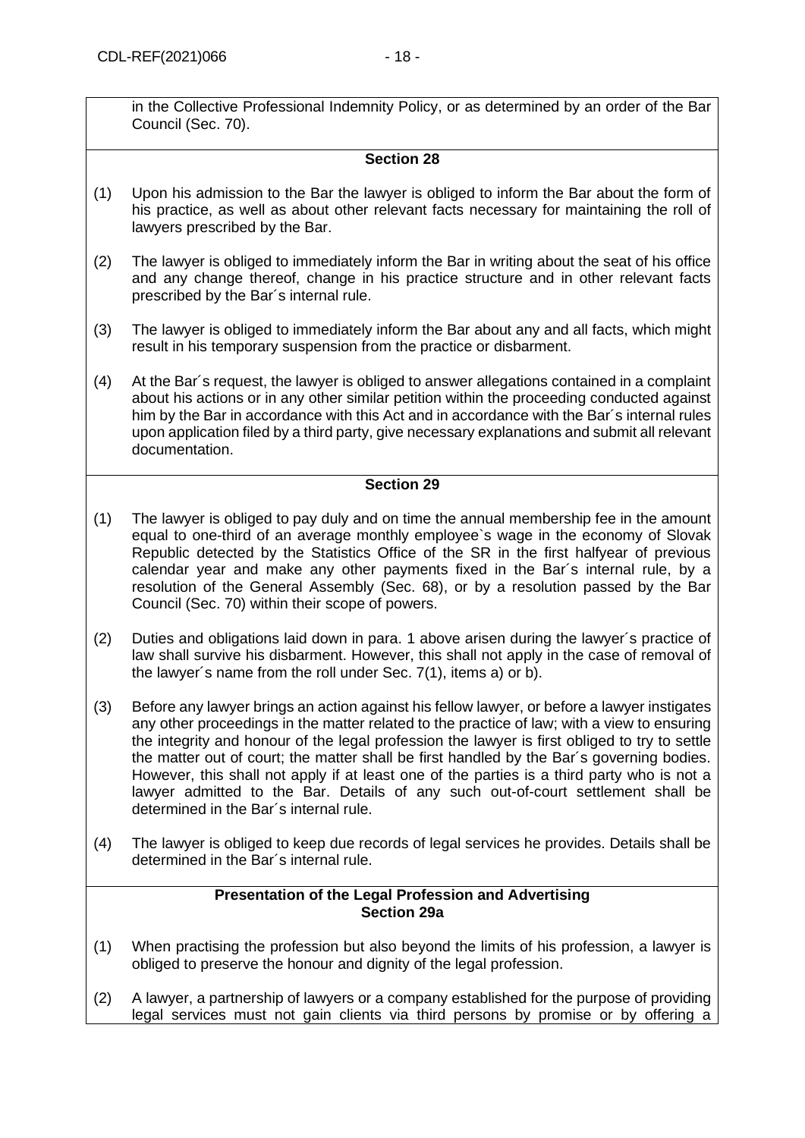in the Collective Professional Indemnity Policy, or as determined by an order of the Bar Council (Sec. 70).

## **Section 28**

- (1) Upon his admission to the Bar the lawyer is obliged to inform the Bar about the form of his practice, as well as about other relevant facts necessary for maintaining the roll of lawyers prescribed by the Bar.
- (2) The lawyer is obliged to immediately inform the Bar in writing about the seat of his office and any change thereof, change in his practice structure and in other relevant facts prescribed by the Bar´s internal rule.
- (3) The lawyer is obliged to immediately inform the Bar about any and all facts, which might result in his temporary suspension from the practice or disbarment.
- (4) At the Bar´s request, the lawyer is obliged to answer allegations contained in a complaint about his actions or in any other similar petition within the proceeding conducted against him by the Bar in accordance with this Act and in accordance with the Bar´s internal rules upon application filed by a third party, give necessary explanations and submit all relevant documentation.

## **Section 29**

- (1) The lawyer is obliged to pay duly and on time the annual membership fee in the amount equal to one-third of an average monthly employee`s wage in the economy of Slovak Republic detected by the Statistics Office of the SR in the first halfyear of previous calendar year and make any other payments fixed in the Bar´s internal rule, by a resolution of the General Assembly (Sec. 68), or by a resolution passed by the Bar Council (Sec. 70) within their scope of powers.
- (2) Duties and obligations laid down in para. 1 above arisen during the lawyer´s practice of law shall survive his disbarment. However, this shall not apply in the case of removal of the lawyer´s name from the roll under Sec. 7(1), items a) or b).
- (3) Before any lawyer brings an action against his fellow lawyer, or before a lawyer instigates any other proceedings in the matter related to the practice of law; with a view to ensuring the integrity and honour of the legal profession the lawyer is first obliged to try to settle the matter out of court; the matter shall be first handled by the Bar´s governing bodies. However, this shall not apply if at least one of the parties is a third party who is not a lawyer admitted to the Bar. Details of any such out-of-court settlement shall be determined in the Bar´s internal rule.
- (4) The lawyer is obliged to keep due records of legal services he provides. Details shall be determined in the Bar´s internal rule.

#### **Presentation of the Legal Profession and Advertising Section 29a**

- (1) When practising the profession but also beyond the limits of his profession, a lawyer is obliged to preserve the honour and dignity of the legal profession.
- (2) A lawyer, a partnership of lawyers or a company established for the purpose of providing legal services must not gain clients via third persons by promise or by offering a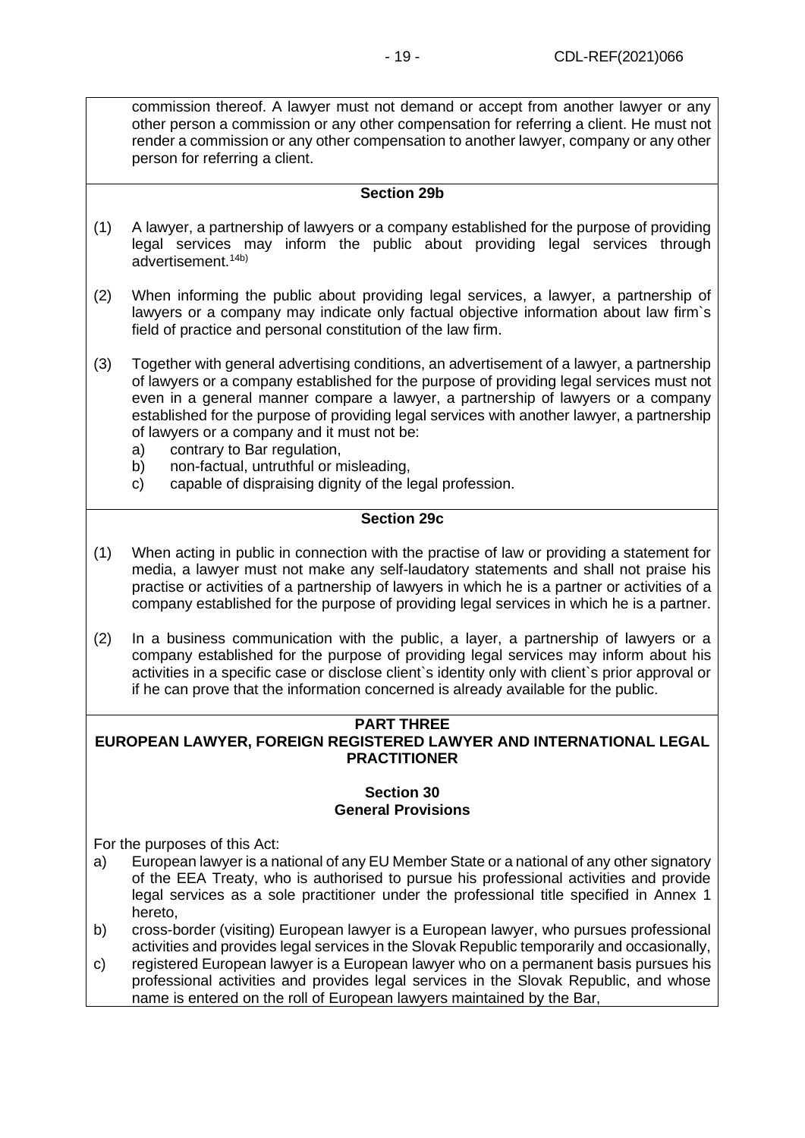commission thereof. A lawyer must not demand or accept from another lawyer or any other person a commission or any other compensation for referring a client. He must not render a commission or any other compensation to another lawyer, company or any other person for referring a client.

### **Section 29b**

- (1) A lawyer, a partnership of lawyers or a company established for the purpose of providing legal services may inform the public about providing legal services through advertisement.14b)
- (2) When informing the public about providing legal services, a lawyer, a partnership of lawyers or a company may indicate only factual objective information about law firm`s field of practice and personal constitution of the law firm.
- (3) Together with general advertising conditions, an advertisement of a lawyer, a partnership of lawyers or a company established for the purpose of providing legal services must not even in a general manner compare a lawyer, a partnership of lawyers or a company established for the purpose of providing legal services with another lawyer, a partnership of lawyers or a company and it must not be:
	- a) contrary to Bar regulation,
	- b) non-factual, untruthful or misleading,
	- c) capable of dispraising dignity of the legal profession.

## **Section 29c**

- (1) When acting in public in connection with the practise of law or providing a statement for media, a lawyer must not make any self-laudatory statements and shall not praise his practise or activities of a partnership of lawyers in which he is a partner or activities of a company established for the purpose of providing legal services in which he is a partner.
- (2) In a business communication with the public, a layer, a partnership of lawyers or a company established for the purpose of providing legal services may inform about his activities in a specific case or disclose client`s identity only with client`s prior approval or if he can prove that the information concerned is already available for the public.

#### **PART THREE EUROPEAN LAWYER, FOREIGN REGISTERED LAWYER AND INTERNATIONAL LEGAL PRACTITIONER**

#### **Section 30 General Provisions**

<span id="page-18-0"></span>For the purposes of this Act:

- a) European lawyer is a national of any EU Member State or a national of any other signatory of the EEA Treaty, who is authorised to pursue his professional activities and provide legal services as a sole practitioner under the professional title specified in Annex 1 hereto,
- b) cross-border (visiting) European lawyer is a European lawyer, who pursues professional activities and provides legal services in the Slovak Republic temporarily and occasionally,
- c) registered European lawyer is a European lawyer who on a permanent basis pursues his professional activities and provides legal services in the Slovak Republic, and whose name is entered on the roll of European lawyers maintained by the Bar,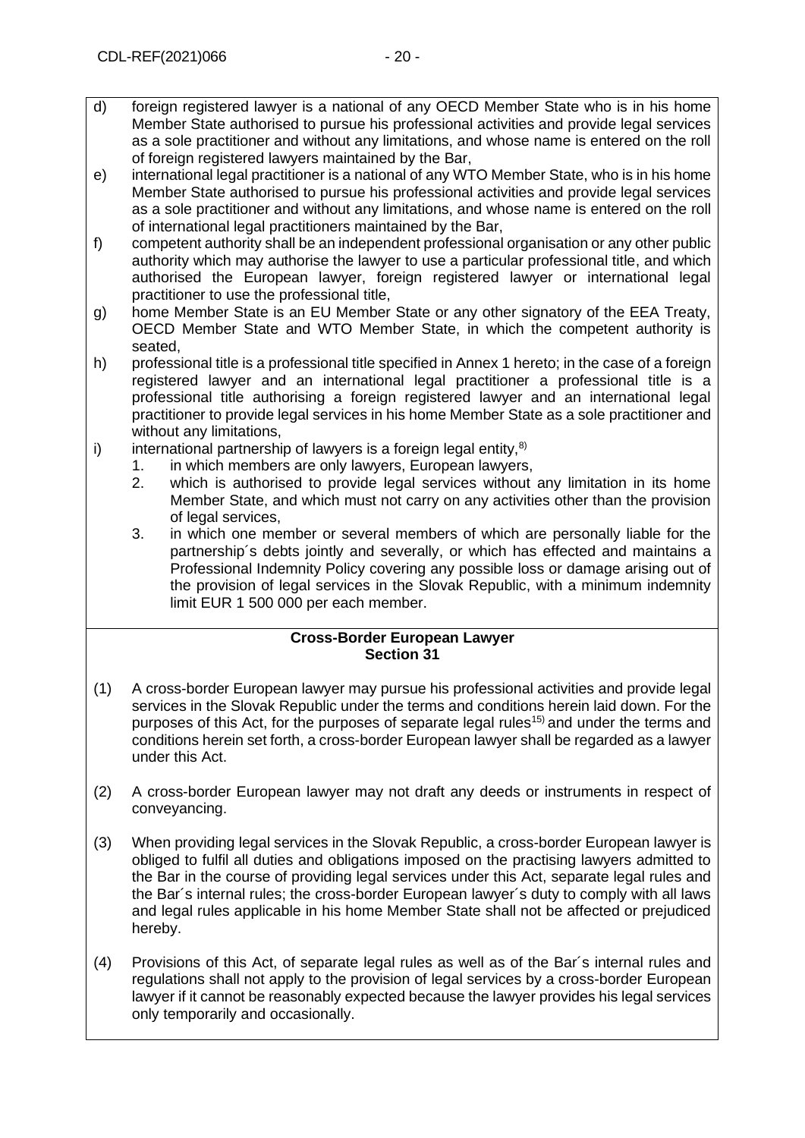- d) foreign registered lawyer is a national of any OECD Member State who is in his home Member State authorised to pursue his professional activities and provide legal services as a sole practitioner and without any limitations, and whose name is entered on the roll of foreign registered lawyers maintained by the Bar,
- e) international legal practitioner is a national of any WTO Member State, who is in his home Member State authorised to pursue his professional activities and provide legal services as a sole practitioner and without any limitations, and whose name is entered on the roll of international legal practitioners maintained by the Bar,
- f) competent authority shall be an independent professional organisation or any other public authority which may authorise the lawyer to use a particular professional title, and which authorised the European lawyer, foreign registered lawyer or international legal practitioner to use the professional title,
- g) home Member State is an EU Member State or any other signatory of the EEA Treaty, OECD Member State and WTO Member State, in which the competent authority is seated,
- h) professional title is a professional title specified in Annex 1 hereto; in the case of a foreign registered lawyer and an international legal practitioner a professional title is a professional title authorising a foreign registered lawyer and an international legal practitioner to provide legal services in his home Member State as a sole practitioner and without any limitations,
- i) international partnership of lawyers is a foreign legal entity, $8$ )
	- 1. in which members are only lawyers, European lawyers,
	- 2. which is authorised to provide legal services without any limitation in its home Member State, and which must not carry on any activities other than the provision of legal services.
	- 3. in which one member or several members of which are personally liable for the partnership´s debts jointly and severally, or which has effected and maintains a Professional Indemnity Policy covering any possible loss or damage arising out of the provision of legal services in the Slovak Republic, with a minimum indemnity limit EUR 1 500 000 per each member.

## **Cross-Border European Lawyer Section 31**

- (1) A cross-border European lawyer may pursue his professional activities and provide legal services in the Slovak Republic under the terms and conditions herein laid down. For the purposes of this Act, for the purposes of separate legal rules<sup>15)</sup> and under the terms and conditions herein set forth, a cross-border European lawyer shall be regarded as a lawyer under this Act.
- (2) A cross-border European lawyer may not draft any deeds or instruments in respect of conveyancing.
- (3) When providing legal services in the Slovak Republic, a cross-border European lawyer is obliged to fulfil all duties and obligations imposed on the practising lawyers admitted to the Bar in the course of providing legal services under this Act, separate legal rules and the Bar´s internal rules; the cross-border European lawyer´s duty to comply with all laws and legal rules applicable in his home Member State shall not be affected or prejudiced hereby.
- (4) Provisions of this Act, of separate legal rules as well as of the Bar´s internal rules and regulations shall not apply to the provision of legal services by a cross-border European lawyer if it cannot be reasonably expected because the lawyer provides his legal services only temporarily and occasionally.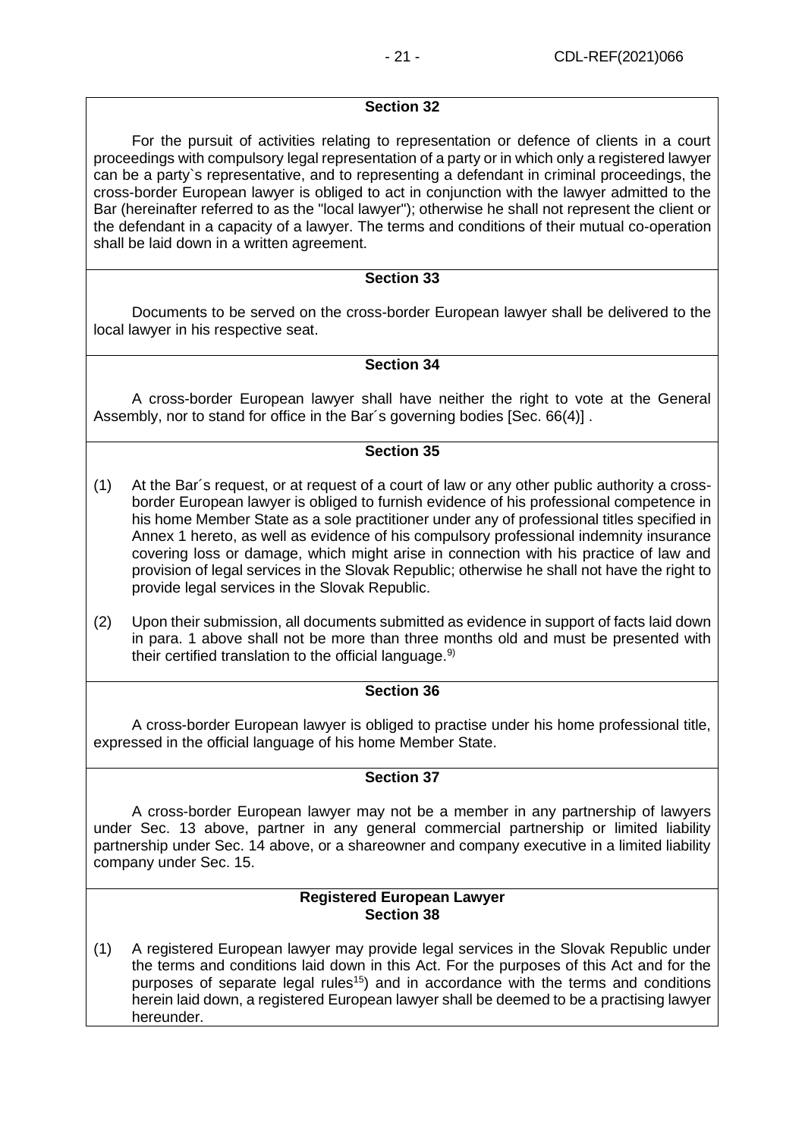For the pursuit of activities relating to representation or defence of clients in a court proceedings with compulsory legal representation of a party or in which only a registered lawyer can be a party`s representative, and to representing a defendant in criminal proceedings, the cross-border European lawyer is obliged to act in conjunction with the lawyer admitted to the Bar (hereinafter referred to as the "local lawyer"); otherwise he shall not represent the client or the defendant in a capacity of a lawyer. The terms and conditions of their mutual co-operation shall be laid down in a written agreement.

#### **Section 33**

Documents to be served on the cross-border European lawyer shall be delivered to the local lawyer in his respective seat.

## **Section 34**

A cross-border European lawyer shall have neither the right to vote at the General Assembly, nor to stand for office in the Bar´s governing bodies [Sec. 66(4)] .

### **Section 35**

- (1) At the Bar´s request, or at request of a court of law or any other public authority a crossborder European lawyer is obliged to furnish evidence of his professional competence in his home Member State as a sole practitioner under any of professional titles specified in Annex 1 hereto, as well as evidence of his compulsory professional indemnity insurance covering loss or damage, which might arise in connection with his practice of law and provision of legal services in the Slovak Republic; otherwise he shall not have the right to provide legal services in the Slovak Republic.
- (2) Upon their submission, all documents submitted as evidence in support of facts laid down in para. 1 above shall not be more than three months old and must be presented with their certified translation to the official language. $9$

## **Section 36**

A cross-border European lawyer is obliged to practise under his home professional title, expressed in the official language of his home Member State.

## **Section 37**

A cross-border European lawyer may not be a member in any partnership of lawyers under Sec. 13 above, partner in any general commercial partnership or limited liability partnership under Sec. 14 above, or a shareowner and company executive in a limited liability company under Sec. 15.

#### **Registered European Lawyer Section 38**

(1) A registered European lawyer may provide legal services in the Slovak Republic under the terms and conditions laid down in this Act. For the purposes of this Act and for the purposes of separate legal rules<sup>15</sup>) and in accordance with the terms and conditions herein laid down, a registered European lawyer shall be deemed to be a practising lawyer hereunder.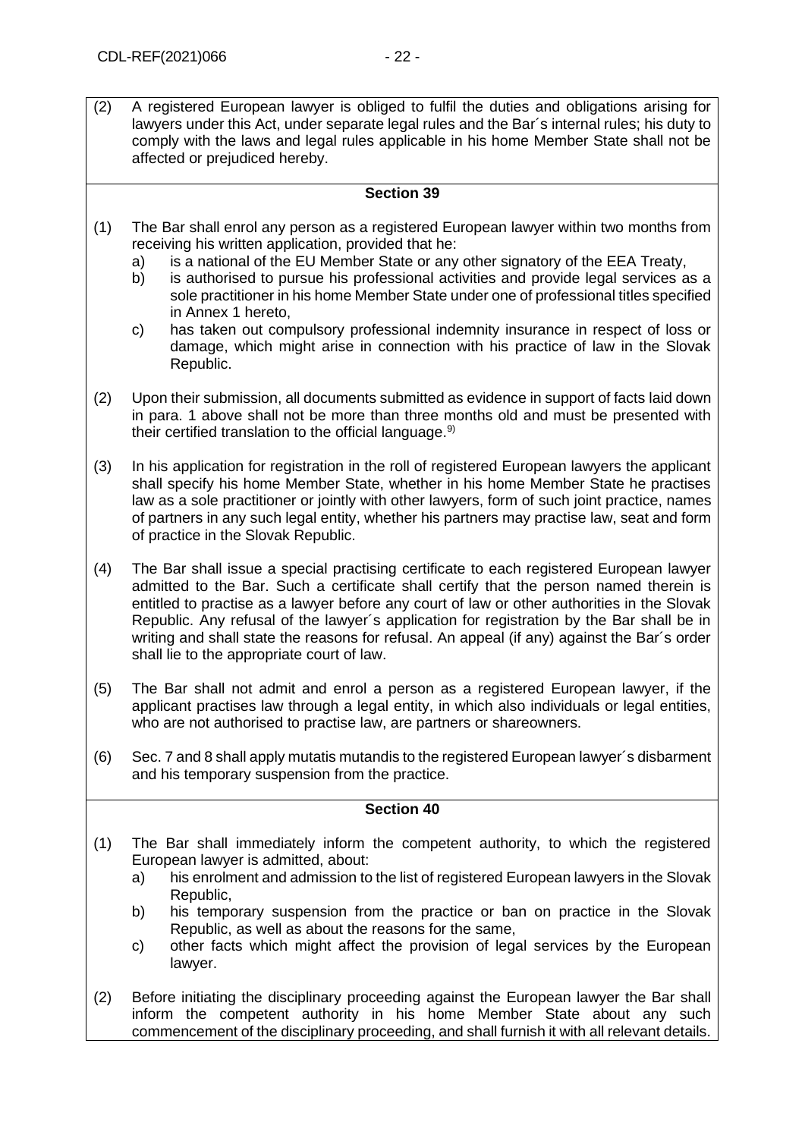(2) A registered European lawyer is obliged to fulfil the duties and obligations arising for lawyers under this Act, under separate legal rules and the Bar´s internal rules; his duty to comply with the laws and legal rules applicable in his home Member State shall not be affected or prejudiced hereby.

## **Section 39**

- <span id="page-21-0"></span>(1) The Bar shall enrol any person as a registered European lawyer within two months from receiving his written application, provided that he:
	- a) is a national of the EU Member State or any other signatory of the EEA Treaty,
	- b) is authorised to pursue his professional activities and provide legal services as a sole practitioner in his home Member State under one of professional titles specified in Annex 1 hereto,
	- c) has taken out compulsory professional indemnity insurance in respect of loss or damage, which might arise in connection with his practice of law in the Slovak Republic.
- (2) Upon their submission, all documents submitted as evidence in support of facts laid down in para. 1 above shall not be more than three months old and must be presented with their certified translation to the official language. $9$
- (3) In his application for registration in the roll of registered European lawyers the applicant shall specify his home Member State, whether in his home Member State he practises law as a sole practitioner or jointly with other lawyers, form of such joint practice, names of partners in any such legal entity, whether his partners may practise law, seat and form of practice in the Slovak Republic.
- (4) The Bar shall issue a special practising certificate to each registered European lawyer admitted to the Bar. Such a certificate shall certify that the person named therein is entitled to practise as a lawyer before any court of law or other authorities in the Slovak Republic. Any refusal of the lawyer´s application for registration by the Bar shall be in writing and shall state the reasons for refusal. An appeal (if any) against the Bar´s order shall lie to the appropriate court of law.
- (5) The Bar shall not admit and enrol a person as a registered European lawyer, if the applicant practises law through a legal entity, in which also individuals or legal entities, who are not authorised to practise law, are partners or shareowners.
- (6) Sec. 7 and 8 shall apply mutatis mutandis to the registered European lawyer´s disbarment and his temporary suspension from the practice.

- (1) The Bar shall immediately inform the competent authority, to which the registered European lawyer is admitted, about:
	- a) his enrolment and admission to the list of registered European lawyers in the Slovak Republic,
	- b) his temporary suspension from the practice or ban on practice in the Slovak Republic, as well as about the reasons for the same,
	- c) other facts which might affect the provision of legal services by the European lawyer.
- (2) Before initiating the disciplinary proceeding against the European lawyer the Bar shall inform the competent authority in his home Member State about any such commencement of the disciplinary proceeding, and shall furnish it with all relevant details.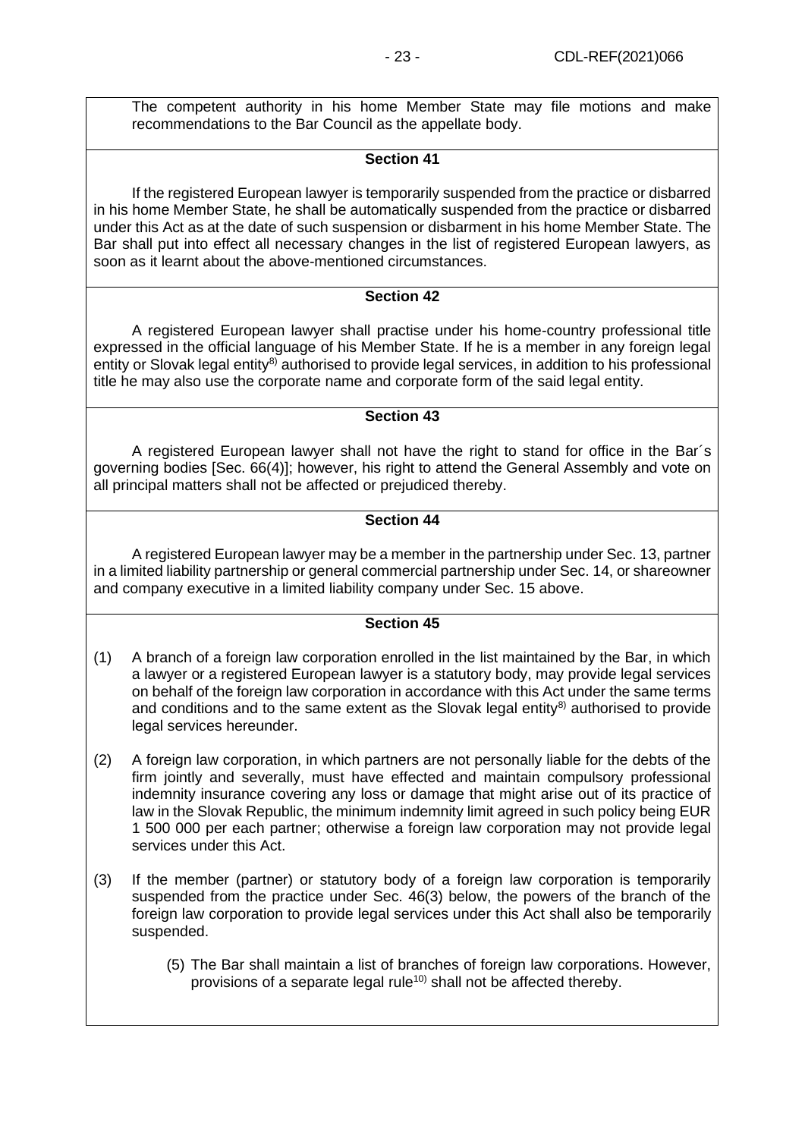The competent authority in his home Member State may file motions and make recommendations to the Bar Council as the appellate body.

## **Section 41**

If the registered European lawyer is temporarily suspended from the practice or disbarred in his home Member State, he shall be automatically suspended from the practice or disbarred under this Act as at the date of such suspension or disbarment in his home Member State. The Bar shall put into effect all necessary changes in the list of registered European lawyers, as soon as it learnt about the above-mentioned circumstances.

## **Section 42**

A registered European lawyer shall practise under his home-country professional title expressed in the official language of his Member State. If he is a member in any foreign legal entity or Slovak legal entity<sup>8)</sup> authorised to provide legal services, in addition to his professional title he may also use the corporate name and corporate form of the said legal entity.

## **Section 43**

A registered European lawyer shall not have the right to stand for office in the Bar´s governing bodies [Sec. 66(4)]; however, his right to attend the General Assembly and vote on all principal matters shall not be affected or prejudiced thereby.

## **Section 44**

A registered European lawyer may be a member in the partnership under Sec. 13, partner in a limited liability partnership or general commercial partnership under Sec. 14, or shareowner and company executive in a limited liability company under Sec. 15 above.

- (1) A branch of a foreign law corporation enrolled in the list maintained by the Bar, in which a lawyer or a registered European lawyer is a statutory body, may provide legal services on behalf of the foreign law corporation in accordance with this Act under the same terms and conditions and to the same extent as the Slovak legal entity $8$ ) authorised to provide legal services hereunder.
- (2) A foreign law corporation, in which partners are not personally liable for the debts of the firm jointly and severally, must have effected and maintain compulsory professional indemnity insurance covering any loss or damage that might arise out of its practice of law in the Slovak Republic, the minimum indemnity limit agreed in such policy being EUR 1 500 000 per each partner; otherwise a foreign law corporation may not provide legal services under this Act.
- (3) If the member (partner) or statutory body of a foreign law corporation is temporarily suspended from the practice under Sec. 46(3) below, the powers of the branch of the foreign law corporation to provide legal services under this Act shall also be temporarily suspended.
	- (5) The Bar shall maintain a list of branches of foreign law corporations. However, provisions of a separate legal rule<sup>10)</sup> shall not be affected thereby.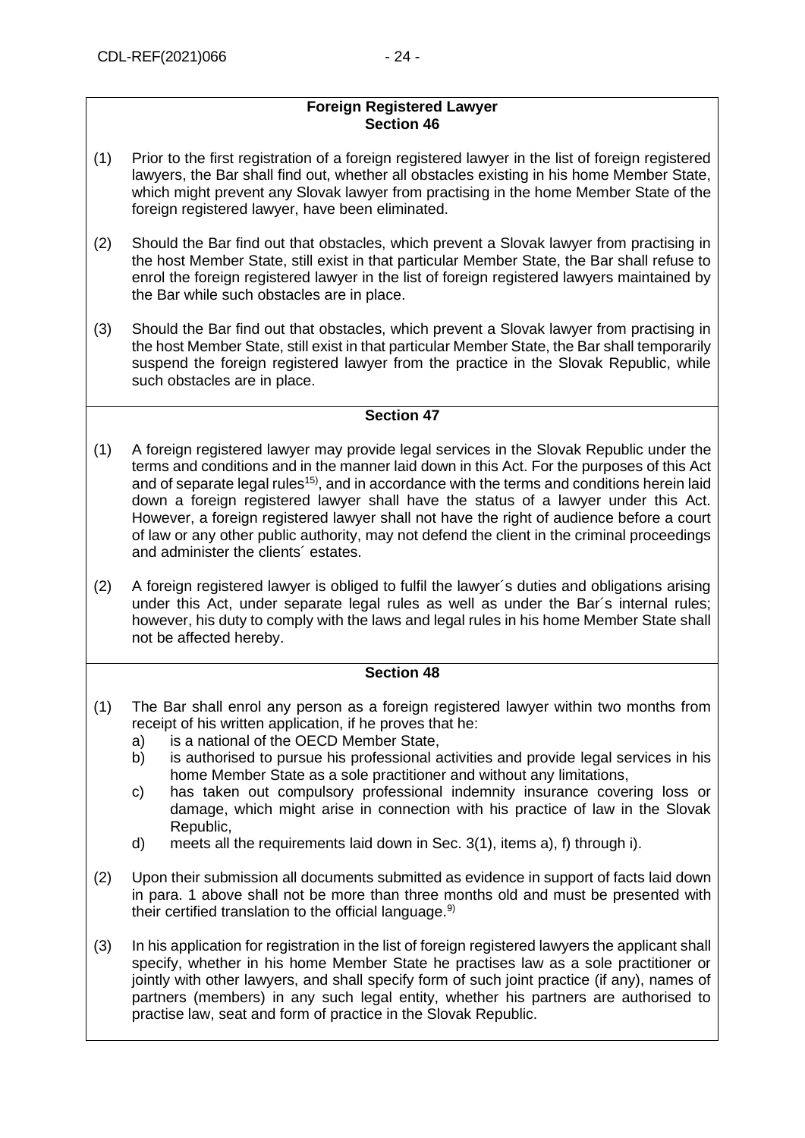#### **Foreign Registered Lawyer Section 46**

- (1) Prior to the first registration of a foreign registered lawyer in the list of foreign registered lawyers, the Bar shall find out, whether all obstacles existing in his home Member State, which might prevent any Slovak lawyer from practising in the home Member State of the foreign registered lawyer, have been eliminated.
- (2) Should the Bar find out that obstacles, which prevent a Slovak lawyer from practising in the host Member State, still exist in that particular Member State, the Bar shall refuse to enrol the foreign registered lawyer in the list of foreign registered lawyers maintained by the Bar while such obstacles are in place.
- (3) Should the Bar find out that obstacles, which prevent a Slovak lawyer from practising in the host Member State, still exist in that particular Member State, the Bar shall temporarily suspend the foreign registered lawyer from the practice in the Slovak Republic, while such obstacles are in place.

## **Section 47**

- (1) A foreign registered lawyer may provide legal services in the Slovak Republic under the terms and conditions and in the manner laid down in this Act. For the purposes of this Act and of separate legal rules<sup>15)</sup>, and in accordance with the terms and conditions herein laid down a foreign registered lawyer shall have the status of a lawyer under this Act. However, a foreign registered lawyer shall not have the right of audience before a court of law or any other public authority, may not defend the client in the criminal proceedings and administer the clients´ estates.
- (2) A foreign registered lawyer is obliged to fulfil the lawyer´s duties and obligations arising under this Act, under separate legal rules as well as under the Bar´s internal rules; however, his duty to comply with the laws and legal rules in his home Member State shall not be affected hereby.

- <span id="page-23-0"></span>(1) The Bar shall enrol any person as a foreign registered lawyer within two months from receipt of his written application, if he proves that he:
	- a) is a national of the OECD Member State,
	- b) is authorised to pursue his professional activities and provide legal services in his home Member State as a sole practitioner and without any limitations,
	- c) has taken out compulsory professional indemnity insurance covering loss or damage, which might arise in connection with his practice of law in the Slovak Republic,
	- d) meets all the requirements laid down in Sec. 3(1), items a), f) through i).
- (2) Upon their submission all documents submitted as evidence in support of facts laid down in para. 1 above shall not be more than three months old and must be presented with their certified translation to the official language. $9$
- (3) In his application for registration in the list of foreign registered lawyers the applicant shall specify, whether in his home Member State he practises law as a sole practitioner or jointly with other lawyers, and shall specify form of such joint practice (if any), names of partners (members) in any such legal entity, whether his partners are authorised to practise law, seat and form of practice in the Slovak Republic.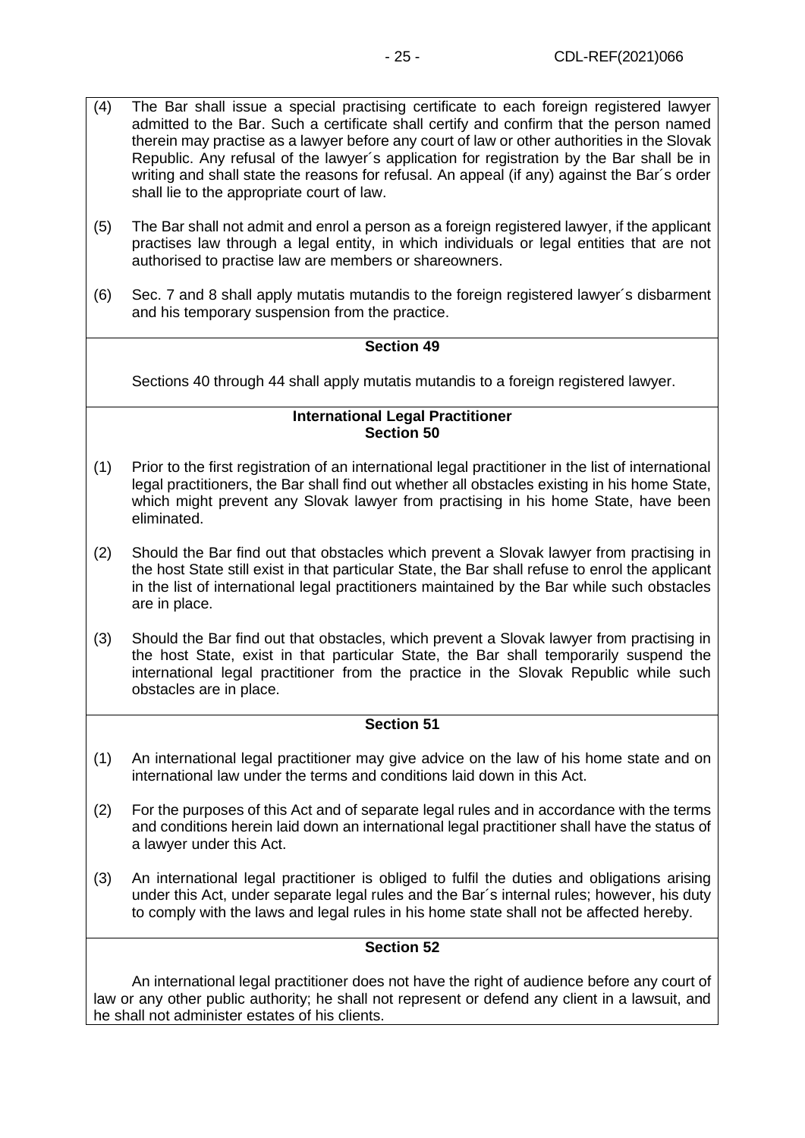- (4) The Bar shall issue a special practising certificate to each foreign registered lawyer admitted to the Bar. Such a certificate shall certify and confirm that the person named therein may practise as a lawyer before any court of law or other authorities in the Slovak Republic. Any refusal of the lawyer´s application for registration by the Bar shall be in writing and shall state the reasons for refusal. An appeal (if any) against the Bar´s order shall lie to the appropriate court of law.
- (5) The Bar shall not admit and enrol a person as a foreign registered lawyer, if the applicant practises law through a legal entity, in which individuals or legal entities that are not authorised to practise law are members or shareowners.
- (6) Sec. 7 and 8 shall apply mutatis mutandis to the foreign registered lawyer´s disbarment and his temporary suspension from the practice.

Sections 40 through 44 shall apply mutatis mutandis to a foreign registered lawyer.

#### **International Legal Practitioner Section 50**

- (1) Prior to the first registration of an international legal practitioner in the list of international legal practitioners, the Bar shall find out whether all obstacles existing in his home State, which might prevent any Slovak lawyer from practising in his home State, have been eliminated.
- (2) Should the Bar find out that obstacles which prevent a Slovak lawyer from practising in the host State still exist in that particular State, the Bar shall refuse to enrol the applicant in the list of international legal practitioners maintained by the Bar while such obstacles are in place.
- (3) Should the Bar find out that obstacles, which prevent a Slovak lawyer from practising in the host State, exist in that particular State, the Bar shall temporarily suspend the international legal practitioner from the practice in the Slovak Republic while such obstacles are in place.

## **Section 51**

- (1) An international legal practitioner may give advice on the law of his home state and on international law under the terms and conditions laid down in this Act.
- (2) For the purposes of this Act and of separate legal rules and in accordance with the terms and conditions herein laid down an international legal practitioner shall have the status of a lawyer under this Act.
- (3) An international legal practitioner is obliged to fulfil the duties and obligations arising under this Act, under separate legal rules and the Bar´s internal rules; however, his duty to comply with the laws and legal rules in his home state shall not be affected hereby.

## **Section 52**

An international legal practitioner does not have the right of audience before any court of law or any other public authority; he shall not represent or defend any client in a lawsuit, and he shall not administer estates of his clients.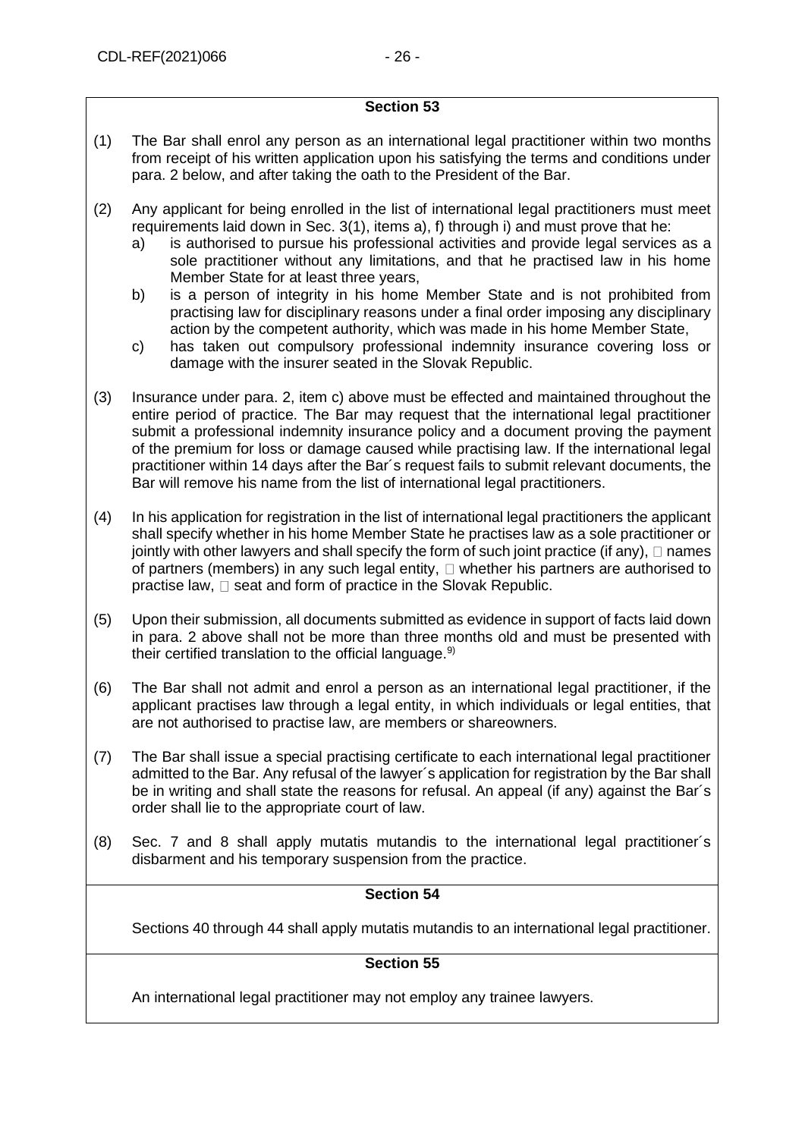- <span id="page-25-0"></span>(1) The Bar shall enrol any person as an international legal practitioner within two months from receipt of his written application upon his satisfying the terms and conditions under para. 2 below, and after taking the oath to the President of the Bar.
- (2) Any applicant for being enrolled in the list of international legal practitioners must meet requirements laid down in Sec. 3(1), items a), f) through i) and must prove that he:
	- a) is authorised to pursue his professional activities and provide legal services as a sole practitioner without any limitations, and that he practised law in his home Member State for at least three years,
	- b) is a person of integrity in his home Member State and is not prohibited from practising law for disciplinary reasons under a final order imposing any disciplinary action by the competent authority, which was made in his home Member State,
	- c) has taken out compulsory professional indemnity insurance covering loss or damage with the insurer seated in the Slovak Republic.
- (3) Insurance under para. 2, item c) above must be effected and maintained throughout the entire period of practice. The Bar may request that the international legal practitioner submit a professional indemnity insurance policy and a document proving the payment of the premium for loss or damage caused while practising law. If the international legal practitioner within 14 days after the Bar´s request fails to submit relevant documents, the Bar will remove his name from the list of international legal practitioners.
- (4) In his application for registration in the list of international legal practitioners the applicant shall specify whether in his home Member State he practises law as a sole practitioner or jointly with other lawyers and shall specify the form of such joint practice (if any),  $\Box$  names of partners (members) in any such legal entity,  $\Box$  whether his partners are authorised to practise law,  $\square$  seat and form of practice in the Slovak Republic.
- (5) Upon their submission, all documents submitted as evidence in support of facts laid down in para. 2 above shall not be more than three months old and must be presented with their certified translation to the official language. $9$
- (6) The Bar shall not admit and enrol a person as an international legal practitioner, if the applicant practises law through a legal entity, in which individuals or legal entities, that are not authorised to practise law, are members or shareowners.
- (7) The Bar shall issue a special practising certificate to each international legal practitioner admitted to the Bar. Any refusal of the lawyer´s application for registration by the Bar shall be in writing and shall state the reasons for refusal. An appeal (if any) against the Bar´s order shall lie to the appropriate court of law.
- (8) Sec. 7 and 8 shall apply mutatis mutandis to the international legal practitioner´s disbarment and his temporary suspension from the practice.

## **Section 54**

Sections 40 through 44 shall apply mutatis mutandis to an international legal practitioner.

## **Section 55**

An international legal practitioner may not employ any trainee lawyers.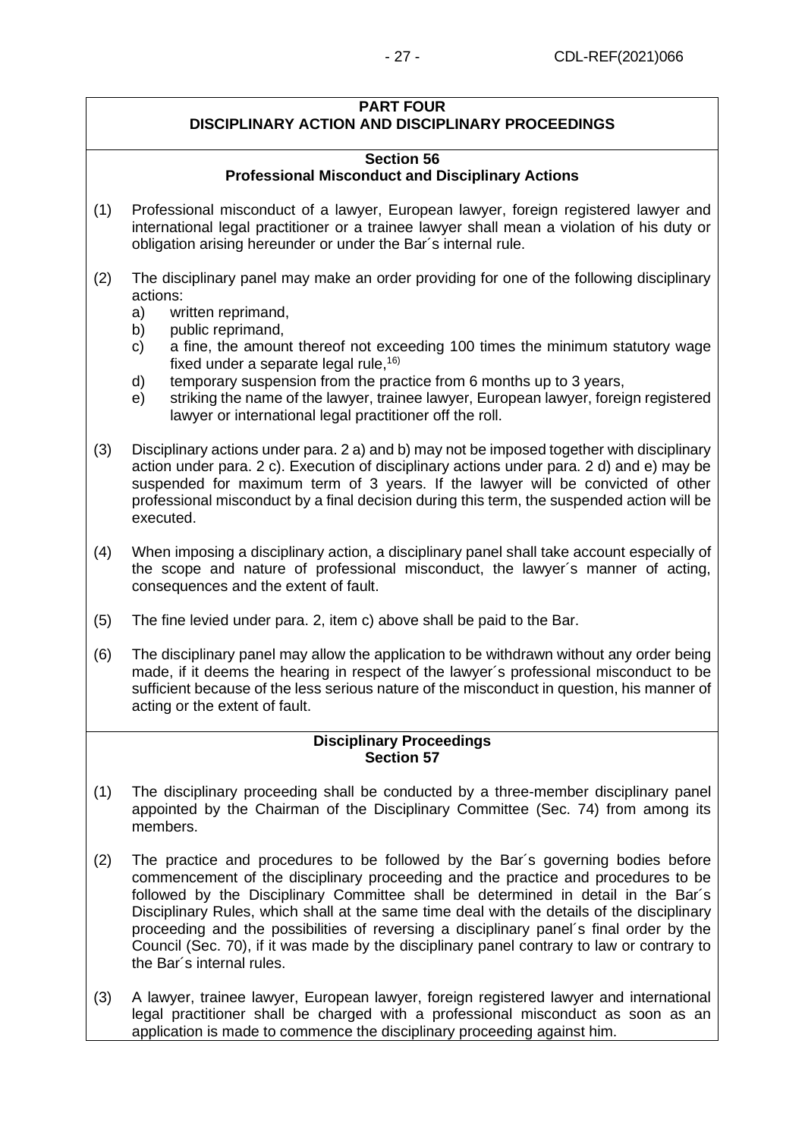## **PART FOUR**

## **DISCIPLINARY ACTION AND DISCIPLINARY PROCEEDINGS**

## **Section 56 Professional Misconduct and Disciplinary Actions**

- (1) Professional misconduct of a lawyer, European lawyer, foreign registered lawyer and international legal practitioner or a trainee lawyer shall mean a violation of his duty or obligation arising hereunder or under the Bar´s internal rule.
- (2) The disciplinary panel may make an order providing for one of the following disciplinary actions:
	- a) written reprimand,
	- b) public reprimand,
	- c) a fine, the amount thereof not exceeding 100 times the minimum statutory wage fixed under a separate legal rule.<sup>16)</sup>
	- d) temporary suspension from the practice from 6 months up to 3 years,
	- e) striking the name of the lawyer, trainee lawyer, European lawyer, foreign registered lawyer or international legal practitioner off the roll.
- (3) Disciplinary actions under para. 2 a) and b) may not be imposed together with disciplinary action under para. 2 c). Execution of disciplinary actions under para. 2 d) and e) may be suspended for maximum term of 3 years. If the lawyer will be convicted of other professional misconduct by a final decision during this term, the suspended action will be executed.
- (4) When imposing a disciplinary action, a disciplinary panel shall take account especially of the scope and nature of professional misconduct, the lawyer´s manner of acting, consequences and the extent of fault.
- (5) The fine levied under para. 2, item c) above shall be paid to the Bar.
- (6) The disciplinary panel may allow the application to be withdrawn without any order being made, if it deems the hearing in respect of the lawyer´s professional misconduct to be sufficient because of the less serious nature of the misconduct in question, his manner of acting or the extent of fault.

## **Disciplinary Proceedings Section 57**

- (1) The disciplinary proceeding shall be conducted by a three-member disciplinary panel appointed by the Chairman of the Disciplinary Committee (Sec. 74) from among its members.
- (2) The practice and procedures to be followed by the Bar´s governing bodies before commencement of the disciplinary proceeding and the practice and procedures to be followed by the Disciplinary Committee shall be determined in detail in the Bar´s Disciplinary Rules, which shall at the same time deal with the details of the disciplinary proceeding and the possibilities of reversing a disciplinary panel´s final order by the Council (Sec. 70), if it was made by the disciplinary panel contrary to law or contrary to the Bar´s internal rules.
- (3) A lawyer, trainee lawyer, European lawyer, foreign registered lawyer and international legal practitioner shall be charged with a professional misconduct as soon as an application is made to commence the disciplinary proceeding against him.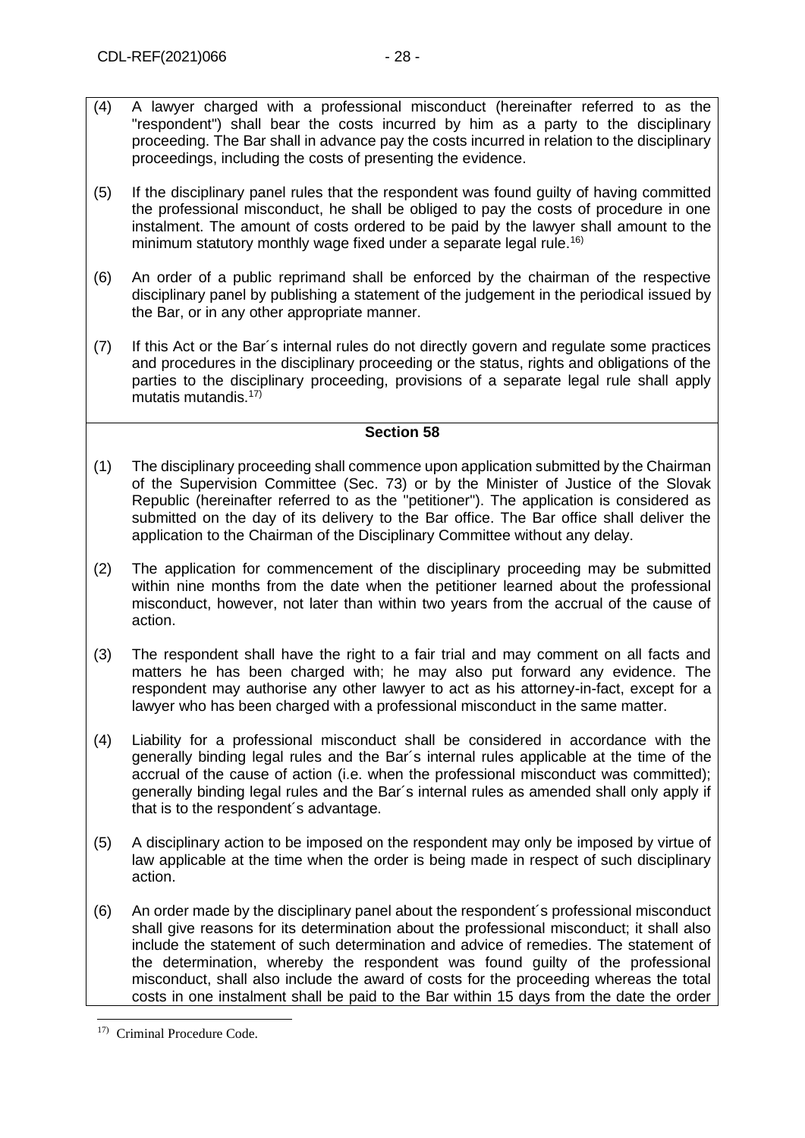- (4) A lawyer charged with a professional misconduct (hereinafter referred to as the "respondent") shall bear the costs incurred by him as a party to the disciplinary proceeding. The Bar shall in advance pay the costs incurred in relation to the disciplinary proceedings, including the costs of presenting the evidence.
- (5) If the disciplinary panel rules that the respondent was found guilty of having committed the professional misconduct, he shall be obliged to pay the costs of procedure in one instalment. The amount of costs ordered to be paid by the lawyer shall amount to the minimum statutory monthly wage fixed under a separate legal rule.<sup>16)</sup>
- (6) An order of a public reprimand shall be enforced by the chairman of the respective disciplinary panel by publishing a statement of the judgement in the periodical issued by the Bar, or in any other appropriate manner.
- (7) If this Act or the Bar´s internal rules do not directly govern and regulate some practices and procedures in the disciplinary proceeding or the status, rights and obligations of the parties to the disciplinary proceeding, provisions of a separate legal rule shall apply mutatis mutandis.<sup>17)</sup>

- (1) The disciplinary proceeding shall commence upon application submitted by the Chairman of the Supervision Committee (Sec. 73) or by the Minister of Justice of the Slovak Republic (hereinafter referred to as the "petitioner"). The application is considered as submitted on the day of its delivery to the Bar office. The Bar office shall deliver the application to the Chairman of the Disciplinary Committee without any delay.
- (2) The application for commencement of the disciplinary proceeding may be submitted within nine months from the date when the petitioner learned about the professional misconduct, however, not later than within two years from the accrual of the cause of action.
- (3) The respondent shall have the right to a fair trial and may comment on all facts and matters he has been charged with; he may also put forward any evidence. The respondent may authorise any other lawyer to act as his attorney-in-fact, except for a lawyer who has been charged with a professional misconduct in the same matter.
- (4) Liability for a professional misconduct shall be considered in accordance with the generally binding legal rules and the Bar´s internal rules applicable at the time of the accrual of the cause of action (i.e. when the professional misconduct was committed); generally binding legal rules and the Bar´s internal rules as amended shall only apply if that is to the respondent´s advantage.
- (5) A disciplinary action to be imposed on the respondent may only be imposed by virtue of law applicable at the time when the order is being made in respect of such disciplinary action.
- (6) An order made by the disciplinary panel about the respondent´s professional misconduct shall give reasons for its determination about the professional misconduct; it shall also include the statement of such determination and advice of remedies. The statement of the determination, whereby the respondent was found guilty of the professional misconduct, shall also include the award of costs for the proceeding whereas the total costs in one instalment shall be paid to the Bar within 15 days from the date the order

<sup>17)</sup> Criminal Procedure Code.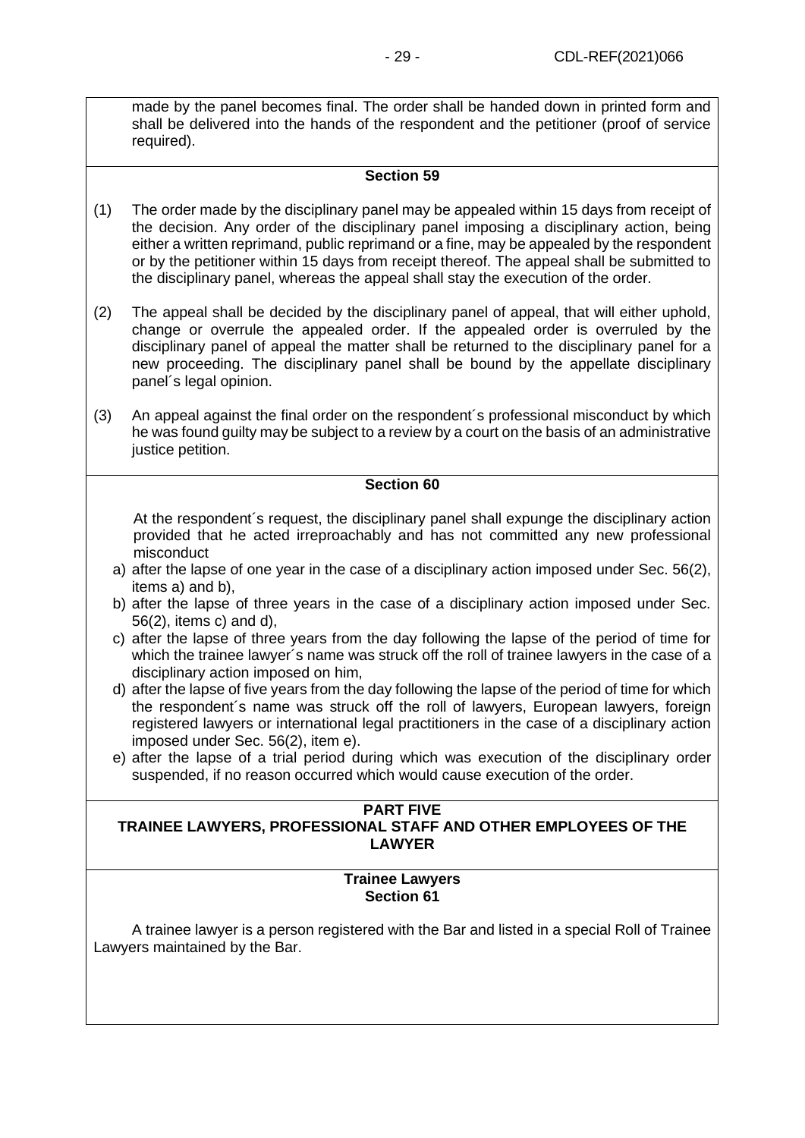made by the panel becomes final. The order shall be handed down in printed form and shall be delivered into the hands of the respondent and the petitioner (proof of service required).

## **Section 59**

- (1) The order made by the disciplinary panel may be appealed within 15 days from receipt of the decision. Any order of the disciplinary panel imposing a disciplinary action, being either a written reprimand, public reprimand or a fine, may be appealed by the respondent or by the petitioner within 15 days from receipt thereof. The appeal shall be submitted to the disciplinary panel, whereas the appeal shall stay the execution of the order.
- (2) The appeal shall be decided by the disciplinary panel of appeal, that will either uphold, change or overrule the appealed order. If the appealed order is overruled by the disciplinary panel of appeal the matter shall be returned to the disciplinary panel for a new proceeding. The disciplinary panel shall be bound by the appellate disciplinary panel´s legal opinion.
- (3) An appeal against the final order on the respondent´s professional misconduct by which he was found guilty may be subject to a review by a court on the basis of an administrative justice petition.

#### **Section 60**

At the respondent´s request, the disciplinary panel shall expunge the disciplinary action provided that he acted irreproachably and has not committed any new professional misconduct

- a) after the lapse of one year in the case of a disciplinary action imposed under Sec. 56(2), items a) and b),
- b) after the lapse of three years in the case of a disciplinary action imposed under Sec. 56(2), items c) and d),
- c) after the lapse of three years from the day following the lapse of the period of time for which the trainee lawyer´s name was struck off the roll of trainee lawyers in the case of a disciplinary action imposed on him,
- d) after the lapse of five years from the day following the lapse of the period of time for which the respondent´s name was struck off the roll of lawyers, European lawyers, foreign registered lawyers or international legal practitioners in the case of a disciplinary action imposed under Sec. 56(2), item e).
- e) after the lapse of a trial period during which was execution of the disciplinary order suspended, if no reason occurred which would cause execution of the order.

# **PART FIVE**

## **TRAINEE LAWYERS, PROFESSIONAL STAFF AND OTHER EMPLOYEES OF THE LAWYER**

#### **Trainee Lawyers Section 61**

A trainee lawyer is a person registered with the Bar and listed in a special Roll of Trainee Lawyers maintained by the Bar.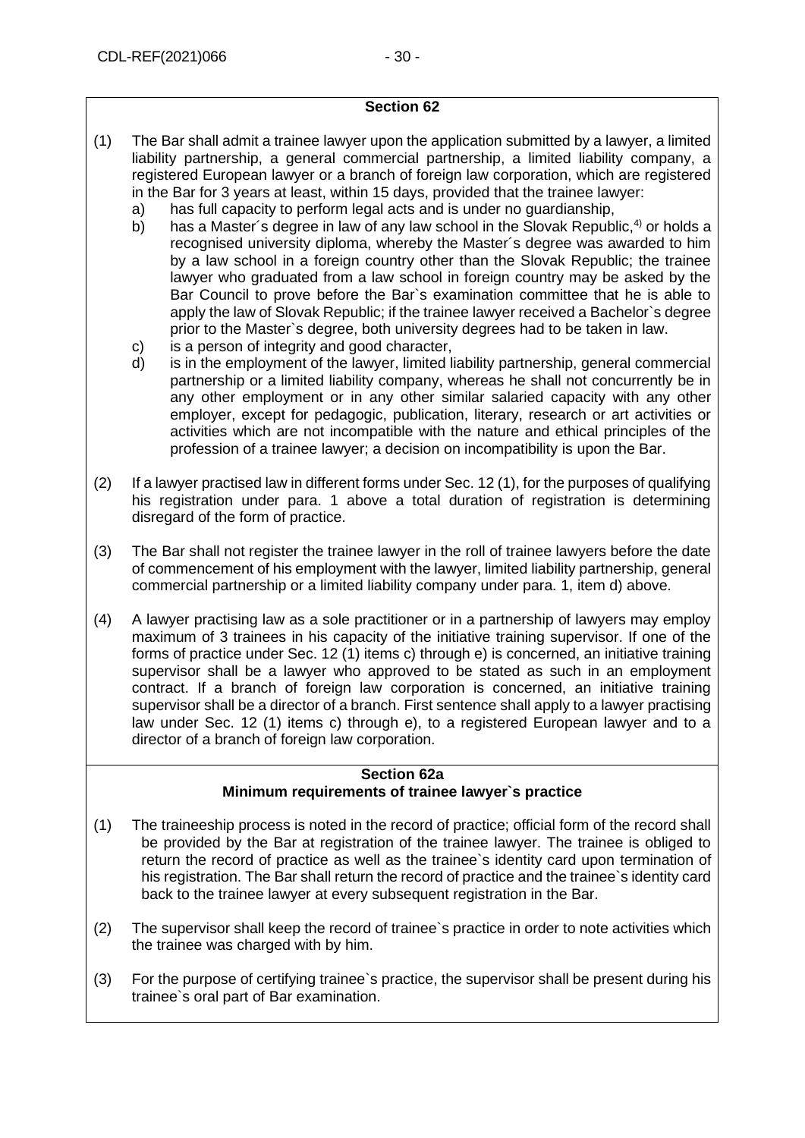- (1) The Bar shall admit a trainee lawyer upon the application submitted by a lawyer, a limited liability partnership, a general commercial partnership, a limited liability company, a registered European lawyer or a branch of foreign law corporation, which are registered in the Bar for 3 years at least, within 15 days, provided that the trainee lawyer:
	- a) has full capacity to perform legal acts and is under no guardianship,
	- b) has a Master's degree in law of any law school in the Slovak Republic,  $4$  or holds a recognised university diploma, whereby the Master´s degree was awarded to him by a law school in a foreign country other than the Slovak Republic; the trainee lawyer who graduated from a law school in foreign country may be asked by the Bar Council to prove before the Bar`s examination committee that he is able to apply the law of Slovak Republic; if the trainee lawyer received a Bachelor`s degree prior to the Master`s degree, both university degrees had to be taken in law.
	- c) is a person of integrity and good character,
	- d) is in the employment of the lawyer, limited liability partnership, general commercial partnership or a limited liability company, whereas he shall not concurrently be in any other employment or in any other similar salaried capacity with any other employer, except for pedagogic, publication, literary, research or art activities or activities which are not incompatible with the nature and ethical principles of the profession of a trainee lawyer; a decision on incompatibility is upon the Bar.
- (2) If a lawyer practised law in different forms under Sec. 12 (1), for the purposes of qualifying his registration under para. 1 above a total duration of registration is determining disregard of the form of practice.
- (3) The Bar shall not register the trainee lawyer in the roll of trainee lawyers before the date of commencement of his employment with the lawyer, limited liability partnership, general commercial partnership or a limited liability company under para. 1, item d) above.
- (4) A lawyer practising law as a sole practitioner or in a partnership of lawyers may employ maximum of 3 trainees in his capacity of the initiative training supervisor. If one of the forms of practice under Sec. 12 (1) items c) through e) is concerned, an initiative training supervisor shall be a lawyer who approved to be stated as such in an employment contract. If a branch of foreign law corporation is concerned, an initiative training supervisor shall be a director of a branch. First sentence shall apply to a lawyer practising law under Sec. 12 (1) items c) through e), to a registered European lawyer and to a director of a branch of foreign law corporation.

#### **Section 62a Minimum requirements of trainee lawyer`s practice**

- <span id="page-29-0"></span>(1) The traineeship process is noted in the record of practice; official form of the record shall be provided by the Bar at registration of the trainee lawyer. The trainee is obliged to return the record of practice as well as the trainee`s identity card upon termination of his registration. The Bar shall return the record of practice and the trainee`s identity card back to the trainee lawyer at every subsequent registration in the Bar.
- (2) The supervisor shall keep the record of trainee`s practice in order to note activities which the trainee was charged with by him.
- (3) For the purpose of certifying trainee`s practice, the supervisor shall be present during his trainee`s oral part of Bar examination.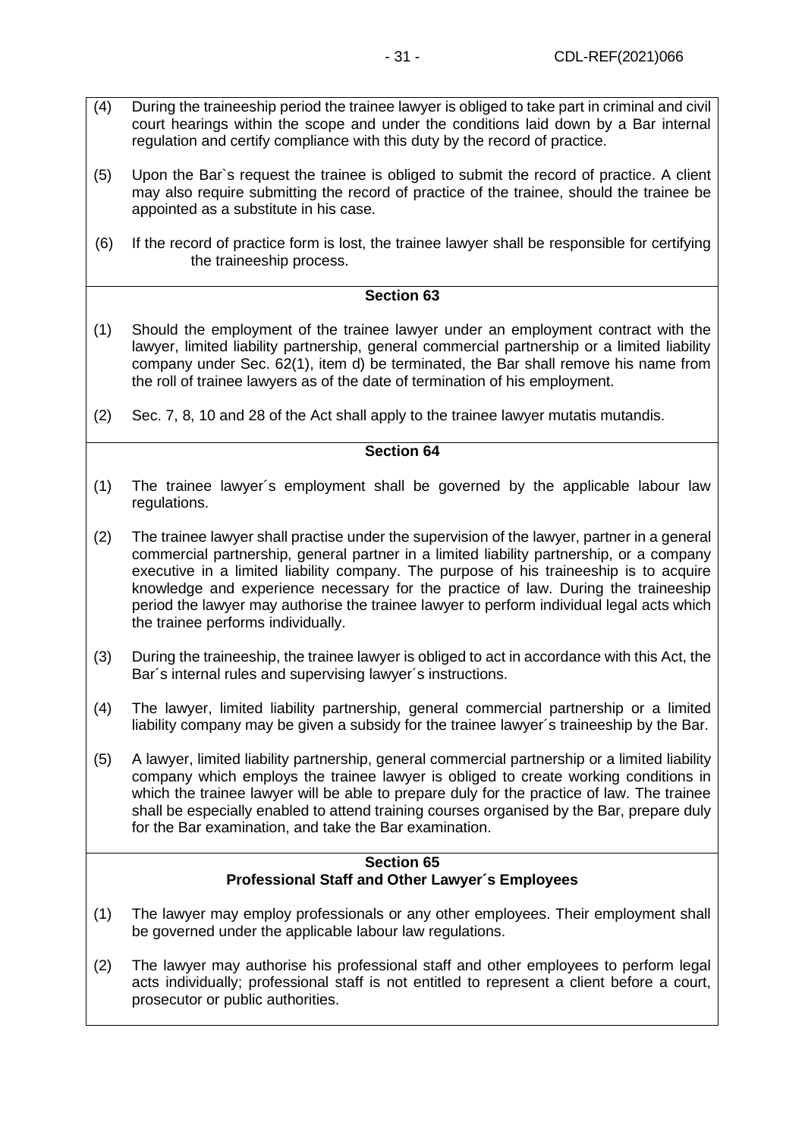- (4) During the traineeship period the trainee lawyer is obliged to take part in criminal and civil court hearings within the scope and under the conditions laid down by a Bar internal regulation and certify compliance with this duty by the record of practice.
- (5) Upon the Bar`s request the trainee is obliged to submit the record of practice. A client may also require submitting the record of practice of the trainee, should the trainee be appointed as a substitute in his case.
- (6) If the record of practice form is lost, the trainee lawyer shall be responsible for certifying the traineeship process.

- (1) Should the employment of the trainee lawyer under an employment contract with the lawyer, limited liability partnership, general commercial partnership or a limited liability company under Sec. 62(1), item d) be terminated, the Bar shall remove his name from the roll of trainee lawyers as of the date of termination of his employment.
- (2) Sec. 7, 8, 10 and 28 of the Act shall apply to the trainee lawyer mutatis mutandis.

### **Section 64**

- (1) The trainee lawyer´s employment shall be governed by the applicable labour law regulations.
- (2) The trainee lawyer shall practise under the supervision of the lawyer, partner in a general commercial partnership, general partner in a limited liability partnership, or a company executive in a limited liability company. The purpose of his traineeship is to acquire knowledge and experience necessary for the practice of law. During the traineeship period the lawyer may authorise the trainee lawyer to perform individual legal acts which the trainee performs individually.
- (3) During the traineeship, the trainee lawyer is obliged to act in accordance with this Act, the Bar´s internal rules and supervising lawyer´s instructions.
- (4) The lawyer, limited liability partnership, general commercial partnership or a limited liability company may be given a subsidy for the trainee lawyer´s traineeship by the Bar.
- (5) A lawyer, limited liability partnership, general commercial partnership or a limited liability company which employs the trainee lawyer is obliged to create working conditions in which the trainee lawyer will be able to prepare duly for the practice of law. The trainee shall be especially enabled to attend training courses organised by the Bar, prepare duly for the Bar examination, and take the Bar examination.

### **Section 65 Professional Staff and Other Lawyer´s Employees**

- (1) The lawyer may employ professionals or any other employees. Their employment shall be governed under the applicable labour law regulations.
- (2) The lawyer may authorise his professional staff and other employees to perform legal acts individually; professional staff is not entitled to represent a client before a court, prosecutor or public authorities.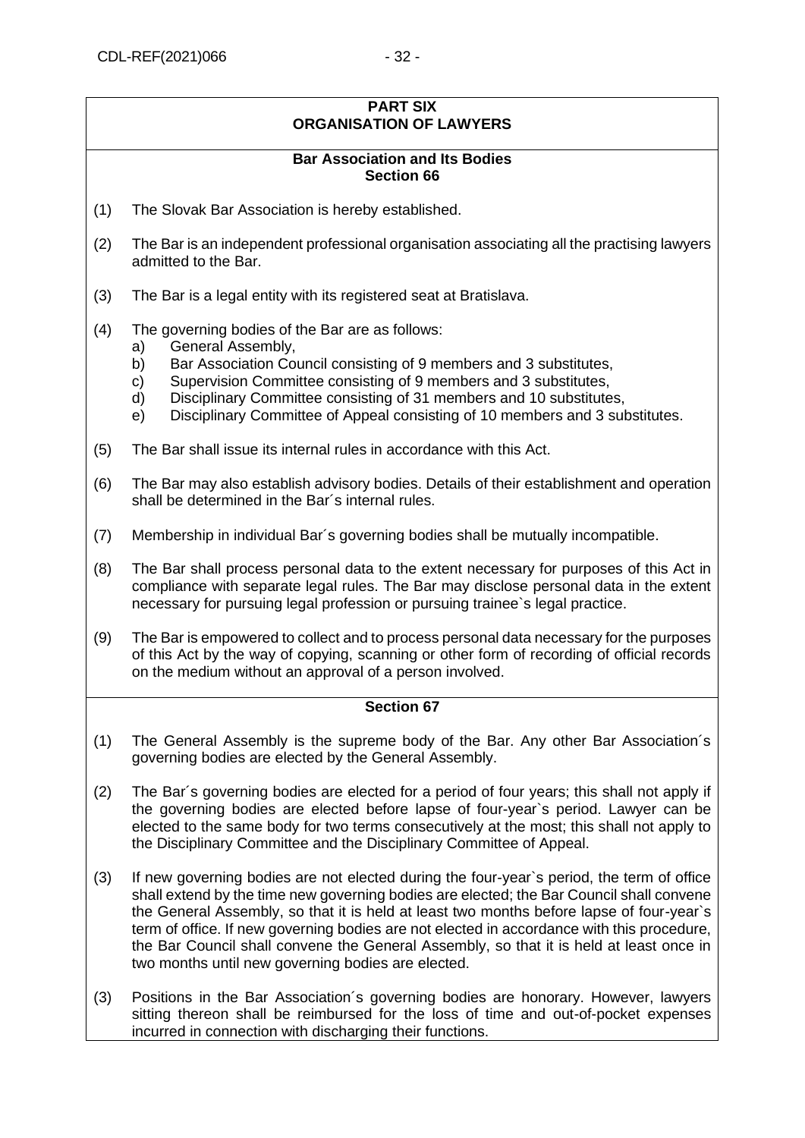#### **PART SIX ORGANISATION OF LAWYERS**

## **Bar Association and Its Bodies Section 66**

- (1) The Slovak Bar Association is hereby established.
- (2) The Bar is an independent professional organisation associating all the practising lawyers admitted to the Bar.
- (3) The Bar is a legal entity with its registered seat at Bratislava.
- (4) The governing bodies of the Bar are as follows:
	- a) General Assembly,
	- b) Bar Association Council consisting of 9 members and 3 substitutes,
	- c) Supervision Committee consisting of 9 members and 3 substitutes,
	- d) Disciplinary Committee consisting of 31 members and 10 substitutes,
	- e) Disciplinary Committee of Appeal consisting of 10 members and 3 substitutes.
- (5) The Bar shall issue its internal rules in accordance with this Act.
- (6) The Bar may also establish advisory bodies. Details of their establishment and operation shall be determined in the Bar´s internal rules.
- (7) Membership in individual Bar´s governing bodies shall be mutually incompatible.
- (8) The Bar shall process personal data to the extent necessary for purposes of this Act in compliance with separate legal rules. The Bar may disclose personal data in the extent necessary for pursuing legal profession or pursuing trainee`s legal practice.
- (9) The Bar is empowered to collect and to process personal data necessary for the purposes of this Act by the way of copying, scanning or other form of recording of official records on the medium without an approval of a person involved.

- (1) The General Assembly is the supreme body of the Bar. Any other Bar Association´s governing bodies are elected by the General Assembly.
- (2) The Bar´s governing bodies are elected for a period of four years; this shall not apply if the governing bodies are elected before lapse of four-year`s period. Lawyer can be elected to the same body for two terms consecutively at the most; this shall not apply to the Disciplinary Committee and the Disciplinary Committee of Appeal.
- (3) If new governing bodies are not elected during the four-year`s period, the term of office shall extend by the time new governing bodies are elected; the Bar Council shall convene the General Assembly, so that it is held at least two months before lapse of four-year`s term of office. If new governing bodies are not elected in accordance with this procedure, the Bar Council shall convene the General Assembly, so that it is held at least once in two months until new governing bodies are elected.
- (3) Positions in the Bar Association´s governing bodies are honorary. However, lawyers sitting thereon shall be reimbursed for the loss of time and out-of-pocket expenses incurred in connection with discharging their functions.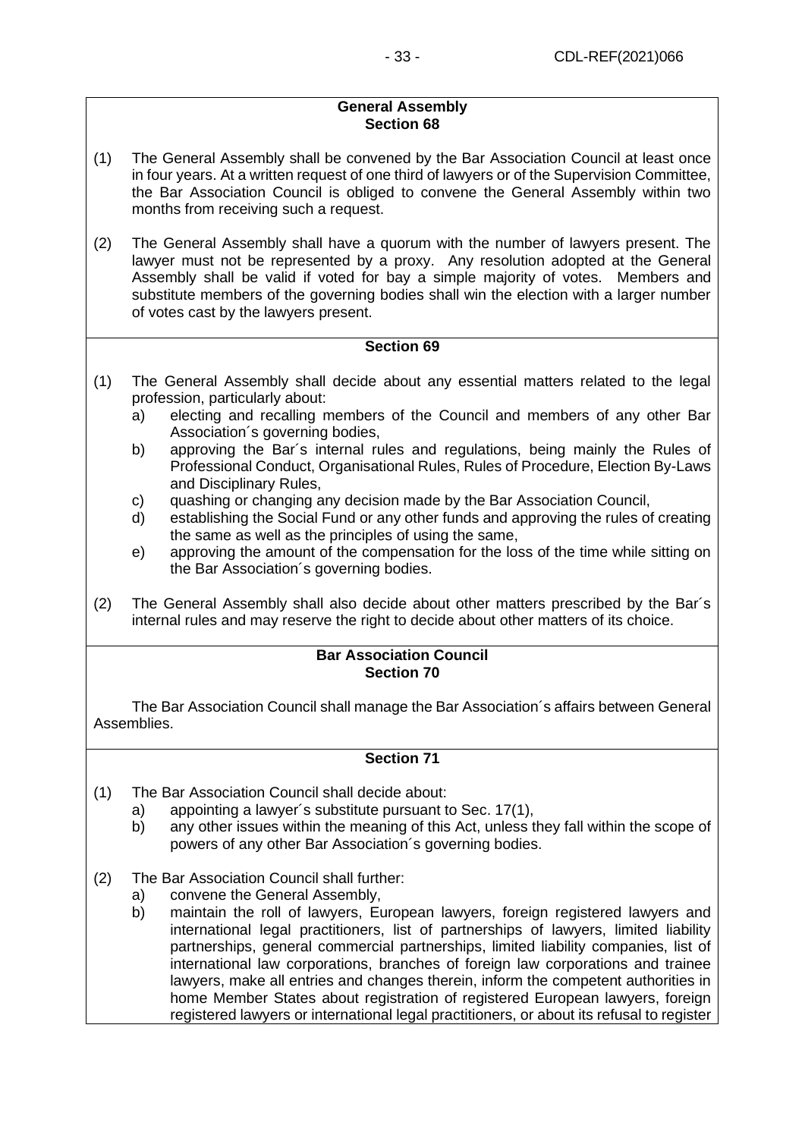## **General Assembly Section 68**

- (1) The General Assembly shall be convened by the Bar Association Council at least once in four years. At a written request of one third of lawyers or of the Supervision Committee, the Bar Association Council is obliged to convene the General Assembly within two months from receiving such a request.
- (2) The General Assembly shall have a quorum with the number of lawyers present. The lawyer must not be represented by a proxy. Any resolution adopted at the General Assembly shall be valid if voted for bay a simple majority of votes. Members and substitute members of the governing bodies shall win the election with a larger number of votes cast by the lawyers present.

## **Section 69**

- (1) The General Assembly shall decide about any essential matters related to the legal profession, particularly about:
	- a) electing and recalling members of the Council and members of any other Bar Association´s governing bodies,
	- b) approving the Bar´s internal rules and regulations, being mainly the Rules of Professional Conduct, Organisational Rules, Rules of Procedure, Election By-Laws and Disciplinary Rules,
	- c) quashing or changing any decision made by the Bar Association Council,
	- d) establishing the Social Fund or any other funds and approving the rules of creating the same as well as the principles of using the same,
	- e) approving the amount of the compensation for the loss of the time while sitting on the Bar Association´s governing bodies.
- (2) The General Assembly shall also decide about other matters prescribed by the Bar´s internal rules and may reserve the right to decide about other matters of its choice.

#### **Bar Association Council Section 70**

The Bar Association Council shall manage the Bar Association´s affairs between General Assemblies.

- <span id="page-32-0"></span>(1) The Bar Association Council shall decide about:
	- a) appointing a lawyer´s substitute pursuant to Sec. 17(1),
	- b) any other issues within the meaning of this Act, unless they fall within the scope of powers of any other Bar Association´s governing bodies.
- (2) The Bar Association Council shall further:
	- a) convene the General Assembly,
	- b) maintain the roll of lawyers, European lawyers, foreign registered lawyers and international legal practitioners, list of partnerships of lawyers, limited liability partnerships, general commercial partnerships, limited liability companies, list of international law corporations, branches of foreign law corporations and trainee lawyers, make all entries and changes therein, inform the competent authorities in home Member States about registration of registered European lawyers, foreign registered lawyers or international legal practitioners, or about its refusal to register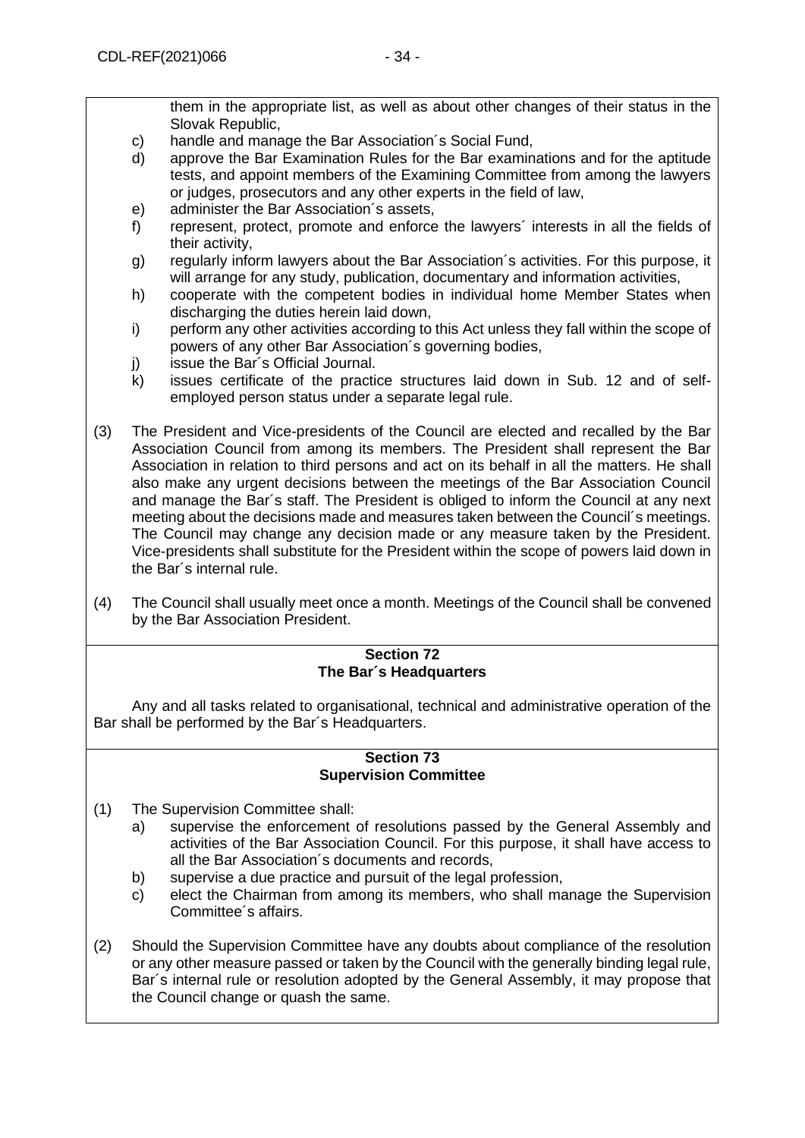them in the appropriate list, as well as about other changes of their status in the Slovak Republic,

- c) handle and manage the Bar Association´s Social Fund,
- d) approve the Bar Examination Rules for the Bar examinations and for the aptitude tests, and appoint members of the Examining Committee from among the lawyers or judges, prosecutors and any other experts in the field of law,
- e) administer the Bar Association´s assets,
- f) represent, protect, promote and enforce the lawyers´ interests in all the fields of their activity,
- g) regularly inform lawyers about the Bar Association´s activities. For this purpose, it will arrange for any study, publication, documentary and information activities,
- h) cooperate with the competent bodies in individual home Member States when discharging the duties herein laid down,
- i) perform any other activities according to this Act unless they fall within the scope of powers of any other Bar Association´s governing bodies,
- j) issue the Bar's Official Journal.
- k) issues certificate of the practice structures laid down in Sub. 12 and of selfemployed person status under a separate legal rule.
- (3) The President and Vice-presidents of the Council are elected and recalled by the Bar Association Council from among its members. The President shall represent the Bar Association in relation to third persons and act on its behalf in all the matters. He shall also make any urgent decisions between the meetings of the Bar Association Council and manage the Bar´s staff. The President is obliged to inform the Council at any next meeting about the decisions made and measures taken between the Council´s meetings. The Council may change any decision made or any measure taken by the President. Vice-presidents shall substitute for the President within the scope of powers laid down in the Bar´s internal rule.
- (4) The Council shall usually meet once a month. Meetings of the Council shall be convened by the Bar Association President.

#### **Section 72 The Bar´s Headquarters**

Any and all tasks related to organisational, technical and administrative operation of the Bar shall be performed by the Bar´s Headquarters.

### **Section 73 Supervision Committee**

- (1) The Supervision Committee shall:
	- a) supervise the enforcement of resolutions passed by the General Assembly and activities of the Bar Association Council. For this purpose, it shall have access to all the Bar Association´s documents and records,
	- b) supervise a due practice and pursuit of the legal profession,
	- c) elect the Chairman from among its members, who shall manage the Supervision Committee´s affairs.
- (2) Should the Supervision Committee have any doubts about compliance of the resolution or any other measure passed or taken by the Council with the generally binding legal rule, Bar´s internal rule or resolution adopted by the General Assembly, it may propose that the Council change or quash the same.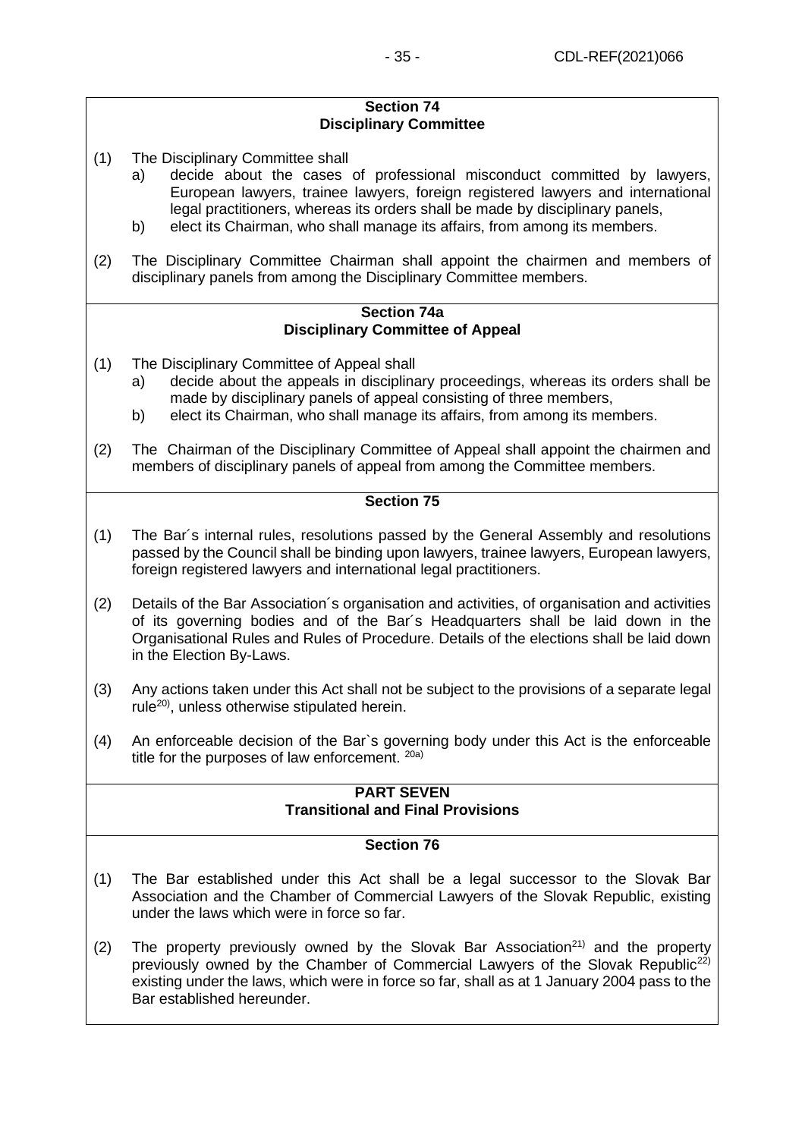### **Section 74 Disciplinary Committee**

- (1) The Disciplinary Committee shall
	- a) decide about the cases of professional misconduct committed by lawyers, European lawyers, trainee lawyers, foreign registered lawyers and international legal practitioners, whereas its orders shall be made by disciplinary panels,
	- b) elect its Chairman, who shall manage its affairs, from among its members.
- (2) The Disciplinary Committee Chairman shall appoint the chairmen and members of disciplinary panels from among the Disciplinary Committee members.

#### **Section 74a Disciplinary Committee of Appeal**

- (1) The Disciplinary Committee of Appeal shall
	- a) decide about the appeals in disciplinary proceedings, whereas its orders shall be made by disciplinary panels of appeal consisting of three members,
	- b) elect its Chairman, who shall manage its affairs, from among its members.
- (2) The Chairman of the Disciplinary Committee of Appeal shall appoint the chairmen and members of disciplinary panels of appeal from among the Committee members.

## **Section 75**

- (1) The Bar´s internal rules, resolutions passed by the General Assembly and resolutions passed by the Council shall be binding upon lawyers, trainee lawyers, European lawyers, foreign registered lawyers and international legal practitioners.
- (2) Details of the Bar Association´s organisation and activities, of organisation and activities of its governing bodies and of the Bar´s Headquarters shall be laid down in the Organisational Rules and Rules of Procedure. Details of the elections shall be laid down in the Election By-Laws.
- (3) Any actions taken under this Act shall not be subject to the provisions of a separate legal rule20), unless otherwise stipulated herein.
- (4) An enforceable decision of the Bar`s governing body under this Act is the enforceable title for the purposes of law enforcement.  $20a$ )

### **PART SEVEN Transitional and Final Provisions**

- (1) The Bar established under this Act shall be a legal successor to the Slovak Bar Association and the Chamber of Commercial Lawyers of the Slovak Republic, existing under the laws which were in force so far.
- (2) The property previously owned by the Slovak Bar Association<sup>21)</sup> and the property previously owned by the Chamber of Commercial Lawyers of the Slovak Republic<sup>22)</sup> existing under the laws, which were in force so far, shall as at 1 January 2004 pass to the Bar established hereunder.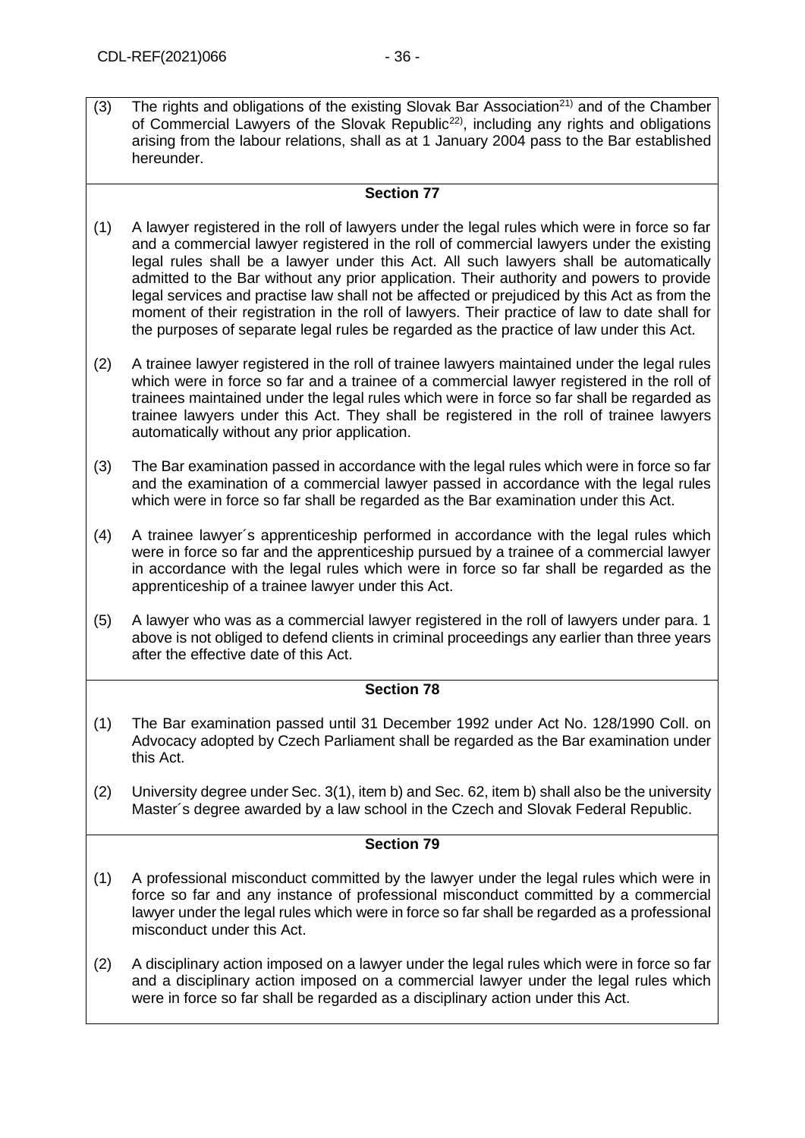(3) The rights and obligations of the existing Slovak Bar Association<sup>21)</sup> and of the Chamber of Commercial Lawyers of the Slovak Republic<sup>22</sup>, including any rights and obligations arising from the labour relations, shall as at 1 January 2004 pass to the Bar established hereunder.

#### **Section 77**

- (1) A lawyer registered in the roll of lawyers under the legal rules which were in force so far and a commercial lawyer registered in the roll of commercial lawyers under the existing legal rules shall be a lawyer under this Act. All such lawyers shall be automatically admitted to the Bar without any prior application. Their authority and powers to provide legal services and practise law shall not be affected or prejudiced by this Act as from the moment of their registration in the roll of lawyers. Their practice of law to date shall for the purposes of separate legal rules be regarded as the practice of law under this Act.
- (2) A trainee lawyer registered in the roll of trainee lawyers maintained under the legal rules which were in force so far and a trainee of a commercial lawyer registered in the roll of trainees maintained under the legal rules which were in force so far shall be regarded as trainee lawyers under this Act. They shall be registered in the roll of trainee lawyers automatically without any prior application.
- (3) The Bar examination passed in accordance with the legal rules which were in force so far and the examination of a commercial lawyer passed in accordance with the legal rules which were in force so far shall be regarded as the Bar examination under this Act.
- (4) A trainee lawyer´s apprenticeship performed in accordance with the legal rules which were in force so far and the apprenticeship pursued by a trainee of a commercial lawyer in accordance with the legal rules which were in force so far shall be regarded as the apprenticeship of a trainee lawyer under this Act.
- (5) A lawyer who was as a commercial lawyer registered in the roll of lawyers under para. 1 above is not obliged to defend clients in criminal proceedings any earlier than three years after the effective date of this Act.

## **Section 78**

- (1) The Bar examination passed until 31 December 1992 under Act No. 128/1990 Coll. on Advocacy adopted by Czech Parliament shall be regarded as the Bar examination under this Act.
- (2) University degree under Sec. 3(1), item b) and Sec. 62, item b) shall also be the university Master´s degree awarded by a law school in the Czech and Slovak Federal Republic.

- (1) A professional misconduct committed by the lawyer under the legal rules which were in force so far and any instance of professional misconduct committed by a commercial lawyer under the legal rules which were in force so far shall be regarded as a professional misconduct under this Act.
- (2) A disciplinary action imposed on a lawyer under the legal rules which were in force so far and a disciplinary action imposed on a commercial lawyer under the legal rules which were in force so far shall be regarded as a disciplinary action under this Act.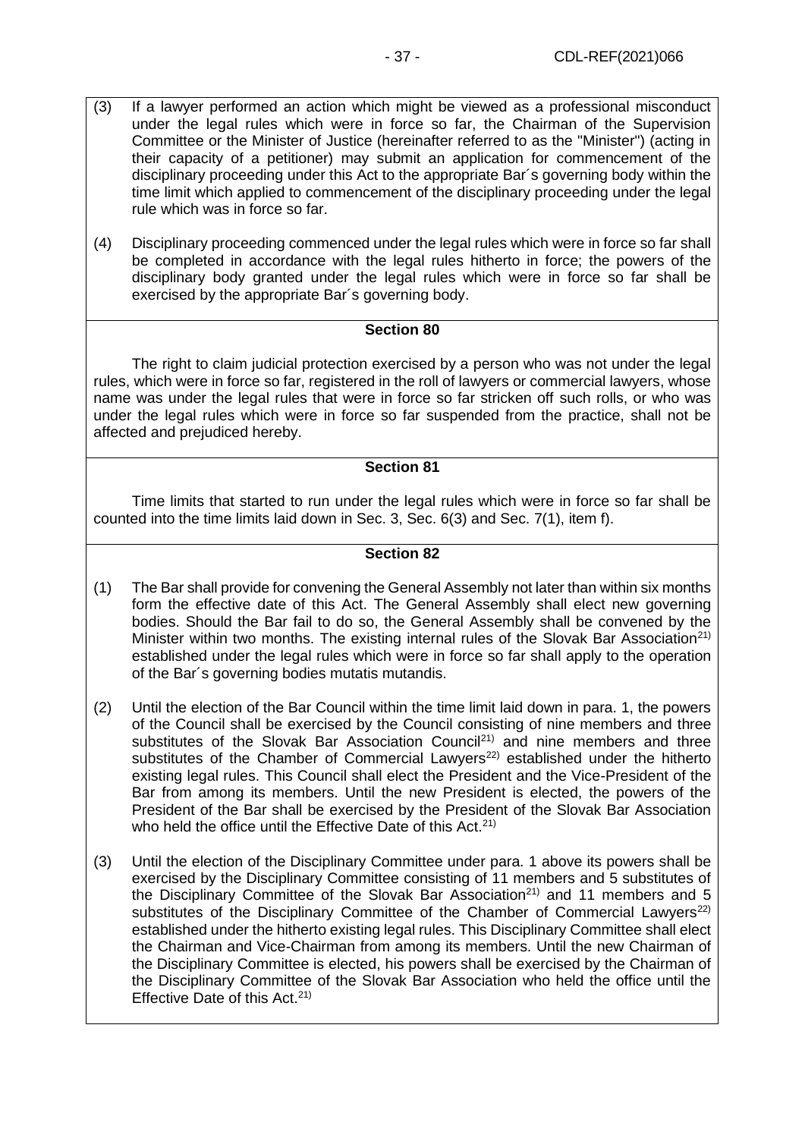- (3) If a lawyer performed an action which might be viewed as a professional misconduct under the legal rules which were in force so far, the Chairman of the Supervision Committee or the Minister of Justice (hereinafter referred to as the "Minister") (acting in their capacity of a petitioner) may submit an application for commencement of the disciplinary proceeding under this Act to the appropriate Bar´s governing body within the time limit which applied to commencement of the disciplinary proceeding under the legal rule which was in force so far.
- (4) Disciplinary proceeding commenced under the legal rules which were in force so far shall be completed in accordance with the legal rules hitherto in force; the powers of the disciplinary body granted under the legal rules which were in force so far shall be exercised by the appropriate Bar´s governing body.

The right to claim judicial protection exercised by a person who was not under the legal rules, which were in force so far, registered in the roll of lawyers or commercial lawyers, whose name was under the legal rules that were in force so far stricken off such rolls, or who was under the legal rules which were in force so far suspended from the practice, shall not be affected and prejudiced hereby.

#### **Section 81**

Time limits that started to run under the legal rules which were in force so far shall be counted into the time limits laid down in Sec. 3, Sec. 6(3) and Sec. 7(1), item f).

- (1) The Bar shall provide for convening the General Assembly not later than within six months form the effective date of this Act. The General Assembly shall elect new governing bodies. Should the Bar fail to do so, the General Assembly shall be convened by the Minister within two months. The existing internal rules of the Slovak Bar Association<sup>21)</sup> established under the legal rules which were in force so far shall apply to the operation of the Bar´s governing bodies mutatis mutandis.
- (2) Until the election of the Bar Council within the time limit laid down in para. 1, the powers of the Council shall be exercised by the Council consisting of nine members and three substitutes of the Slovak Bar Association Council<sup>21)</sup> and nine members and three substitutes of the Chamber of Commercial Lawyers<sup>22)</sup> established under the hitherto existing legal rules. This Council shall elect the President and the Vice-President of the Bar from among its members. Until the new President is elected, the powers of the President of the Bar shall be exercised by the President of the Slovak Bar Association who held the office until the Effective Date of this Act.<sup>21)</sup>
- (3) Until the election of the Disciplinary Committee under para. 1 above its powers shall be exercised by the Disciplinary Committee consisting of 11 members and 5 substitutes of the Disciplinary Committee of the Slovak Bar Association<sup>21)</sup> and 11 members and 5 substitutes of the Disciplinary Committee of the Chamber of Commercial Lawyers<sup>22)</sup> established under the hitherto existing legal rules. This Disciplinary Committee shall elect the Chairman and Vice-Chairman from among its members. Until the new Chairman of the Disciplinary Committee is elected, his powers shall be exercised by the Chairman of the Disciplinary Committee of the Slovak Bar Association who held the office until the Effective Date of this Act.<sup>21)</sup>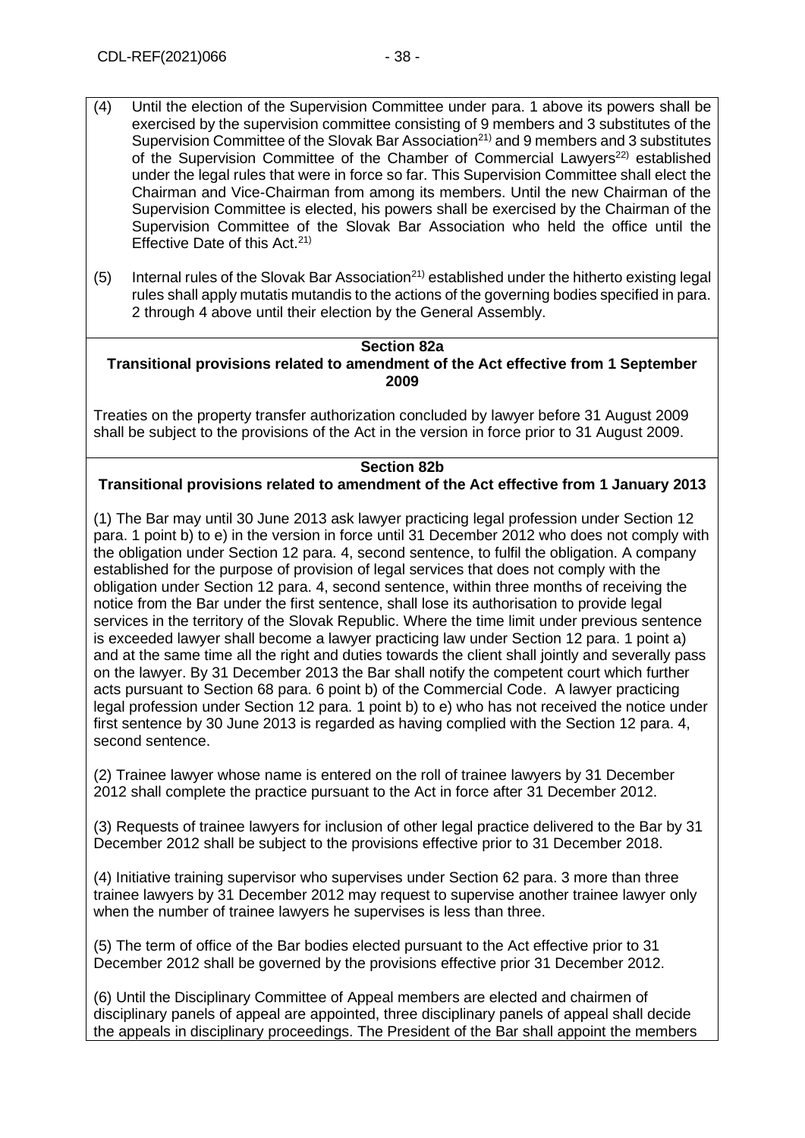- (4) Until the election of the Supervision Committee under para. 1 above its powers shall be exercised by the supervision committee consisting of 9 members and 3 substitutes of the Supervision Committee of the Slovak Bar Association<sup>21)</sup> and 9 members and 3 substitutes of the Supervision Committee of the Chamber of Commercial Lawyers<sup>22)</sup> established under the legal rules that were in force so far. This Supervision Committee shall elect the Chairman and Vice-Chairman from among its members. Until the new Chairman of the Supervision Committee is elected, his powers shall be exercised by the Chairman of the Supervision Committee of the Slovak Bar Association who held the office until the Effective Date of this Act. $21$ )
- (5) Internal rules of the Slovak Bar Association<sup>21)</sup> established under the hitherto existing legal rules shall apply mutatis mutandis to the actions of the governing bodies specified in para. 2 through 4 above until their election by the General Assembly.

## **Section 82a**

**Transitional provisions related to amendment of the Act effective from 1 September 2009**

Treaties on the property transfer authorization concluded by lawyer before 31 August 2009 shall be subject to the provisions of the Act in the version in force prior to 31 August 2009.

#### **Section 82b**

## **Transitional provisions related to amendment of the Act effective from 1 January 2013**

(1) The Bar may until 30 June 2013 ask lawyer practicing legal profession under Section 12 para. 1 point b) to e) in the version in force until 31 December 2012 who does not comply with the obligation under Section 12 para. 4, second sentence, to fulfil the obligation. A company established for the purpose of provision of legal services that does not comply with the obligation under Section 12 para. 4, second sentence, within three months of receiving the notice from the Bar under the first sentence, shall lose its authorisation to provide legal services in the territory of the Slovak Republic. Where the time limit under previous sentence is exceeded lawyer shall become a lawyer practicing law under Section 12 para. 1 point a) and at the same time all the right and duties towards the client shall jointly and severally pass on the lawyer. By 31 December 2013 the Bar shall notify the competent court which further acts pursuant to Section 68 para. 6 point b) of the Commercial Code. A lawyer practicing legal profession under Section 12 para. 1 point b) to e) who has not received the notice under first sentence by 30 June 2013 is regarded as having complied with the Section 12 para. 4, second sentence.

(2) Trainee lawyer whose name is entered on the roll of trainee lawyers by 31 December 2012 shall complete the practice pursuant to the Act in force after 31 December 2012.

(3) Requests of trainee lawyers for inclusion of other legal practice delivered to the Bar by 31 December 2012 shall be subject to the provisions effective prior to 31 December 2018.

(4) Initiative training supervisor who supervises under Section 62 para. 3 more than three trainee lawyers by 31 December 2012 may request to supervise another trainee lawyer only when the number of trainee lawyers he supervises is less than three.

(5) The term of office of the Bar bodies elected pursuant to the Act effective prior to 31 December 2012 shall be governed by the provisions effective prior 31 December 2012.

(6) Until the Disciplinary Committee of Appeal members are elected and chairmen of disciplinary panels of appeal are appointed, three disciplinary panels of appeal shall decide the appeals in disciplinary proceedings. The President of the Bar shall appoint the members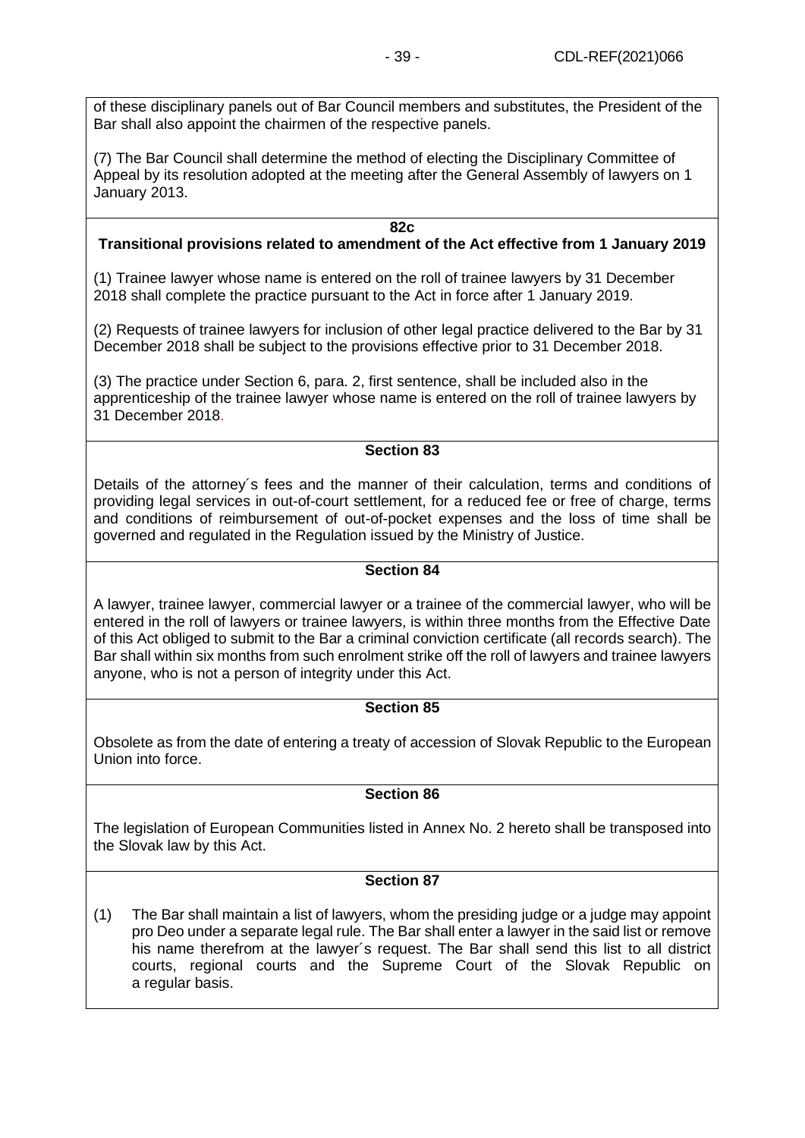of these disciplinary panels out of Bar Council members and substitutes, the President of the Bar shall also appoint the chairmen of the respective panels.

(7) The Bar Council shall determine the method of electing the Disciplinary Committee of Appeal by its resolution adopted at the meeting after the General Assembly of lawyers on 1 January 2013.

#### **82c**

## **Transitional provisions related to amendment of the Act effective from 1 January 2019**

(1) Trainee lawyer whose name is entered on the roll of trainee lawyers by 31 December 2018 shall complete the practice pursuant to the Act in force after 1 January 2019.

(2) Requests of trainee lawyers for inclusion of other legal practice delivered to the Bar by 31 December 2018 shall be subject to the provisions effective prior to 31 December 2018.

(3) The practice under Section 6, para. 2, first sentence, shall be included also in the apprenticeship of the trainee lawyer whose name is entered on the roll of trainee lawyers by 31 December 2018.

#### **Section 83**

Details of the attorney´s fees and the manner of their calculation, terms and conditions of providing legal services in out-of-court settlement, for a reduced fee or free of charge, terms and conditions of reimbursement of out-of-pocket expenses and the loss of time shall be governed and regulated in the Regulation issued by the Ministry of Justice.

### **Section 84**

A lawyer, trainee lawyer, commercial lawyer or a trainee of the commercial lawyer, who will be entered in the roll of lawyers or trainee lawyers, is within three months from the Effective Date of this Act obliged to submit to the Bar a criminal conviction certificate (all records search). The Bar shall within six months from such enrolment strike off the roll of lawyers and trainee lawyers anyone, who is not a person of integrity under this Act.

## **Section 85**

Obsolete as from the date of entering a treaty of accession of Slovak Republic to the European Union into force.

## **Section 86**

The legislation of European Communities listed in Annex No. 2 hereto shall be transposed into the Slovak law by this Act.

## **Section 87**

(1) The Bar shall maintain a list of lawyers, whom the presiding judge or a judge may appoint pro Deo under a separate legal rule. The Bar shall enter a lawyer in the said list or remove his name therefrom at the lawyer´s request. The Bar shall send this list to all district courts, regional courts and the Supreme Court of the Slovak Republic on a regular basis.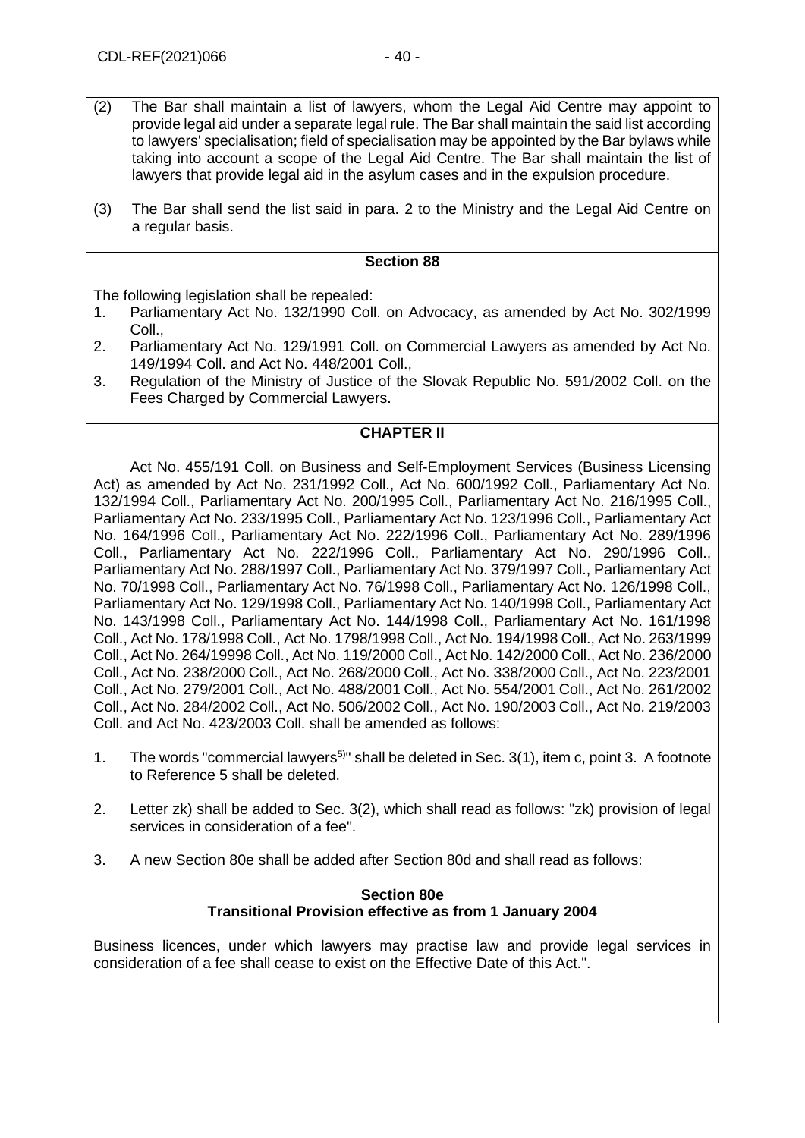- (2) The Bar shall maintain a list of lawyers, whom the Legal Aid Centre may appoint to provide legal aid under a separate legal rule. The Bar shall maintain the said list according to lawyers' specialisation; field of specialisation may be appointed by the Bar bylaws while taking into account a scope of the Legal Aid Centre. The Bar shall maintain the list of lawyers that provide legal aid in the asylum cases and in the expulsion procedure.
- (3) The Bar shall send the list said in para. 2 to the Ministry and the Legal Aid Centre on a regular basis.

The following legislation shall be repealed:

- 1. Parliamentary Act No. 132/1990 Coll. on Advocacy, as amended by Act No. 302/1999 Coll.,
- 2. Parliamentary Act No. 129/1991 Coll. on Commercial Lawyers as amended by Act No. 149/1994 Coll. and Act No. 448/2001 Coll.,
- 3. Regulation of the Ministry of Justice of the Slovak Republic No. 591/2002 Coll. on the Fees Charged by Commercial Lawyers.

## **CHAPTER II**

Act No. 455/191 Coll. on Business and Self-Employment Services (Business Licensing Act) as amended by Act No. 231/1992 Coll., Act No. 600/1992 Coll., Parliamentary Act No. 132/1994 Coll., Parliamentary Act No. 200/1995 Coll., Parliamentary Act No. 216/1995 Coll., Parliamentary Act No. 233/1995 Coll., Parliamentary Act No. 123/1996 Coll., Parliamentary Act No. 164/1996 Coll., Parliamentary Act No. 222/1996 Coll., Parliamentary Act No. 289/1996 Coll., Parliamentary Act No. 222/1996 Coll., Parliamentary Act No. 290/1996 Coll., Parliamentary Act No. 288/1997 Coll., Parliamentary Act No. 379/1997 Coll., Parliamentary Act No. 70/1998 Coll., Parliamentary Act No. 76/1998 Coll., Parliamentary Act No. 126/1998 Coll., Parliamentary Act No. 129/1998 Coll., Parliamentary Act No. 140/1998 Coll., Parliamentary Act No. 143/1998 Coll., Parliamentary Act No. 144/1998 Coll., Parliamentary Act No. 161/1998 Coll., Act No. 178/1998 Coll., Act No. 1798/1998 Coll., Act No. 194/1998 Coll., Act No. 263/1999 Coll., Act No. 264/19998 Coll., Act No. 119/2000 Coll., Act No. 142/2000 Coll., Act No. 236/2000 Coll., Act No. 238/2000 Coll., Act No. 268/2000 Coll., Act No. 338/2000 Coll., Act No. 223/2001 Coll., Act No. 279/2001 Coll., Act No. 488/2001 Coll., Act No. 554/2001 Coll., Act No. 261/2002 Coll., Act No. 284/2002 Coll., Act No. 506/2002 Coll., Act No. 190/2003 Coll., Act No. 219/2003 Coll. and Act No. 423/2003 Coll. shall be amended as follows:

- 1. The words "commercial lawyers<sup>5)</sup>" shall be deleted in Sec.  $3(1)$ , item c, point 3. A footnote to Reference 5 shall be deleted.
- 2. Letter zk) shall be added to Sec. 3(2), which shall read as follows: "zk) provision of legal services in consideration of a fee".
- 3. A new Section 80e shall be added after Section 80d and shall read as follows:

#### **Section 80e Transitional Provision effective as from 1 January 2004**

Business licences, under which lawyers may practise law and provide legal services in consideration of a fee shall cease to exist on the Effective Date of this Act.".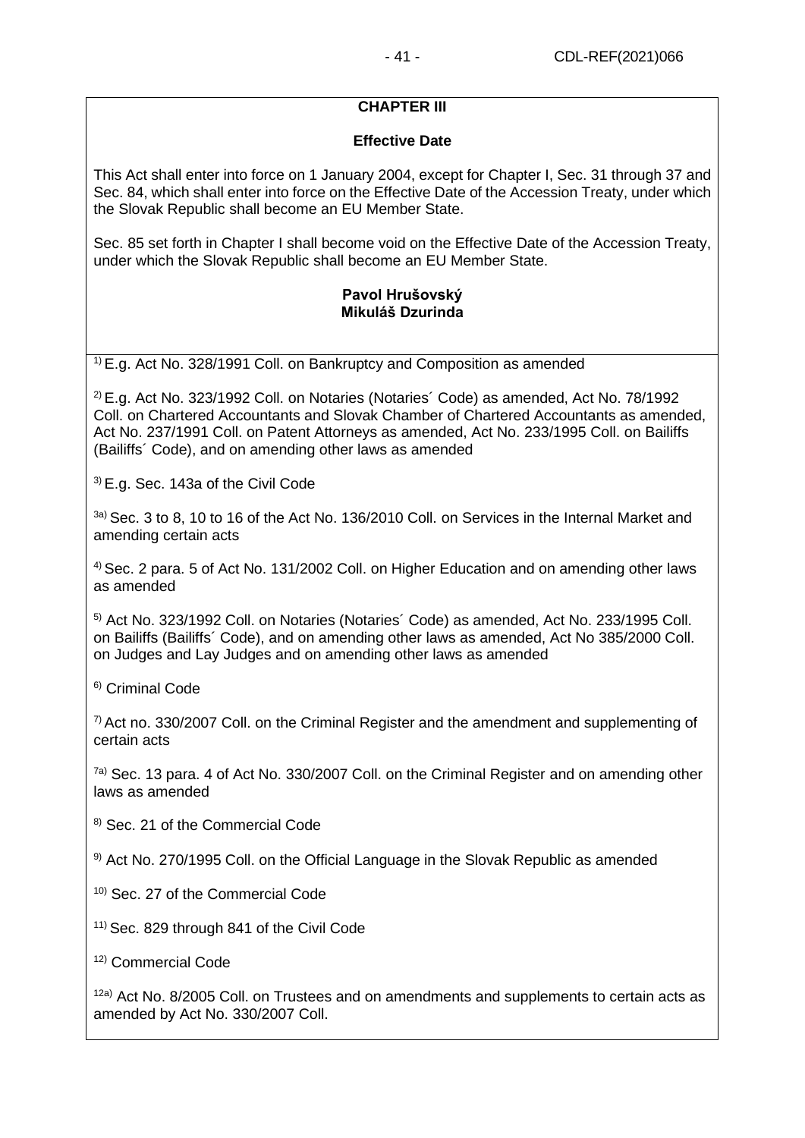## **CHAPTER III**

## **Effective Date**

This Act shall enter into force on 1 January 2004, except for Chapter I, Sec. 31 through 37 and Sec. 84, which shall enter into force on the Effective Date of the Accession Treaty, under which the Slovak Republic shall become an EU Member State.

Sec. 85 set forth in Chapter I shall become void on the Effective Date of the Accession Treaty, under which the Slovak Republic shall become an EU Member State.

## **Pavol Hrušovský Mikuláš Dzurinda**

 $1$ <sup>1)</sup> E.g. Act No. 328/1991 Coll. on Bankruptcy and Composition as amended

 $2$  E.g. Act No. 323/1992 Coll. on Notaries (Notaries' Code) as amended, Act No. 78/1992 Coll. on Chartered Accountants and Slovak Chamber of Chartered Accountants as amended, Act No. 237/1991 Coll. on Patent Attorneys as amended, Act No. 233/1995 Coll. on Bailiffs (Bailiffs´ Code), and on amending other laws as amended

3) E.g. Sec. 143a of the Civil Code

<sup>3a)</sup> Sec. 3 to 8, 10 to 16 of the Act No. 136/2010 Coll. on Services in the Internal Market and amending certain acts

4) Sec. 2 para. 5 of Act No. 131/2002 Coll. on Higher Education and on amending other laws as amended

5) Act No. 323/1992 Coll. on Notaries (Notaries´ Code) as amended, Act No. 233/1995 Coll. on Bailiffs (Bailiffs´ Code), and on amending other laws as amended, Act No 385/2000 Coll. on Judges and Lay Judges and on amending other laws as amended

6) Criminal Code

 $7)$  Act no. 330/2007 Coll. on the Criminal Register and the amendment and supplementing of certain acts

 $7a)$  Sec. 13 para. 4 of Act No. 330/2007 Coll. on the Criminal Register and on amending other laws as amended

8) Sec. 21 of the Commercial Code

<sup>9)</sup> Act No. 270/1995 Coll. on the Official Language in the Slovak Republic as amended

- <sup>10)</sup> Sec. 27 of the Commercial Code
- <sup>11)</sup> Sec. 829 through 841 of the Civil Code
- 12) Commercial Code

 $12a)$  Act No. 8/2005 Coll. on Trustees and on amendments and supplements to certain acts as amended by Act No. 330/2007 Coll.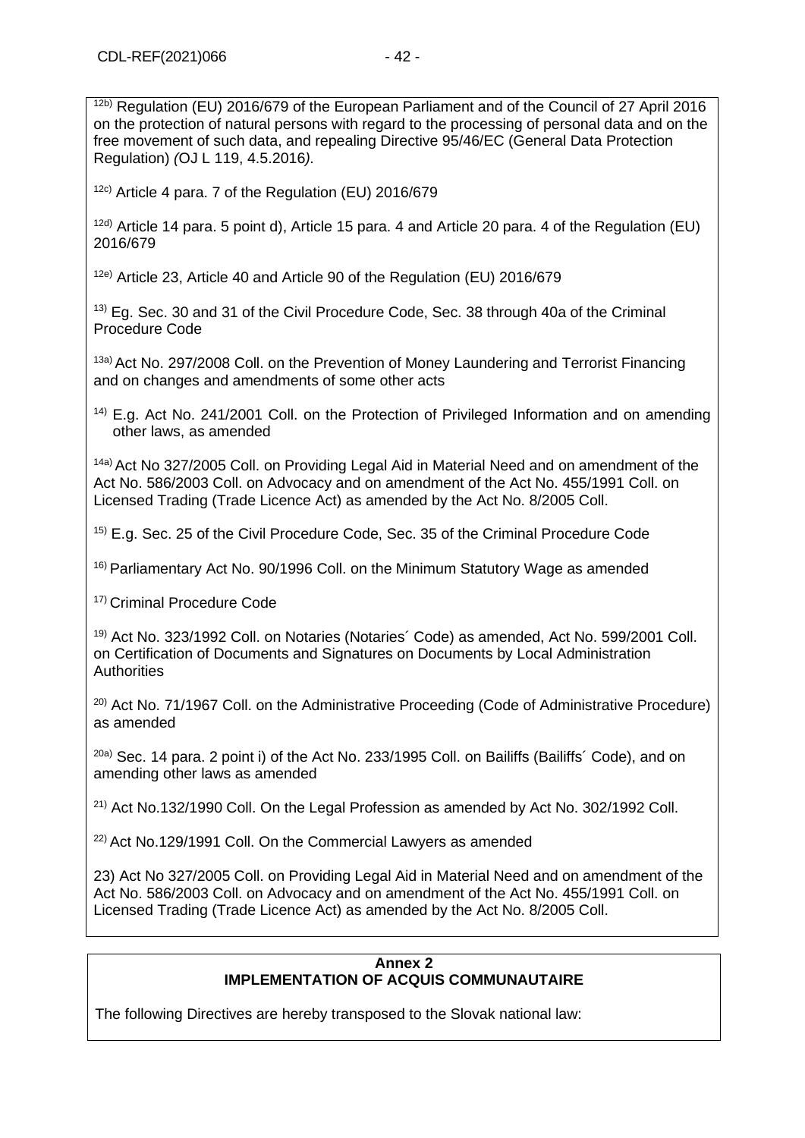$12b)$  Regulation (EU) 2016/679 of the European Parliament and of the Council of 27 April 2016 on the protection of natural persons with regard to the processing of personal data and on the free movement of such data, and repealing Directive 95/46/EC (General Data Protection Regulation) *(*OJ L 119, 4.5.2016*).*

12c) Article 4 para. 7 of the Regulation (EU) 2016/679

12d) Article 14 para. 5 point d), Article 15 para. 4 and Article 20 para. 4 of the Regulation (EU) 2016/679

12e) Article 23, Article 40 and Article 90 of the Regulation (EU) 2016/679

<sup>13)</sup> Eg. Sec. 30 and 31 of the Civil Procedure Code, Sec. 38 through 40a of the Criminal Procedure Code

13a) Act No. 297/2008 Coll. on the Prevention of Money Laundering and Terrorist Financing and on changes and amendments of some other acts

 $14$ ) E.g. Act No. 241/2001 Coll. on the Protection of Privileged Information and on amending other laws, as amended

14a) Act No 327/2005 Coll. on Providing Legal Aid in Material Need and on amendment of the Act No. 586/2003 Coll. on Advocacy and on amendment of the Act No. 455/1991 Coll. on Licensed Trading (Trade Licence Act) as amended by the Act No. 8/2005 Coll.

15) E.g. Sec. 25 of the Civil Procedure Code, Sec. 35 of the Criminal Procedure Code

16) Parliamentary Act No. 90/1996 Coll. on the Minimum Statutory Wage as amended

17) Criminal Procedure Code

19) Act No. 323/1992 Coll. on Notaries (Notaries´ Code) as amended, Act No. 599/2001 Coll. on Certification of Documents and Signatures on Documents by Local Administration **Authorities** 

 $20$ ) Act No. 71/1967 Coll. on the Administrative Proceeding (Code of Administrative Procedure) as amended

<sup>20a)</sup> Sec. 14 para. 2 point i) of the Act No. 233/1995 Coll. on Bailiffs (Bailiffs' Code), and on amending other laws as amended

 $^{21}$ ) Act No.132/1990 Coll. On the Legal Profession as amended by Act No. 302/1992 Coll.

22) Act No.129/1991 Coll. On the Commercial Lawyers as amended

23) Act No 327/2005 Coll. on Providing Legal Aid in Material Need and on amendment of the Act No. 586/2003 Coll. on Advocacy and on amendment of the Act No. 455/1991 Coll. on Licensed Trading (Trade Licence Act) as amended by the Act No. 8/2005 Coll.

#### **Annex 2 IMPLEMENTATION OF ACQUIS COMMUNAUTAIRE**

The following Directives are hereby transposed to the Slovak national law: